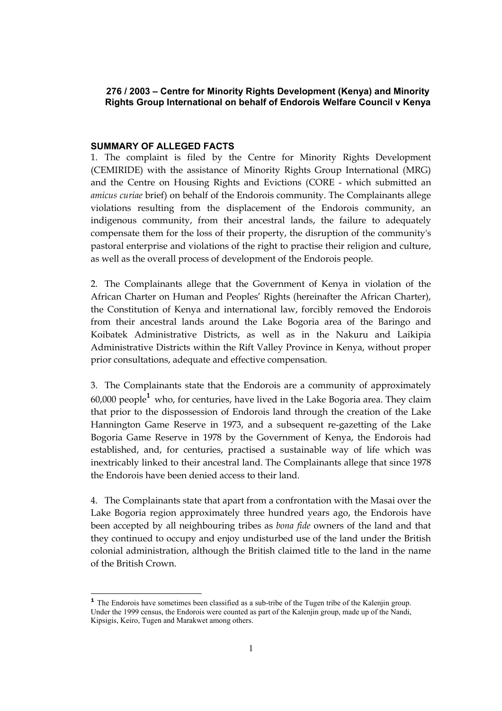## **276 / 2003 – Centre for Minority Rights Development (Kenya) and Minority Rights Group International on behalf of Endorois Welfare Council v Kenya**

## **SUMMARY OF ALLEGED FACTS**

1

1. The complaint is filed by the Centre for Minority Rights Development (CEMIRIDE) with the assistance of Minority Rights Group International (MRG) and the Centre on Housing Rights and Evictions (CORE - which submitted an *amicus curiae* brief) on behalf of the Endorois community. The Complainants allege violations resulting from the displacement of the Endorois community, an indigenous community, from their ancestral lands, the failure to adequately compensate them for the loss of their property, the disruption of the community's pastoral enterprise and violations of the right to practise their religion and culture, as well as the overall process of development of the Endorois people.

2. The Complainants allege that the Government of Kenya in violation of the African Charter on Human and Peoples' Rights (hereinafter the African Charter), the Constitution of Kenya and international law, forcibly removed the Endorois from their ancestral lands around the Lake Bogoria area of the Baringo and Koibatek Administrative Districts, as well as in the Nakuru and Laikipia Administrative Districts within the Rift Valley Province in Kenya, without proper prior consultations, adequate and effective compensation.

3. The Complainants state that the Endorois are a community of approximately 60,000 people**<sup>1</sup>** who, for centuries, have lived in the Lake Bogoria area. They claim that prior to the dispossession of Endorois land through the creation of the Lake Hannington Game Reserve in 1973, and a subsequent re-gazetting of the Lake Bogoria Game Reserve in 1978 by the Government of Kenya, the Endorois had established, and, for centuries, practised a sustainable way of life which was inextricably linked to their ancestral land. The Complainants allege that since 1978 the Endorois have been denied access to their land.

4. The Complainants state that apart from a confrontation with the Masai over the Lake Bogoria region approximately three hundred years ago, the Endorois have been accepted by all neighbouring tribes as *bona fide* owners of the land and that they continued to occupy and enjoy undisturbed use of the land under the British colonial administration, although the British claimed title to the land in the name of the British Crown.

**<sup>1</sup>** The Endorois have sometimes been classified as a sub-tribe of the Tugen tribe of the Kalenjin group. Under the 1999 census, the Endorois were counted as part of the Kalenjin group, made up of the Nandi, Kipsigis, Keiro, Tugen and Marakwet among others.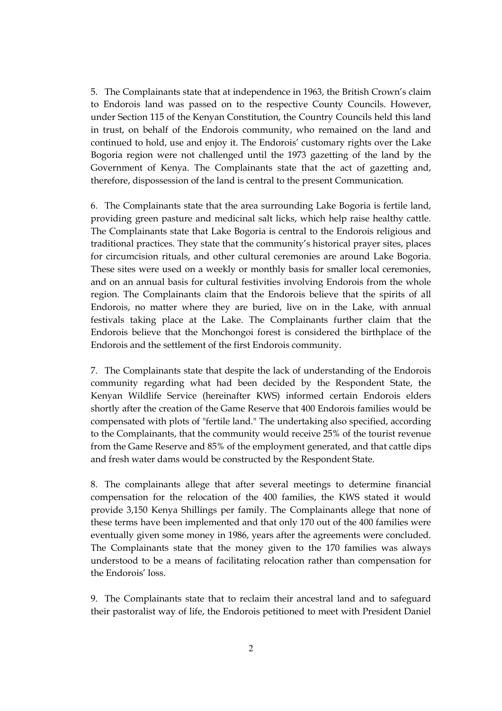5. The Complainants state that at independence in 1963, the British Crown's claim to Endorois land was passed on to the respective County Councils. However, under Section 115 of the Kenyan Constitution, the Country Councils held this land in trust, on behalf of the Endorois community, who remained on the land and continued to hold, use and enjoy it. The Endorois' customary rights over the Lake Bogoria region were not challenged until the 1973 gazetting of the land by the Government of Kenya. The Complainants state that the act of gazetting and, therefore, dispossession of the land is central to the present Communication.

6. The Complainants state that the area surrounding Lake Bogoria is fertile land, providing green pasture and medicinal salt licks, which help raise healthy cattle. The Complainants state that Lake Bogoria is central to the Endorois religious and traditional practices. They state that the community's historical prayer sites, places for circumcision rituals, and other cultural ceremonies are around Lake Bogoria. These sites were used on a weekly or monthly basis for smaller local ceremonies, and on an annual basis for cultural festivities involving Endorois from the whole region. The Complainants claim that the Endorois believe that the spirits of all Endorois, no matter where they are buried, live on in the Lake, with annual festivals taking place at the Lake. The Complainants further claim that the Endorois believe that the Monchongoi forest is considered the birthplace of the Endorois and the settlement of the first Endorois community.

7. The Complainants state that despite the lack of understanding of the Endorois community regarding what had been decided by the Respondent State, the Kenyan Wildlife Service (hereinafter KWS) informed certain Endorois elders shortly after the creation of the Game Reserve that 400 Endorois families would be compensated with plots of "fertile land." The undertaking also specified, according to the Complainants, that the community would receive 25% of the tourist revenue from the Game Reserve and 85% of the employment generated, and that cattle dips and fresh water dams would be constructed by the Respondent State.

8. The complainants allege that after several meetings to determine financial compensation for the relocation of the 400 families, the KWS stated it would provide 3,150 Kenya Shillings per family. The Complainants allege that none of these terms have been implemented and that only 170 out of the 400 families were eventually given some money in 1986, years after the agreements were concluded. The Complainants state that the money given to the 170 families was always understood to be a means of facilitating relocation rather than compensation for the Endorois' loss.

9. The Complainants state that to reclaim their ancestral land and to safeguard their pastoralist way of life, the Endorois petitioned to meet with President Daniel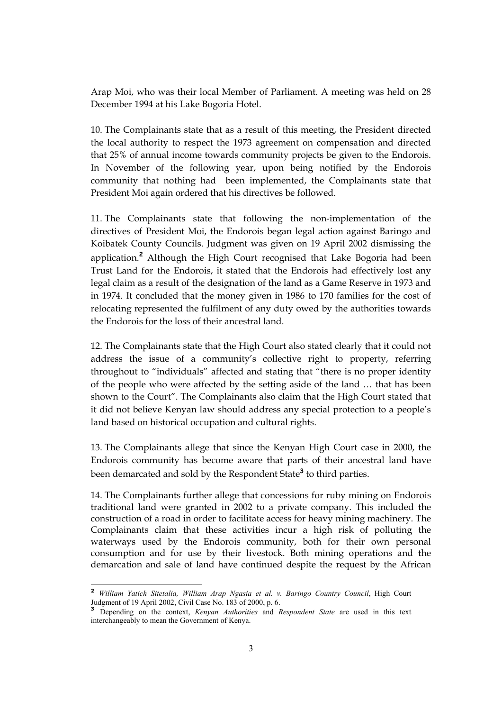Arap Moi, who was their local Member of Parliament. A meeting was held on 28 December 1994 at his Lake Bogoria Hotel.

10. The Complainants state that as a result of this meeting, the President directed the local authority to respect the 1973 agreement on compensation and directed that 25% of annual income towards community projects be given to the Endorois. In November of the following year, upon being notified by the Endorois community that nothing had been implemented, the Complainants state that President Moi again ordered that his directives be followed.

11. The Complainants state that following the non-implementation of the directives of President Moi, the Endorois began legal action against Baringo and Koibatek County Councils. Judgment was given on 19 April 2002 dismissing the application.**<sup>2</sup>** Although the High Court recognised that Lake Bogoria had been Trust Land for the Endorois, it stated that the Endorois had effectively lost any legal claim as a result of the designation of the land as a Game Reserve in 1973 and in 1974. It concluded that the money given in 1986 to 170 families for the cost of relocating represented the fulfilment of any duty owed by the authorities towards the Endorois for the loss of their ancestral land.

12. The Complainants state that the High Court also stated clearly that it could not address the issue of a community's collective right to property, referring throughout to "individuals" affected and stating that "there is no proper identity of the people who were affected by the setting aside of the land … that has been shown to the Court". The Complainants also claim that the High Court stated that it did not believe Kenyan law should address any special protection to a people's land based on historical occupation and cultural rights.

13. The Complainants allege that since the Kenyan High Court case in 2000, the Endorois community has become aware that parts of their ancestral land have been demarcated and sold by the Respondent State<sup>3</sup> to third parties.

14. The Complainants further allege that concessions for ruby mining on Endorois traditional land were granted in 2002 to a private company. This included the construction of a road in order to facilitate access for heavy mining machinery. The Complainants claim that these activities incur a high risk of polluting the waterways used by the Endorois community, both for their own personal consumption and for use by their livestock. Both mining operations and the demarcation and sale of land have continued despite the request by the African

**<sup>2</sup>** *William Yatich Sitetalia, William Arap Ngasia et al. v. Baringo Country Council*, High Court Judgment of 19 April 2002, Civil Case No. 183 of 2000, p. 6.

**<sup>3</sup>** Depending on the context, *Kenyan Authorities* and *Respondent State* are used in this text interchangeably to mean the Government of Kenya.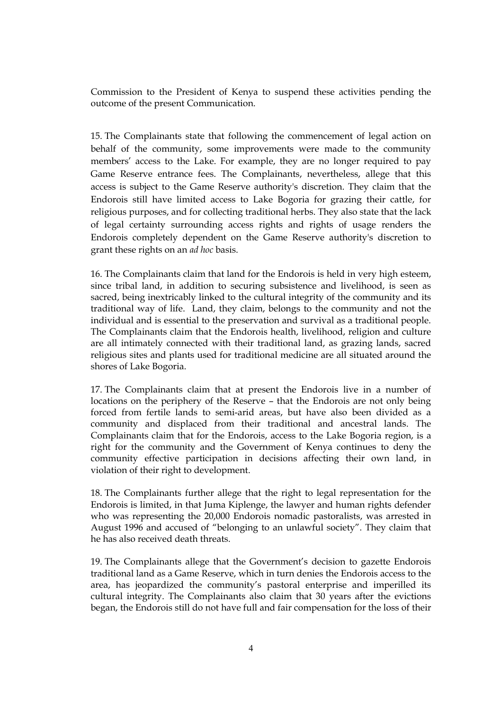Commission to the President of Kenya to suspend these activities pending the outcome of the present Communication.

15. The Complainants state that following the commencement of legal action on behalf of the community, some improvements were made to the community members' access to the Lake. For example, they are no longer required to pay Game Reserve entrance fees. The Complainants, nevertheless, allege that this access is subject to the Game Reserve authority's discretion. They claim that the Endorois still have limited access to Lake Bogoria for grazing their cattle, for religious purposes, and for collecting traditional herbs. They also state that the lack of legal certainty surrounding access rights and rights of usage renders the Endorois completely dependent on the Game Reserve authority's discretion to grant these rights on an *ad hoc* basis.

16. The Complainants claim that land for the Endorois is held in very high esteem, since tribal land, in addition to securing subsistence and livelihood, is seen as sacred, being inextricably linked to the cultural integrity of the community and its traditional way of life. Land, they claim, belongs to the community and not the individual and is essential to the preservation and survival as a traditional people. The Complainants claim that the Endorois health, livelihood, religion and culture are all intimately connected with their traditional land, as grazing lands, sacred religious sites and plants used for traditional medicine are all situated around the shores of Lake Bogoria.

17. The Complainants claim that at present the Endorois live in a number of locations on the periphery of the Reserve – that the Endorois are not only being forced from fertile lands to semi-arid areas, but have also been divided as a community and displaced from their traditional and ancestral lands. The Complainants claim that for the Endorois, access to the Lake Bogoria region, is a right for the community and the Government of Kenya continues to deny the community effective participation in decisions affecting their own land, in violation of their right to development.

18. The Complainants further allege that the right to legal representation for the Endorois is limited, in that Juma Kiplenge, the lawyer and human rights defender who was representing the 20,000 Endorois nomadic pastoralists, was arrested in August 1996 and accused of "belonging to an unlawful society". They claim that he has also received death threats.

19. The Complainants allege that the Government's decision to gazette Endorois traditional land as a Game Reserve, which in turn denies the Endorois access to the area, has jeopardized the community's pastoral enterprise and imperilled its cultural integrity. The Complainants also claim that 30 years after the evictions began, the Endorois still do not have full and fair compensation for the loss of their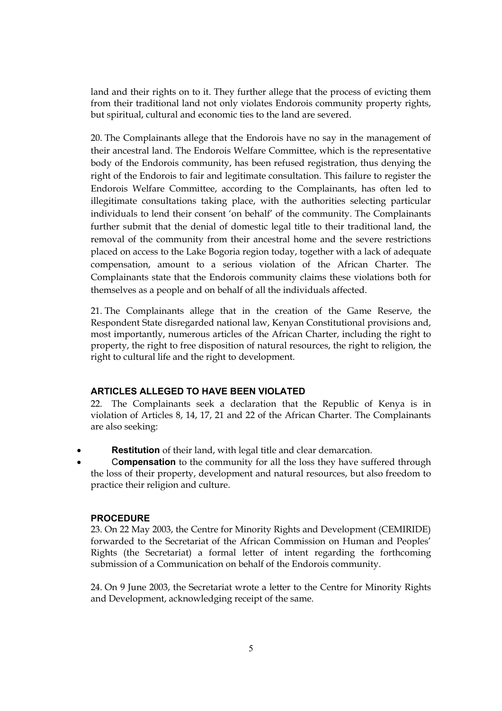land and their rights on to it. They further allege that the process of evicting them from their traditional land not only violates Endorois community property rights, but spiritual, cultural and economic ties to the land are severed.

20. The Complainants allege that the Endorois have no say in the management of their ancestral land. The Endorois Welfare Committee, which is the representative body of the Endorois community, has been refused registration, thus denying the right of the Endorois to fair and legitimate consultation. This failure to register the Endorois Welfare Committee, according to the Complainants, has often led to illegitimate consultations taking place, with the authorities selecting particular individuals to lend their consent 'on behalf' of the community. The Complainants further submit that the denial of domestic legal title to their traditional land, the removal of the community from their ancestral home and the severe restrictions placed on access to the Lake Bogoria region today, together with a lack of adequate compensation, amount to a serious violation of the African Charter. The Complainants state that the Endorois community claims these violations both for themselves as a people and on behalf of all the individuals affected.

21. The Complainants allege that in the creation of the Game Reserve, the Respondent State disregarded national law, Kenyan Constitutional provisions and, most importantly, numerous articles of the African Charter, including the right to property, the right to free disposition of natural resources, the right to religion, the right to cultural life and the right to development.

## **ARTICLES ALLEGED TO HAVE BEEN VIOLATED**

22. The Complainants seek a declaration that the Republic of Kenya is in violation of Articles 8, 14, 17, 21 and 22 of the African Charter. The Complainants are also seeking:

- **Restitution** of their land, with legal title and clear demarcation.
- Compensation to the community for all the loss they have suffered through the loss of their property, development and natural resources, but also freedom to practice their religion and culture.

#### **PROCEDURE**

23. On 22 May 2003, the Centre for Minority Rights and Development (CEMIRIDE) forwarded to the Secretariat of the African Commission on Human and Peoples' Rights (the Secretariat) a formal letter of intent regarding the forthcoming submission of a Communication on behalf of the Endorois community.

24. On 9 June 2003, the Secretariat wrote a letter to the Centre for Minority Rights and Development, acknowledging receipt of the same.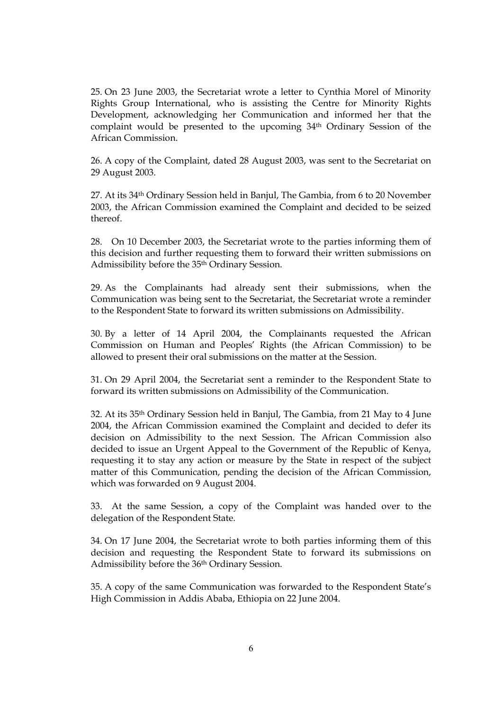25. On 23 June 2003, the Secretariat wrote a letter to Cynthia Morel of Minority Rights Group International, who is assisting the Centre for Minority Rights Development, acknowledging her Communication and informed her that the complaint would be presented to the upcoming 34th Ordinary Session of the African Commission.

26. A copy of the Complaint, dated 28 August 2003, was sent to the Secretariat on 29 August 2003.

27. At its 34th Ordinary Session held in Banjul, The Gambia, from 6 to 20 November 2003, the African Commission examined the Complaint and decided to be seized thereof.

28. On 10 December 2003, the Secretariat wrote to the parties informing them of this decision and further requesting them to forward their written submissions on Admissibility before the 35th Ordinary Session.

29. As the Complainants had already sent their submissions, when the Communication was being sent to the Secretariat, the Secretariat wrote a reminder to the Respondent State to forward its written submissions on Admissibility.

30. By a letter of 14 April 2004, the Complainants requested the African Commission on Human and Peoples' Rights (the African Commission) to be allowed to present their oral submissions on the matter at the Session.

31. On 29 April 2004, the Secretariat sent a reminder to the Respondent State to forward its written submissions on Admissibility of the Communication.

32. At its 35th Ordinary Session held in Banjul, The Gambia, from 21 May to 4 June 2004, the African Commission examined the Complaint and decided to defer its decision on Admissibility to the next Session. The African Commission also decided to issue an Urgent Appeal to the Government of the Republic of Kenya, requesting it to stay any action or measure by the State in respect of the subject matter of this Communication, pending the decision of the African Commission, which was forwarded on 9 August 2004.

33. At the same Session, a copy of the Complaint was handed over to the delegation of the Respondent State.

34. On 17 June 2004, the Secretariat wrote to both parties informing them of this decision and requesting the Respondent State to forward its submissions on Admissibility before the 36th Ordinary Session.

35. A copy of the same Communication was forwarded to the Respondent State's High Commission in Addis Ababa, Ethiopia on 22 June 2004.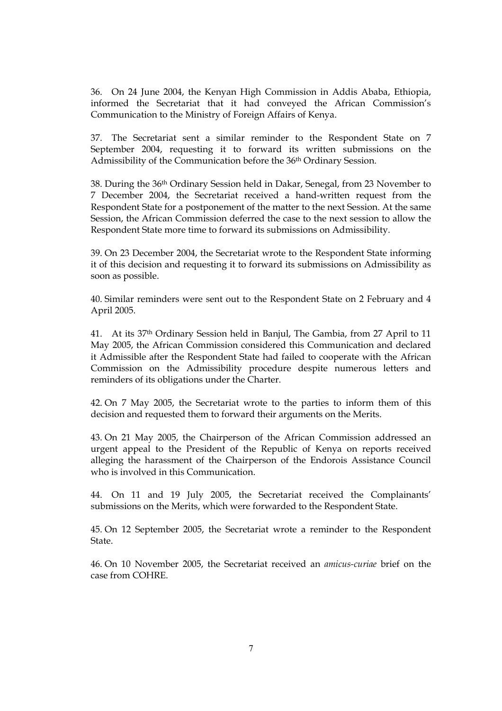36. On 24 June 2004, the Kenyan High Commission in Addis Ababa, Ethiopia, informed the Secretariat that it had conveyed the African Commission's Communication to the Ministry of Foreign Affairs of Kenya.

37. The Secretariat sent a similar reminder to the Respondent State on 7 September 2004, requesting it to forward its written submissions on the Admissibility of the Communication before the 36th Ordinary Session.

38. During the 36th Ordinary Session held in Dakar, Senegal, from 23 November to 7 December 2004, the Secretariat received a hand-written request from the Respondent State for a postponement of the matter to the next Session. At the same Session, the African Commission deferred the case to the next session to allow the Respondent State more time to forward its submissions on Admissibility.

39. On 23 December 2004, the Secretariat wrote to the Respondent State informing it of this decision and requesting it to forward its submissions on Admissibility as soon as possible.

40. Similar reminders were sent out to the Respondent State on 2 February and 4 April 2005.

41. At its 37th Ordinary Session held in Banjul, The Gambia, from 27 April to 11 May 2005, the African Commission considered this Communication and declared it Admissible after the Respondent State had failed to cooperate with the African Commission on the Admissibility procedure despite numerous letters and reminders of its obligations under the Charter.

42. On 7 May 2005, the Secretariat wrote to the parties to inform them of this decision and requested them to forward their arguments on the Merits.

43. On 21 May 2005, the Chairperson of the African Commission addressed an urgent appeal to the President of the Republic of Kenya on reports received alleging the harassment of the Chairperson of the Endorois Assistance Council who is involved in this Communication.

44. On 11 and 19 July 2005, the Secretariat received the Complainants' submissions on the Merits, which were forwarded to the Respondent State.

45. On 12 September 2005, the Secretariat wrote a reminder to the Respondent State.

46. On 10 November 2005, the Secretariat received an *amicus-curiae* brief on the case from COHRE.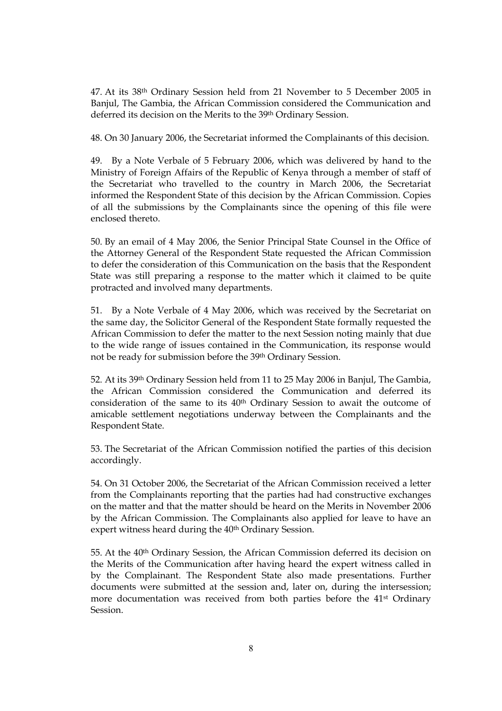47. At its 38th Ordinary Session held from 21 November to 5 December 2005 in Banjul, The Gambia, the African Commission considered the Communication and deferred its decision on the Merits to the 39th Ordinary Session.

48. On 30 January 2006, the Secretariat informed the Complainants of this decision.

49. By a Note Verbale of 5 February 2006, which was delivered by hand to the Ministry of Foreign Affairs of the Republic of Kenya through a member of staff of the Secretariat who travelled to the country in March 2006, the Secretariat informed the Respondent State of this decision by the African Commission. Copies of all the submissions by the Complainants since the opening of this file were enclosed thereto.

50. By an email of 4 May 2006, the Senior Principal State Counsel in the Office of the Attorney General of the Respondent State requested the African Commission to defer the consideration of this Communication on the basis that the Respondent State was still preparing a response to the matter which it claimed to be quite protracted and involved many departments.

51. By a Note Verbale of 4 May 2006, which was received by the Secretariat on the same day, the Solicitor General of the Respondent State formally requested the African Commission to defer the matter to the next Session noting mainly that due to the wide range of issues contained in the Communication, its response would not be ready for submission before the 39th Ordinary Session.

52. At its 39th Ordinary Session held from 11 to 25 May 2006 in Banjul, The Gambia, the African Commission considered the Communication and deferred its consideration of the same to its 40th Ordinary Session to await the outcome of amicable settlement negotiations underway between the Complainants and the Respondent State.

53. The Secretariat of the African Commission notified the parties of this decision accordingly.

54. On 31 October 2006, the Secretariat of the African Commission received a letter from the Complainants reporting that the parties had had constructive exchanges on the matter and that the matter should be heard on the Merits in November 2006 by the African Commission. The Complainants also applied for leave to have an expert witness heard during the 40th Ordinary Session.

55. At the 40th Ordinary Session, the African Commission deferred its decision on the Merits of the Communication after having heard the expert witness called in by the Complainant. The Respondent State also made presentations. Further documents were submitted at the session and, later on, during the intersession; more documentation was received from both parties before the 41st Ordinary Session.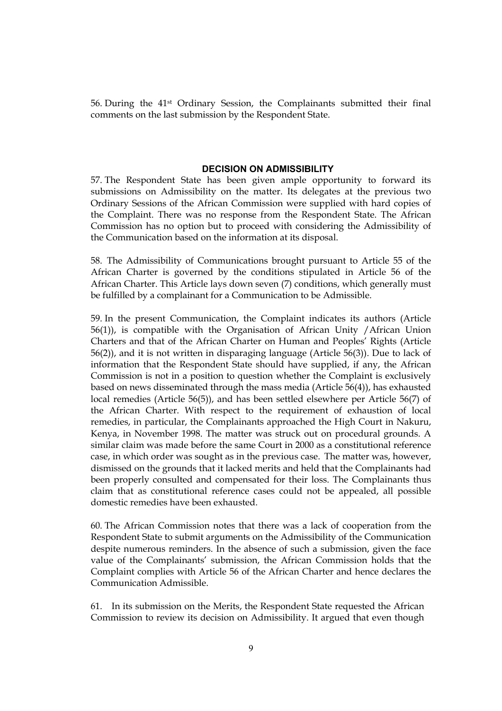56. During the 41st Ordinary Session, the Complainants submitted their final comments on the last submission by the Respondent State.

#### **DECISION ON ADMISSIBILITY**

57. The Respondent State has been given ample opportunity to forward its submissions on Admissibility on the matter. Its delegates at the previous two Ordinary Sessions of the African Commission were supplied with hard copies of the Complaint. There was no response from the Respondent State. The African Commission has no option but to proceed with considering the Admissibility of the Communication based on the information at its disposal.

58. The Admissibility of Communications brought pursuant to Article 55 of the African Charter is governed by the conditions stipulated in Article 56 of the African Charter. This Article lays down seven (7) conditions, which generally must be fulfilled by a complainant for a Communication to be Admissible.

59. In the present Communication, the Complaint indicates its authors (Article 56(1)), is compatible with the Organisation of African Unity /African Union Charters and that of the African Charter on Human and Peoples' Rights (Article 56(2)), and it is not written in disparaging language (Article 56(3)). Due to lack of information that the Respondent State should have supplied, if any, the African Commission is not in a position to question whether the Complaint is exclusively based on news disseminated through the mass media (Article 56(4)), has exhausted local remedies (Article 56(5)), and has been settled elsewhere per Article 56(7) of the African Charter. With respect to the requirement of exhaustion of local remedies, in particular, the Complainants approached the High Court in Nakuru, Kenya, in November 1998. The matter was struck out on procedural grounds. A similar claim was made before the same Court in 2000 as a constitutional reference case, in which order was sought as in the previous case. The matter was, however, dismissed on the grounds that it lacked merits and held that the Complainants had been properly consulted and compensated for their loss. The Complainants thus claim that as constitutional reference cases could not be appealed, all possible domestic remedies have been exhausted.

60. The African Commission notes that there was a lack of cooperation from the Respondent State to submit arguments on the Admissibility of the Communication despite numerous reminders. In the absence of such a submission, given the face value of the Complainants' submission, the African Commission holds that the Complaint complies with Article 56 of the African Charter and hence declares the Communication Admissible.

61. In its submission on the Merits, the Respondent State requested the African Commission to review its decision on Admissibility. It argued that even though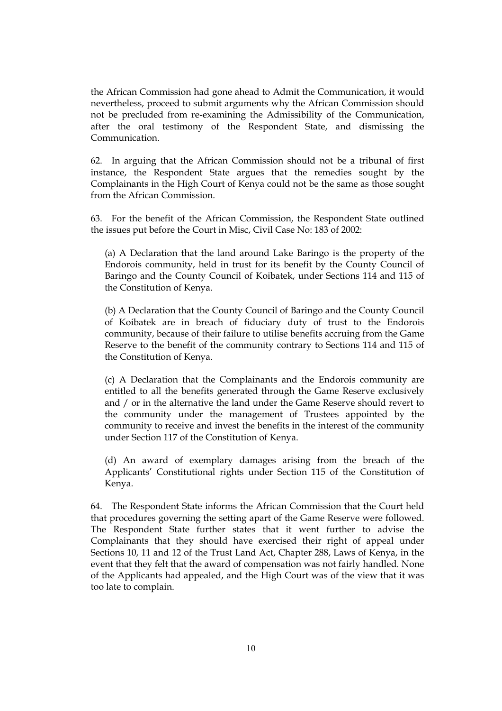the African Commission had gone ahead to Admit the Communication, it would nevertheless, proceed to submit arguments why the African Commission should not be precluded from re-examining the Admissibility of the Communication, after the oral testimony of the Respondent State, and dismissing the Communication.

62. In arguing that the African Commission should not be a tribunal of first instance, the Respondent State argues that the remedies sought by the Complainants in the High Court of Kenya could not be the same as those sought from the African Commission.

63. For the benefit of the African Commission, the Respondent State outlined the issues put before the Court in Misc, Civil Case No: 183 of 2002:

(a) A Declaration that the land around Lake Baringo is the property of the Endorois community, held in trust for its benefit by the County Council of Baringo and the County Council of Koibatek, under Sections 114 and 115 of the Constitution of Kenya.

(b) A Declaration that the County Council of Baringo and the County Council of Koibatek are in breach of fiduciary duty of trust to the Endorois community, because of their failure to utilise benefits accruing from the Game Reserve to the benefit of the community contrary to Sections 114 and 115 of the Constitution of Kenya.

(c) A Declaration that the Complainants and the Endorois community are entitled to all the benefits generated through the Game Reserve exclusively and / or in the alternative the land under the Game Reserve should revert to the community under the management of Trustees appointed by the community to receive and invest the benefits in the interest of the community under Section 117 of the Constitution of Kenya.

(d) An award of exemplary damages arising from the breach of the Applicants' Constitutional rights under Section 115 of the Constitution of Kenya.

64. The Respondent State informs the African Commission that the Court held that procedures governing the setting apart of the Game Reserve were followed. The Respondent State further states that it went further to advise the Complainants that they should have exercised their right of appeal under Sections 10, 11 and 12 of the Trust Land Act, Chapter 288, Laws of Kenya, in the event that they felt that the award of compensation was not fairly handled. None of the Applicants had appealed, and the High Court was of the view that it was too late to complain.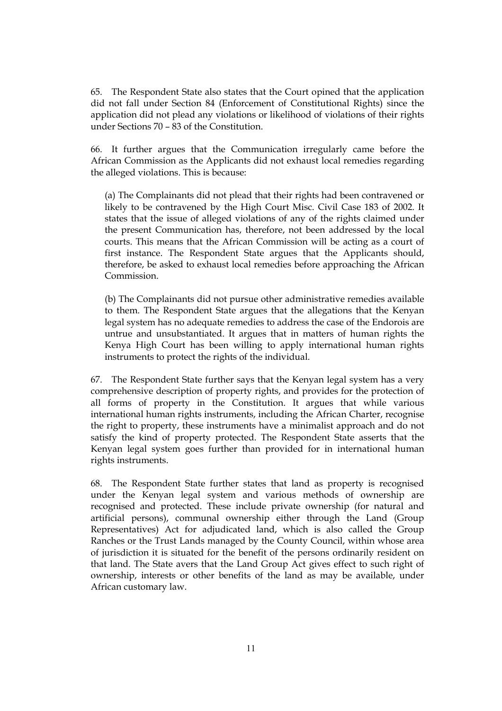65. The Respondent State also states that the Court opined that the application did not fall under Section 84 (Enforcement of Constitutional Rights) since the application did not plead any violations or likelihood of violations of their rights under Sections 70 – 83 of the Constitution.

66. It further argues that the Communication irregularly came before the African Commission as the Applicants did not exhaust local remedies regarding the alleged violations. This is because:

(a) The Complainants did not plead that their rights had been contravened or likely to be contravened by the High Court Misc. Civil Case 183 of 2002. It states that the issue of alleged violations of any of the rights claimed under the present Communication has, therefore, not been addressed by the local courts. This means that the African Commission will be acting as a court of first instance. The Respondent State argues that the Applicants should, therefore, be asked to exhaust local remedies before approaching the African Commission.

(b) The Complainants did not pursue other administrative remedies available to them. The Respondent State argues that the allegations that the Kenyan legal system has no adequate remedies to address the case of the Endorois are untrue and unsubstantiated. It argues that in matters of human rights the Kenya High Court has been willing to apply international human rights instruments to protect the rights of the individual.

67. The Respondent State further says that the Kenyan legal system has a very comprehensive description of property rights, and provides for the protection of all forms of property in the Constitution. It argues that while various international human rights instruments, including the African Charter, recognise the right to property, these instruments have a minimalist approach and do not satisfy the kind of property protected. The Respondent State asserts that the Kenyan legal system goes further than provided for in international human rights instruments.

68. The Respondent State further states that land as property is recognised under the Kenyan legal system and various methods of ownership are recognised and protected. These include private ownership (for natural and artificial persons), communal ownership either through the Land (Group Representatives) Act for adjudicated land, which is also called the Group Ranches or the Trust Lands managed by the County Council, within whose area of jurisdiction it is situated for the benefit of the persons ordinarily resident on that land. The State avers that the Land Group Act gives effect to such right of ownership, interests or other benefits of the land as may be available, under African customary law.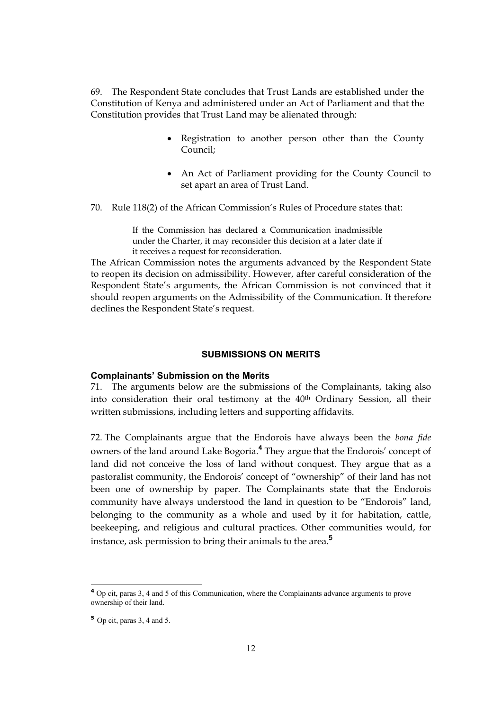69. The Respondent State concludes that Trust Lands are established under the Constitution of Kenya and administered under an Act of Parliament and that the Constitution provides that Trust Land may be alienated through:

- Registration to another person other than the County Council;
- An Act of Parliament providing for the County Council to set apart an area of Trust Land.
- 70. Rule 118(2) of the African Commission's Rules of Procedure states that:

If the Commission has declared a Communication inadmissible under the Charter, it may reconsider this decision at a later date if it receives a request for reconsideration.

The African Commission notes the arguments advanced by the Respondent State to reopen its decision on admissibility. However, after careful consideration of the Respondent State's arguments, the African Commission is not convinced that it should reopen arguments on the Admissibility of the Communication. It therefore declines the Respondent State's request.

#### **SUBMISSIONS ON MERITS**

#### **Complainants' Submission on the Merits**

71. The arguments below are the submissions of the Complainants, taking also into consideration their oral testimony at the 40th Ordinary Session, all their written submissions, including letters and supporting affidavits.

72. The Complainants argue that the Endorois have always been the *bona fide* owners of the land around Lake Bogoria.**<sup>4</sup>** They argue that the Endorois' concept of land did not conceive the loss of land without conquest. They argue that as a pastoralist community, the Endorois' concept of "ownership" of their land has not been one of ownership by paper. The Complainants state that the Endorois community have always understood the land in question to be "Endorois" land, belonging to the community as a whole and used by it for habitation, cattle, beekeeping, and religious and cultural practices. Other communities would, for instance, ask permission to bring their animals to the area.**<sup>5</sup>**

**<sup>4</sup>** Op cit, paras 3, 4 and 5 of this Communication, where the Complainants advance arguments to prove ownership of their land.

**<sup>5</sup>** Op cit, paras 3, 4 and 5.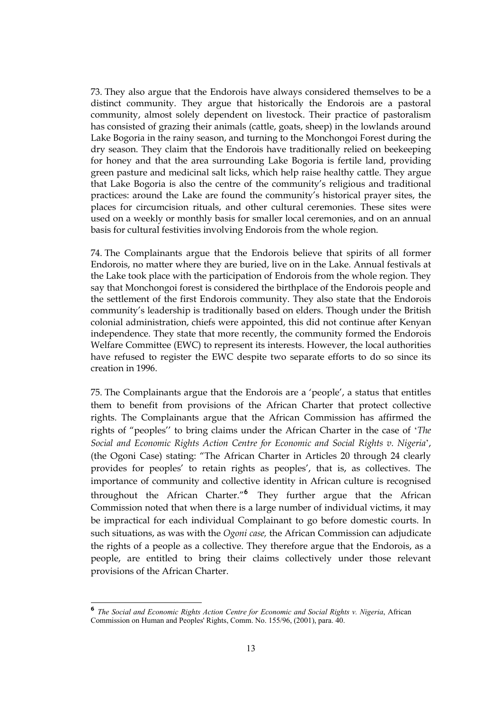73. They also argue that the Endorois have always considered themselves to be a distinct community. They argue that historically the Endorois are a pastoral community, almost solely dependent on livestock. Their practice of pastoralism has consisted of grazing their animals (cattle, goats, sheep) in the lowlands around Lake Bogoria in the rainy season, and turning to the Monchongoi Forest during the dry season. They claim that the Endorois have traditionally relied on beekeeping for honey and that the area surrounding Lake Bogoria is fertile land, providing green pasture and medicinal salt licks, which help raise healthy cattle. They argue that Lake Bogoria is also the centre of the community's religious and traditional practices: around the Lake are found the community's historical prayer sites, the places for circumcision rituals, and other cultural ceremonies. These sites were used on a weekly or monthly basis for smaller local ceremonies, and on an annual basis for cultural festivities involving Endorois from the whole region.

74. The Complainants argue that the Endorois believe that spirits of all former Endorois, no matter where they are buried, live on in the Lake. Annual festivals at the Lake took place with the participation of Endorois from the whole region. They say that Monchongoi forest is considered the birthplace of the Endorois people and the settlement of the first Endorois community. They also state that the Endorois community's leadership is traditionally based on elders. Though under the British colonial administration, chiefs were appointed, this did not continue after Kenyan independence. They state that more recently, the community formed the Endorois Welfare Committee (EWC) to represent its interests. However, the local authorities have refused to register the EWC despite two separate efforts to do so since its creation in 1996.

75. The Complainants argue that the Endorois are a 'people', a status that entitles them to benefit from provisions of the African Charter that protect collective rights. The Complainants argue that the African Commission has affirmed the rights of "peoples'' to bring claims under the African Charter in the case of '*The Social and Economic Rights Action Centre for Economic and Social Rights v. Nigeria*', (the Ogoni Case) stating: "The African Charter in Articles 20 through 24 clearly provides for peoples' to retain rights as peoples', that is, as collectives. The importance of community and collective identity in African culture is recognised throughout the African Charter."**<sup>6</sup>** They further argue that the African Commission noted that when there is a large number of individual victims, it may be impractical for each individual Complainant to go before domestic courts. In such situations, as was with the *Ogoni case,* the African Commission can adjudicate the rights of a people as a collective. They therefore argue that the Endorois, as a people, are entitled to bring their claims collectively under those relevant provisions of the African Charter.

**<sup>6</sup>** *The Social and Economic Rights Action Centre for Economic and Social Rights v. Nigeria*, African Commission on Human and Peoples' Rights, Comm. No. 155/96, (2001), para. 40.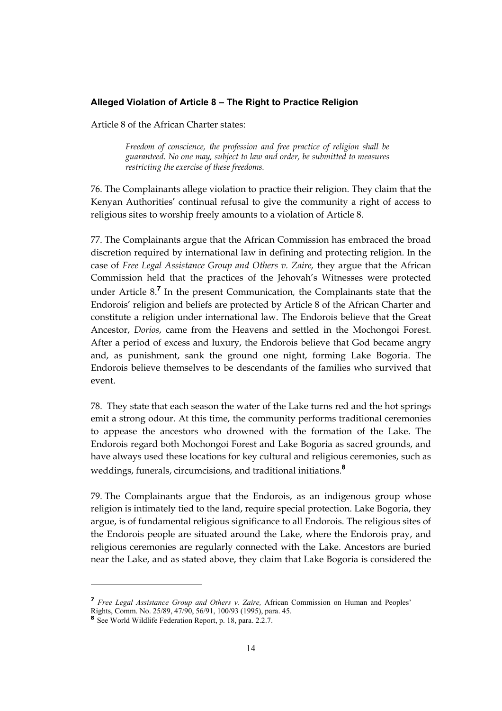#### **Alleged Violation of Article 8 – The Right to Practice Religion**

Article 8 of the African Charter states:

*Freedom of conscience, the profession and free practice of religion shall be guaranteed. No one may, subject to law and order, be submitted to measures restricting the exercise of these freedoms.* 

76. The Complainants allege violation to practice their religion. They claim that the Kenyan Authorities' continual refusal to give the community a right of access to religious sites to worship freely amounts to a violation of Article 8.

77. The Complainants argue that the African Commission has embraced the broad discretion required by international law in defining and protecting religion. In the case of *Free Legal Assistance Group and Others v. Zaire,* they argue that the African Commission held that the practices of the Jehovah's Witnesses were protected under Article 8.**<sup>7</sup>** In the present Communication*,* the Complainants state that the Endorois' religion and beliefs are protected by Article 8 of the African Charter and constitute a religion under international law. The Endorois believe that the Great Ancestor, *Dorios*, came from the Heavens and settled in the Mochongoi Forest. After a period of excess and luxury, the Endorois believe that God became angry and, as punishment, sank the ground one night, forming Lake Bogoria. The Endorois believe themselves to be descendants of the families who survived that event.

78. They state that each season the water of the Lake turns red and the hot springs emit a strong odour. At this time, the community performs traditional ceremonies to appease the ancestors who drowned with the formation of the Lake. The Endorois regard both Mochongoi Forest and Lake Bogoria as sacred grounds, and have always used these locations for key cultural and religious ceremonies, such as weddings, funerals, circumcisions, and traditional initiations.**<sup>8</sup>**

79. The Complainants argue that the Endorois, as an indigenous group whose religion is intimately tied to the land, require special protection. Lake Bogoria, they argue, is of fundamental religious significance to all Endorois. The religious sites of the Endorois people are situated around the Lake, where the Endorois pray, and religious ceremonies are regularly connected with the Lake. Ancestors are buried near the Lake, and as stated above, they claim that Lake Bogoria is considered the

**<sup>7</sup>** *Free Legal Assistance Group and Others v. Zaire,* African Commission on Human and Peoples'

Rights, Comm. No. 25/89, 47/90, 56/91, 100/93 (1995), para. 45.

**<sup>8</sup>** See World Wildlife Federation Report, p. 18, para. 2.2.7.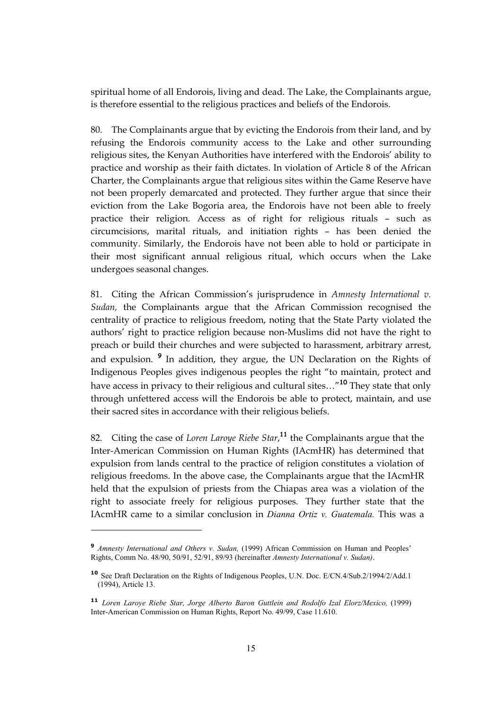spiritual home of all Endorois, living and dead. The Lake, the Complainants argue, is therefore essential to the religious practices and beliefs of the Endorois.

80. The Complainants argue that by evicting the Endorois from their land, and by refusing the Endorois community access to the Lake and other surrounding religious sites, the Kenyan Authorities have interfered with the Endorois' ability to practice and worship as their faith dictates. In violation of Article 8 of the African Charter, the Complainants argue that religious sites within the Game Reserve have not been properly demarcated and protected. They further argue that since their eviction from the Lake Bogoria area, the Endorois have not been able to freely practice their religion. Access as of right for religious rituals – such as circumcisions, marital rituals, and initiation rights – has been denied the community. Similarly, the Endorois have not been able to hold or participate in their most significant annual religious ritual, which occurs when the Lake undergoes seasonal changes.

81. Citing the African Commission's jurisprudence in *Amnesty International v. Sudan,* the Complainants argue that the African Commission recognised the centrality of practice to religious freedom, noting that the State Party violated the authors' right to practice religion because non-Muslims did not have the right to preach or build their churches and were subjected to harassment, arbitrary arrest, and expulsion.**<sup>9</sup>** In addition, they argue, the UN Declaration on the Rights of Indigenous Peoples gives indigenous peoples the right "to maintain, protect and have access in privacy to their religious and cultural sites…"**<sup>10</sup>** They state that only through unfettered access will the Endorois be able to protect, maintain, and use their sacred sites in accordance with their religious beliefs.

82. Citing the case of *Loren Laroye Riebe Star*, **<sup>11</sup>** the Complainants argue that the Inter-American Commission on Human Rights (IAcmHR) has determined that expulsion from lands central to the practice of religion constitutes a violation of religious freedoms. In the above case, the Complainants argue that the IAcmHR held that the expulsion of priests from the Chiapas area was a violation of the right to associate freely for religious purposes. They further state that the IAcmHR came to a similar conclusion in *Dianna Ortiz v. Guatemala.* This was a

<sup>&</sup>lt;sup>9</sup> *Amnesty International and Others v. Sudan,* (1999) African Commission on Human and Peoples' Rights, Comm No. 48/90, 50/91, 52/91, 89/93 (hereinafter *Amnesty International v. Sudan)*.

<sup>&</sup>lt;sup>10</sup> See Draft Declaration on the Rights of Indigenous Peoples, U.N. Doc. E/CN.4/Sub.2/1994/2/Add.1 (1994), Article 13.

**<sup>11</sup>** *Loren Laroye Riebe Star, Jorge Alberto Baron Guttlein and Rodolfo Izal Elorz/Mexico,* (1999) Inter-American Commission on Human Rights, Report No. 49/99, Case 11.610.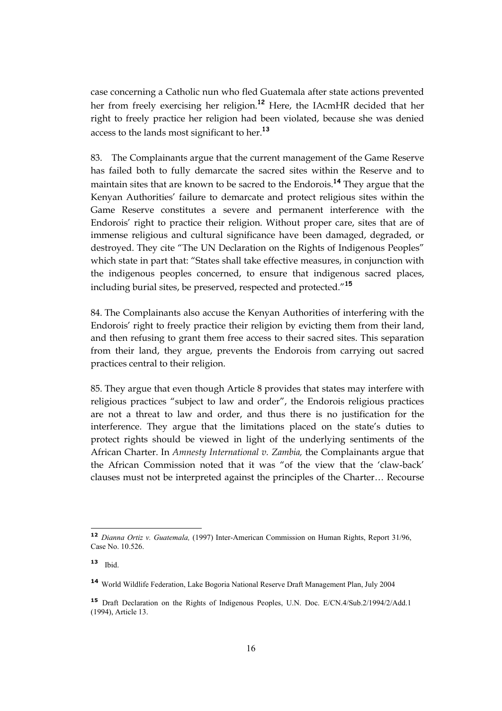case concerning a Catholic nun who fled Guatemala after state actions prevented her from freely exercising her religion.**<sup>12</sup>** Here, the IAcmHR decided that her right to freely practice her religion had been violated, because she was denied access to the lands most significant to her.**<sup>13</sup>**

83. The Complainants argue that the current management of the Game Reserve has failed both to fully demarcate the sacred sites within the Reserve and to maintain sites that are known to be sacred to the Endorois.**<sup>14</sup>** They argue that the Kenyan Authorities' failure to demarcate and protect religious sites within the Game Reserve constitutes a severe and permanent interference with the Endorois' right to practice their religion. Without proper care, sites that are of immense religious and cultural significance have been damaged, degraded, or destroyed. They cite "The UN Declaration on the Rights of Indigenous Peoples" which state in part that: "States shall take effective measures, in conjunction with the indigenous peoples concerned, to ensure that indigenous sacred places, including burial sites, be preserved, respected and protected."**<sup>15</sup>**

84. The Complainants also accuse the Kenyan Authorities of interfering with the Endorois' right to freely practice their religion by evicting them from their land, and then refusing to grant them free access to their sacred sites. This separation from their land, they argue, prevents the Endorois from carrying out sacred practices central to their religion.

85. They argue that even though Article 8 provides that states may interfere with religious practices "subject to law and order", the Endorois religious practices are not a threat to law and order, and thus there is no justification for the interference. They argue that the limitations placed on the state's duties to protect rights should be viewed in light of the underlying sentiments of the African Charter. In *Amnesty International v. Zambia,* the Complainants argue that the African Commission noted that it was "of the view that the 'claw-back' clauses must not be interpreted against the principles of the Charter… Recourse

**<sup>12</sup>** *Dianna Ortiz v. Guatemala,* (1997) Inter-American Commission on Human Rights, Report 31/96, Case No. 10.526.

**<sup>13</sup>** Ibid.

**<sup>14</sup>** World Wildlife Federation, Lake Bogoria National Reserve Draft Management Plan, July 2004

**<sup>15</sup>** Draft Declaration on the Rights of Indigenous Peoples, U.N. Doc. E/CN.4/Sub.2/1994/2/Add.1 (1994), Article 13.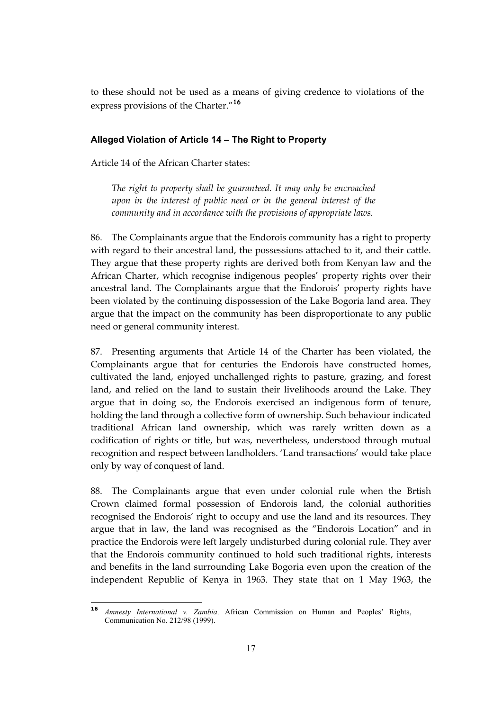to these should not be used as a means of giving credence to violations of the express provisions of the Charter."**<sup>16</sup>**

#### **Alleged Violation of Article 14 – The Right to Property**

Article 14 of the African Charter states:

*The right to property shall be guaranteed. It may only be encroached upon in the interest of public need or in the general interest of the community and in accordance with the provisions of appropriate laws.* 

86. The Complainants argue that the Endorois community has a right to property with regard to their ancestral land, the possessions attached to it, and their cattle. They argue that these property rights are derived both from Kenyan law and the African Charter, which recognise indigenous peoples' property rights over their ancestral land. The Complainants argue that the Endorois' property rights have been violated by the continuing dispossession of the Lake Bogoria land area. They argue that the impact on the community has been disproportionate to any public need or general community interest.

87. Presenting arguments that Article 14 of the Charter has been violated, the Complainants argue that for centuries the Endorois have constructed homes, cultivated the land, enjoyed unchallenged rights to pasture, grazing, and forest land, and relied on the land to sustain their livelihoods around the Lake. They argue that in doing so, the Endorois exercised an indigenous form of tenure, holding the land through a collective form of ownership. Such behaviour indicated traditional African land ownership, which was rarely written down as a codification of rights or title, but was, nevertheless, understood through mutual recognition and respect between landholders. 'Land transactions' would take place only by way of conquest of land.

88. The Complainants argue that even under colonial rule when the Brtish Crown claimed formal possession of Endorois land, the colonial authorities recognised the Endorois' right to occupy and use the land and its resources. They argue that in law, the land was recognised as the "Endorois Location" and in practice the Endorois were left largely undisturbed during colonial rule. They aver that the Endorois community continued to hold such traditional rights, interests and benefits in the land surrounding Lake Bogoria even upon the creation of the independent Republic of Kenya in 1963. They state that on 1 May 1963, the

**<sup>16</sup>** *Amnesty International v. Zambia,* African Commission on Human and Peoples' Rights, Communication No. 212/98 (1999).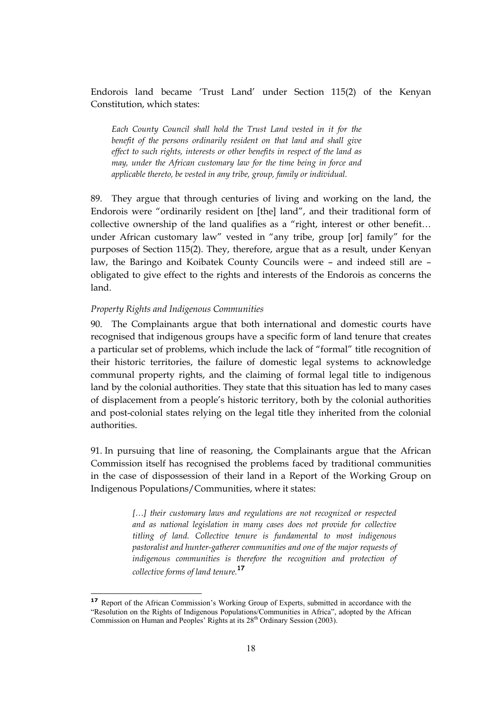Endorois land became 'Trust Land' under Section 115(2) of the Kenyan Constitution, which states:

*Each County Council shall hold the Trust Land vested in it for the benefit of the persons ordinarily resident on that land and shall give effect to such rights, interests or other benefits in respect of the land as may, under the African customary law for the time being in force and applicable thereto, be vested in any tribe, group, family or individual.*

89. They argue that through centuries of living and working on the land, the Endorois were "ordinarily resident on [the] land", and their traditional form of collective ownership of the land qualifies as a "right, interest or other benefit… under African customary law" vested in "any tribe, group [or] family" for the purposes of Section 115(2). They, therefore, argue that as a result, under Kenyan law, the Baringo and Koibatek County Councils were – and indeed still are – obligated to give effect to the rights and interests of the Endorois as concerns the land.

#### *Property Rights and Indigenous Communities*

1

90. The Complainants argue that both international and domestic courts have recognised that indigenous groups have a specific form of land tenure that creates a particular set of problems, which include the lack of "formal" title recognition of their historic territories, the failure of domestic legal systems to acknowledge communal property rights, and the claiming of formal legal title to indigenous land by the colonial authorities. They state that this situation has led to many cases of displacement from a people's historic territory, both by the colonial authorities and post-colonial states relying on the legal title they inherited from the colonial authorities.

91. In pursuing that line of reasoning, the Complainants argue that the African Commission itself has recognised the problems faced by traditional communities in the case of dispossession of their land in a Report of the Working Group on Indigenous Populations/Communities, where it states:

> [...] their customary laws and regulations are not recognized or respected *and as national legislation in many cases does not provide for collective titling of land. Collective tenure is fundamental to most indigenous pastoralist and hunter-gatherer communities and one of the major requests of indigenous communities is therefore the recognition and protection of collective forms of land tenure.***<sup>17</sup>**

**<sup>17</sup>** Report of the African Commission's Working Group of Experts, submitted in accordance with the "Resolution on the Rights of Indigenous Populations/Communities in Africa", adopted by the African Commission on Human and Peoples' Rights at its 28<sup>th</sup> Ordinary Session (2003).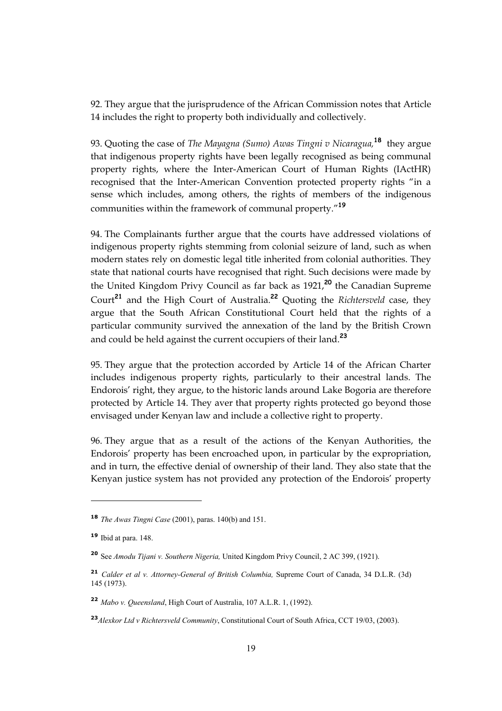92. They argue that the jurisprudence of the African Commission notes that Article 14 includes the right to property both individually and collectively.

93. Quoting the case of *The Mayagna (Sumo) Awas Tingni v Nicaragua,***<sup>18</sup>** they argue that indigenous property rights have been legally recognised as being communal property rights, where the Inter-American Court of Human Rights (IActHR) recognised that the Inter-American Convention protected property rights "in a sense which includes, among others, the rights of members of the indigenous communities within the framework of communal property."**<sup>19</sup>**

94. The Complainants further argue that the courts have addressed violations of indigenous property rights stemming from colonial seizure of land, such as when modern states rely on domestic legal title inherited from colonial authorities. They state that national courts have recognised that right. Such decisions were made by the United Kingdom Privy Council as far back as 1921,**<sup>20</sup>** the Canadian Supreme Court**<sup>21</sup>** and the High Court of Australia.**<sup>22</sup>** Quoting the *Richtersveld* case, they argue that the South African Constitutional Court held that the rights of a particular community survived the annexation of the land by the British Crown and could be held against the current occupiers of their land.**<sup>23</sup>**

95. They argue that the protection accorded by Article 14 of the African Charter includes indigenous property rights, particularly to their ancestral lands. The Endorois' right, they argue, to the historic lands around Lake Bogoria are therefore protected by Article 14. They aver that property rights protected go beyond those envisaged under Kenyan law and include a collective right to property.

96. They argue that as a result of the actions of the Kenyan Authorities, the Endorois' property has been encroached upon, in particular by the expropriation, and in turn, the effective denial of ownership of their land. They also state that the Kenyan justice system has not provided any protection of the Endorois' property

-

**<sup>18</sup>** *The Awas Tingni Case* (2001), paras. 140(b) and 151.

**<sup>19</sup>** Ibid at para. 148.

**<sup>20</sup>** See *Amodu Tijani v. Southern Nigeria,* United Kingdom Privy Council, 2 AC 399, (1921).

**<sup>21</sup>** *Calder et al v. Attorney-General of British Columbia,* Supreme Court of Canada, 34 D.L.R. (3d) 145 (1973).

**<sup>22</sup>** *Mabo v. Queensland*, High Court of Australia, 107 A.L.R. 1, (1992).

**<sup>23</sup>***Alexkor Ltd v Richtersveld Community*, Constitutional Court of South Africa, CCT 19/03, (2003).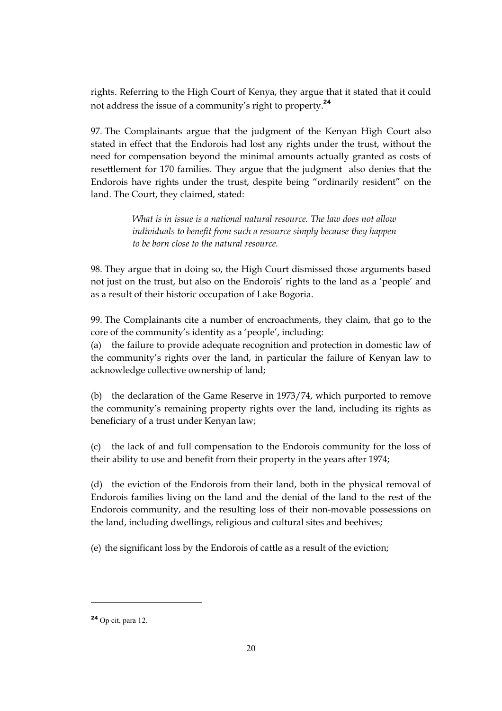rights. Referring to the High Court of Kenya, they argue that it stated that it could not address the issue of a community's right to property.**<sup>24</sup>**

97. The Complainants argue that the judgment of the Kenyan High Court also stated in effect that the Endorois had lost any rights under the trust, without the need for compensation beyond the minimal amounts actually granted as costs of resettlement for 170 families. They argue that the judgment also denies that the Endorois have rights under the trust, despite being "ordinarily resident" on the land. The Court, they claimed, stated:

> *What is in issue is a national natural resource. The law does not allow individuals to benefit from such a resource simply because they happen to be born close to the natural resource.*

98. They argue that in doing so, the High Court dismissed those arguments based not just on the trust, but also on the Endorois' rights to the land as a 'people' and as a result of their historic occupation of Lake Bogoria.

99. The Complainants cite a number of encroachments, they claim, that go to the core of the community's identity as a 'people', including:

(a) the failure to provide adequate recognition and protection in domestic law of the community's rights over the land, in particular the failure of Kenyan law to acknowledge collective ownership of land;

(b) the declaration of the Game Reserve in 1973/74, which purported to remove the community's remaining property rights over the land, including its rights as beneficiary of a trust under Kenyan law;

(c) the lack of and full compensation to the Endorois community for the loss of their ability to use and benefit from their property in the years after 1974;

(d) the eviction of the Endorois from their land, both in the physical removal of Endorois families living on the land and the denial of the land to the rest of the Endorois community, and the resulting loss of their non-movable possessions on the land, including dwellings, religious and cultural sites and beehives;

(e) the significant loss by the Endorois of cattle as a result of the eviction;

**<sup>24</sup>** Op cit, para 12.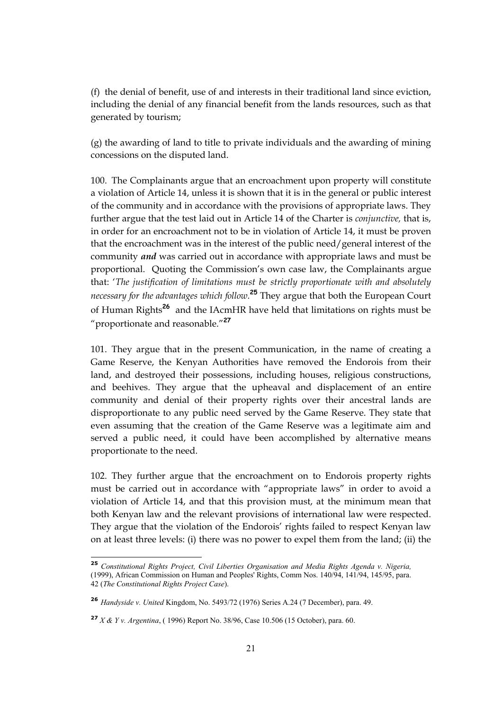(f) the denial of benefit, use of and interests in their traditional land since eviction, including the denial of any financial benefit from the lands resources, such as that generated by tourism;

(g) the awarding of land to title to private individuals and the awarding of mining concessions on the disputed land.

100. The Complainants argue that an encroachment upon property will constitute a violation of Article 14, unless it is shown that it is in the general or public interest of the community and in accordance with the provisions of appropriate laws. They further argue that the test laid out in Article 14 of the Charter is *conjunctive,* that is, in order for an encroachment not to be in violation of Article 14, it must be proven that the encroachment was in the interest of the public need/general interest of the community *and* was carried out in accordance with appropriate laws and must be proportional. Quoting the Commission's own case law, the Complainants argue that: '*The justification of limitations must be strictly proportionate with and absolutely necessary for the advantages which follow.***<sup>25</sup>** They argue that both the European Court of Human Rights**<sup>26</sup>** and the IAcmHR have held that limitations on rights must be "proportionate and reasonable."**<sup>27</sup>**

101. They argue that in the present Communication, in the name of creating a Game Reserve, the Kenyan Authorities have removed the Endorois from their land, and destroyed their possessions, including houses, religious constructions, and beehives. They argue that the upheaval and displacement of an entire community and denial of their property rights over their ancestral lands are disproportionate to any public need served by the Game Reserve. They state that even assuming that the creation of the Game Reserve was a legitimate aim and served a public need, it could have been accomplished by alternative means proportionate to the need.

102. They further argue that the encroachment on to Endorois property rights must be carried out in accordance with "appropriate laws" in order to avoid a violation of Article 14, and that this provision must, at the minimum mean that both Kenyan law and the relevant provisions of international law were respected. They argue that the violation of the Endorois' rights failed to respect Kenyan law on at least three levels: (i) there was no power to expel them from the land; (ii) the

**<sup>25</sup>** *Constitutional Rights Project, Civil Liberties Organisation and Media Rights Agenda v. Nigeria,* (1999), African Commission on Human and Peoples' Rights, Comm Nos. 140/94, 141/94, 145/95, para. 42 (*The Constitutional Rights Project Case*).

**<sup>26</sup>** *Handyside v. United* Kingdom, No. 5493/72 (1976) Series A.24 (7 December), para. 49.

**<sup>27</sup>** *X & Y v. Argentina*, ( 1996) Report No. 38/96, Case 10.506 (15 October), para. 60.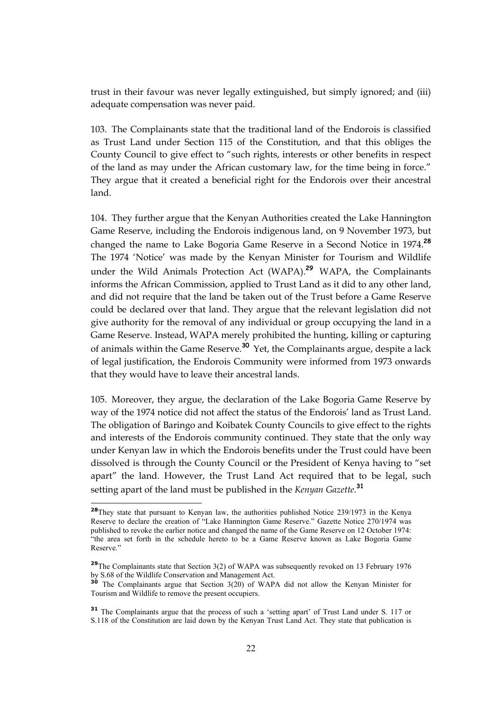trust in their favour was never legally extinguished, but simply ignored; and (iii) adequate compensation was never paid.

103. The Complainants state that the traditional land of the Endorois is classified as Trust Land under Section 115 of the Constitution, and that this obliges the County Council to give effect to "such rights, interests or other benefits in respect of the land as may under the African customary law, for the time being in force." They argue that it created a beneficial right for the Endorois over their ancestral land.

104. They further argue that the Kenyan Authorities created the Lake Hannington Game Reserve, including the Endorois indigenous land, on 9 November 1973, but changed the name to Lake Bogoria Game Reserve in a Second Notice in 1974.**<sup>28</sup>** The 1974 'Notice' was made by the Kenyan Minister for Tourism and Wildlife under the Wild Animals Protection Act (WAPA).**<sup>29</sup>** WAPA, the Complainants informs the African Commission, applied to Trust Land as it did to any other land, and did not require that the land be taken out of the Trust before a Game Reserve could be declared over that land. They argue that the relevant legislation did not give authority for the removal of any individual or group occupying the land in a Game Reserve. Instead, WAPA merely prohibited the hunting, killing or capturing of animals within the Game Reserve.**<sup>30</sup>** Yet, the Complainants argue, despite a lack of legal justification, the Endorois Community were informed from 1973 onwards that they would have to leave their ancestral lands.

105. Moreover, they argue, the declaration of the Lake Bogoria Game Reserve by way of the 1974 notice did not affect the status of the Endorois' land as Trust Land. The obligation of Baringo and Koibatek County Councils to give effect to the rights and interests of the Endorois community continued. They state that the only way under Kenyan law in which the Endorois benefits under the Trust could have been dissolved is through the County Council or the President of Kenya having to "set apart" the land. However, the Trust Land Act required that to be legal, such setting apart of the land must be published in the *Kenyan Gazette*. **31**

**<sup>28</sup>**They state that pursuant to Kenyan law, the authorities published Notice 239/1973 in the Kenya Reserve to declare the creation of "Lake Hannington Game Reserve." Gazette Notice 270/1974 was published to revoke the earlier notice and changed the name of the Game Reserve on 12 October 1974: "the area set forth in the schedule hereto to be a Game Reserve known as Lake Bogoria Game Reserve."

<sup>&</sup>lt;sup>29</sup>The Complainants state that Section 3(2) of WAPA was subsequently revoked on 13 February 1976 by S.68 of the Wildlife Conservation and Management Act.

**<sup>30</sup>** The Complainants argue that Section 3(20) of WAPA did not allow the Kenyan Minister for Tourism and Wildlife to remove the present occupiers.

**<sup>31</sup>** The Complainants argue that the process of such a 'setting apart' of Trust Land under S. 117 or S.118 of the Constitution are laid down by the Kenyan Trust Land Act. They state that publication is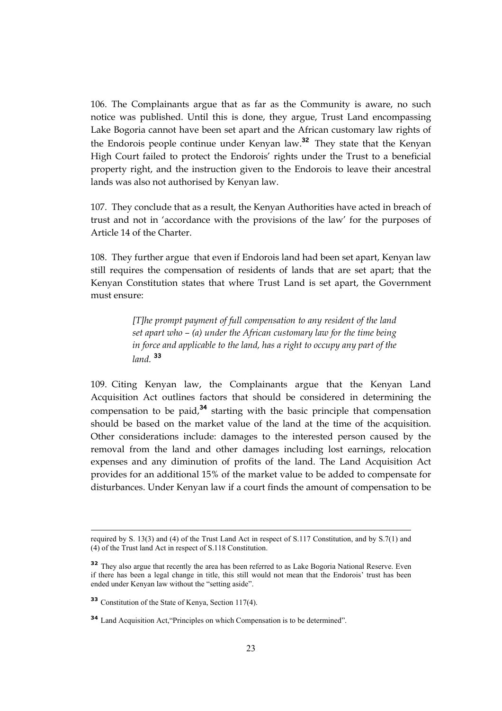106. The Complainants argue that as far as the Community is aware, no such notice was published. Until this is done, they argue, Trust Land encompassing Lake Bogoria cannot have been set apart and the African customary law rights of the Endorois people continue under Kenyan law.**<sup>32</sup>** They state that the Kenyan High Court failed to protect the Endorois' rights under the Trust to a beneficial property right, and the instruction given to the Endorois to leave their ancestral lands was also not authorised by Kenyan law.

107. They conclude that as a result, the Kenyan Authorities have acted in breach of trust and not in 'accordance with the provisions of the law' for the purposes of Article 14 of the Charter.

108. They further argue that even if Endorois land had been set apart, Kenyan law still requires the compensation of residents of lands that are set apart; that the Kenyan Constitution states that where Trust Land is set apart, the Government must ensure:

> *[T]he prompt payment of full compensation to any resident of the land set apart who – (a) under the African customary law for the time being in force and applicable to the land, has a right to occupy any part of the land.***<sup>33</sup>**

109. Citing Kenyan law, the Complainants argue that the Kenyan Land Acquisition Act outlines factors that should be considered in determining the compensation to be paid,**<sup>34</sup>** starting with the basic principle that compensation should be based on the market value of the land at the time of the acquisition. Other considerations include: damages to the interested person caused by the removal from the land and other damages including lost earnings, relocation expenses and any diminution of profits of the land. The Land Acquisition Act provides for an additional 15% of the market value to be added to compensate for disturbances. Under Kenyan law if a court finds the amount of compensation to be

required by S. 13(3) and (4) of the Trust Land Act in respect of S.117 Constitution, and by S.7(1) and (4) of the Trust land Act in respect of S.118 Constitution.

**<sup>32</sup>** They also argue that recently the area has been referred to as Lake Bogoria National Reserve. Even if there has been a legal change in title, this still would not mean that the Endorois' trust has been ended under Kenyan law without the "setting aside".

**<sup>33</sup>** Constitution of the State of Kenya, Section 117(4).

**<sup>34</sup>** Land Acquisition Act,"Principles on which Compensation is to be determined".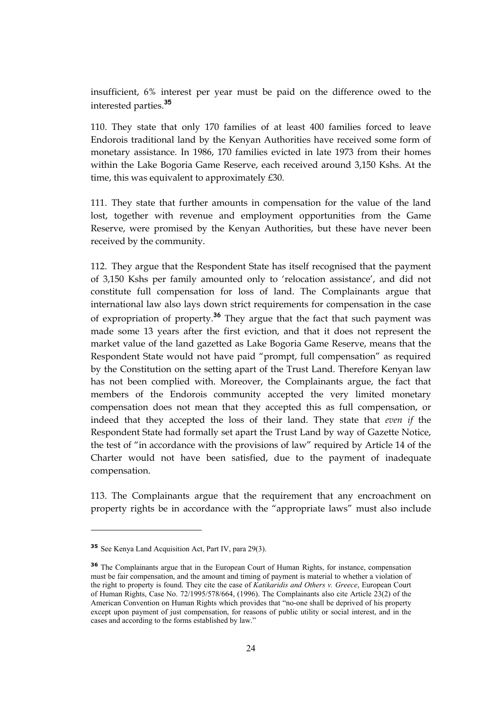insufficient, 6% interest per year must be paid on the difference owed to the interested parties.**<sup>35</sup>**

110. They state that only 170 families of at least 400 families forced to leave Endorois traditional land by the Kenyan Authorities have received some form of monetary assistance. In 1986, 170 families evicted in late 1973 from their homes within the Lake Bogoria Game Reserve, each received around 3,150 Kshs. At the time, this was equivalent to approximately £30.

111. They state that further amounts in compensation for the value of the land lost, together with revenue and employment opportunities from the Game Reserve, were promised by the Kenyan Authorities, but these have never been received by the community.

112. They argue that the Respondent State has itself recognised that the payment of 3,150 Kshs per family amounted only to 'relocation assistance', and did not constitute full compensation for loss of land. The Complainants argue that international law also lays down strict requirements for compensation in the case of expropriation of property.**<sup>36</sup>** They argue that the fact that such payment was made some 13 years after the first eviction, and that it does not represent the market value of the land gazetted as Lake Bogoria Game Reserve, means that the Respondent State would not have paid "prompt, full compensation" as required by the Constitution on the setting apart of the Trust Land. Therefore Kenyan law has not been complied with. Moreover, the Complainants argue, the fact that members of the Endorois community accepted the very limited monetary compensation does not mean that they accepted this as full compensation, or indeed that they accepted the loss of their land. They state that *even if* the Respondent State had formally set apart the Trust Land by way of Gazette Notice, the test of "in accordance with the provisions of law" required by Article 14 of the Charter would not have been satisfied, due to the payment of inadequate compensation.

113. The Complainants argue that the requirement that any encroachment on property rights be in accordance with the "appropriate laws" must also include

**<sup>35</sup>** See Kenya Land Acquisition Act, Part IV, para 29(3).

**<sup>36</sup>** The Complainants argue that in the European Court of Human Rights, for instance, compensation must be fair compensation, and the amount and timing of payment is material to whether a violation of the right to property is found. They cite the case of *Katikaridis and Others v. Greece*, European Court of Human Rights, Case No. 72/1995/578/664, (1996). The Complainants also cite Article 23(2) of the American Convention on Human Rights which provides that "no-one shall be deprived of his property except upon payment of just compensation, for reasons of public utility or social interest, and in the cases and according to the forms established by law."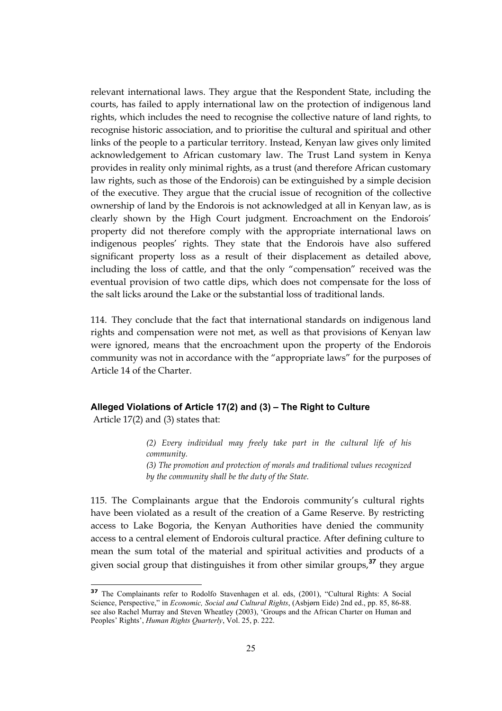relevant international laws. They argue that the Respondent State, including the courts, has failed to apply international law on the protection of indigenous land rights, which includes the need to recognise the collective nature of land rights, to recognise historic association, and to prioritise the cultural and spiritual and other links of the people to a particular territory. Instead, Kenyan law gives only limited acknowledgement to African customary law. The Trust Land system in Kenya provides in reality only minimal rights, as a trust (and therefore African customary law rights, such as those of the Endorois) can be extinguished by a simple decision of the executive. They argue that the crucial issue of recognition of the collective ownership of land by the Endorois is not acknowledged at all in Kenyan law, as is clearly shown by the High Court judgment. Encroachment on the Endorois' property did not therefore comply with the appropriate international laws on indigenous peoples' rights. They state that the Endorois have also suffered significant property loss as a result of their displacement as detailed above, including the loss of cattle, and that the only "compensation" received was the eventual provision of two cattle dips, which does not compensate for the loss of the salt licks around the Lake or the substantial loss of traditional lands.

114. They conclude that the fact that international standards on indigenous land rights and compensation were not met, as well as that provisions of Kenyan law were ignored, means that the encroachment upon the property of the Endorois community was not in accordance with the "appropriate laws" for the purposes of Article 14 of the Charter.

# **Alleged Violations of Article 17(2) and (3) – The Right to Culture**

Article 17(2) and (3) states that:

1

*(2) Every individual may freely take part in the cultural life of his community. (3) The promotion and protection of morals and traditional values recognized by the community shall be the duty of the State.* 

115. The Complainants argue that the Endorois community's cultural rights have been violated as a result of the creation of a Game Reserve. By restricting access to Lake Bogoria, the Kenyan Authorities have denied the community access to a central element of Endorois cultural practice. After defining culture to mean the sum total of the material and spiritual activities and products of a given social group that distinguishes it from other similar groups,**<sup>37</sup>** they argue

<sup>&</sup>lt;sup>37</sup> The Complainants refer to Rodolfo Stavenhagen et al. eds, (2001), "Cultural Rights: A Social Science, Perspective," in *Economic, Social and Cultural Rights*, (Asbjørn Eide) 2nd ed., pp. 85, 86-88. see also Rachel Murray and Steven Wheatley (2003), 'Groups and the African Charter on Human and Peoples' Rights', *Human Rights Quarterly*, Vol. 25, p. 222.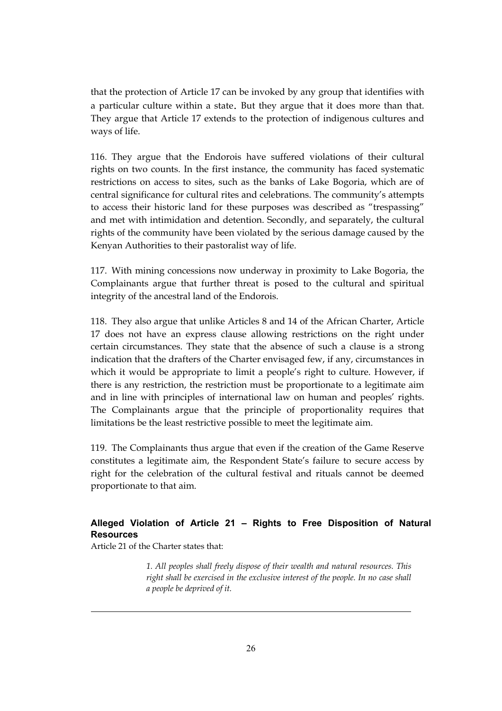that the protection of Article 17 can be invoked by any group that identifies with a particular culture within a state**.** But they argue that it does more than that. They argue that Article 17 extends to the protection of indigenous cultures and ways of life.

116. They argue that the Endorois have suffered violations of their cultural rights on two counts. In the first instance, the community has faced systematic restrictions on access to sites, such as the banks of Lake Bogoria, which are of central significance for cultural rites and celebrations. The community's attempts to access their historic land for these purposes was described as "trespassing" and met with intimidation and detention. Secondly, and separately, the cultural rights of the community have been violated by the serious damage caused by the Kenyan Authorities to their pastoralist way of life.

117. With mining concessions now underway in proximity to Lake Bogoria, the Complainants argue that further threat is posed to the cultural and spiritual integrity of the ancestral land of the Endorois.

118. They also argue that unlike Articles 8 and 14 of the African Charter, Article 17 does not have an express clause allowing restrictions on the right under certain circumstances. They state that the absence of such a clause is a strong indication that the drafters of the Charter envisaged few, if any, circumstances in which it would be appropriate to limit a people's right to culture. However, if there is any restriction, the restriction must be proportionate to a legitimate aim and in line with principles of international law on human and peoples' rights. The Complainants argue that the principle of proportionality requires that limitations be the least restrictive possible to meet the legitimate aim.

119. The Complainants thus argue that even if the creation of the Game Reserve constitutes a legitimate aim, the Respondent State's failure to secure access by right for the celebration of the cultural festival and rituals cannot be deemed proportionate to that aim.

# **Alleged Violation of Article 21 – Rights to Free Disposition of Natural Resources**

Article 21 of the Charter states that:

1

*1. All peoples shall freely dispose of their wealth and natural resources. This right shall be exercised in the exclusive interest of the people. In no case shall a people be deprived of it.*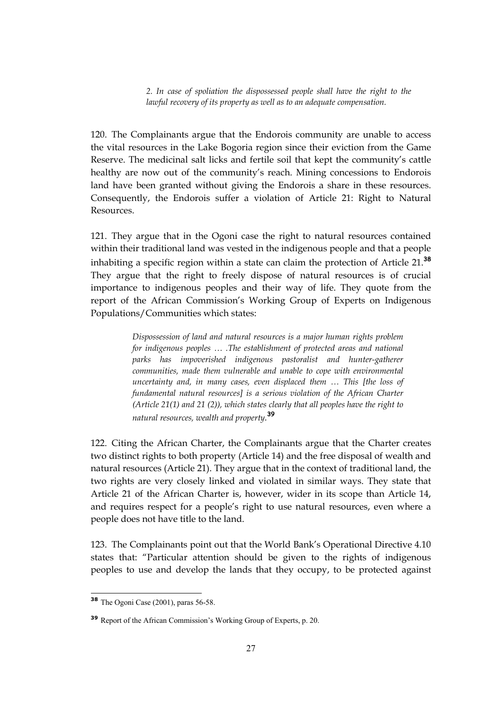*2. In case of spoliation the dispossessed people shall have the right to the lawful recovery of its property as well as to an adequate compensation.* 

120. The Complainants argue that the Endorois community are unable to access the vital resources in the Lake Bogoria region since their eviction from the Game Reserve. The medicinal salt licks and fertile soil that kept the community's cattle healthy are now out of the community's reach. Mining concessions to Endorois land have been granted without giving the Endorois a share in these resources. Consequently, the Endorois suffer a violation of Article 21: Right to Natural Resources.

121. They argue that in the Ogoni case the right to natural resources contained within their traditional land was vested in the indigenous people and that a people inhabiting a specific region within a state can claim the protection of Article 21.**<sup>38</sup>** They argue that the right to freely dispose of natural resources is of crucial importance to indigenous peoples and their way of life. They quote from the report of the African Commission's Working Group of Experts on Indigenous Populations/Communities which states:

> *Dispossession of land and natural resources is a major human rights problem for indigenous peoples … .The establishment of protected areas and national parks has impoverished indigenous pastoralist and hunter-gatherer communities, made them vulnerable and unable to cope with environmental uncertainty and, in many cases, even displaced them … This [the loss of fundamental natural resources] is a serious violation of the African Charter (Article 21(1) and 21 (2)), which states clearly that all peoples have the right to natural resources, wealth and property.* **39**

122. Citing the African Charter, the Complainants argue that the Charter creates two distinct rights to both property (Article 14) and the free disposal of wealth and natural resources (Article 21). They argue that in the context of traditional land, the two rights are very closely linked and violated in similar ways. They state that Article 21 of the African Charter is, however, wider in its scope than Article 14, and requires respect for a people's right to use natural resources, even where a people does not have title to the land.

123. The Complainants point out that the World Bank's Operational Directive 4.10 states that: "Particular attention should be given to the rights of indigenous peoples to use and develop the lands that they occupy, to be protected against

-

**<sup>38</sup>** The Ogoni Case (2001), paras 56-58.

**<sup>39</sup>** Report of the African Commission's Working Group of Experts, p. 20.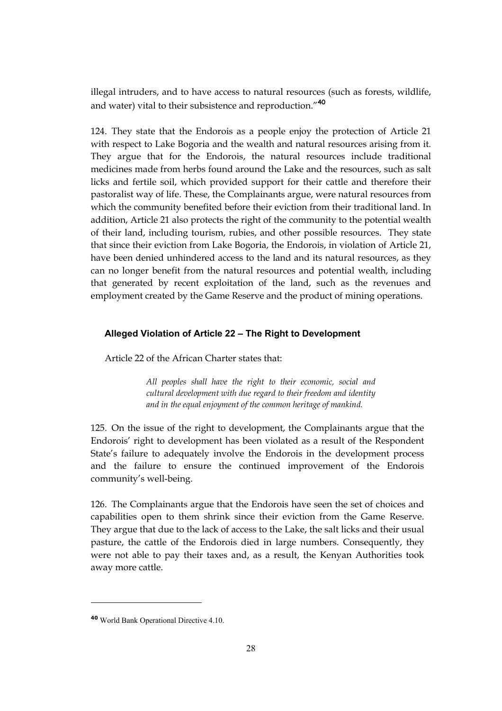illegal intruders, and to have access to natural resources (such as forests, wildlife, and water) vital to their subsistence and reproduction."**<sup>40</sup>**

124. They state that the Endorois as a people enjoy the protection of Article 21 with respect to Lake Bogoria and the wealth and natural resources arising from it. They argue that for the Endorois, the natural resources include traditional medicines made from herbs found around the Lake and the resources, such as salt licks and fertile soil, which provided support for their cattle and therefore their pastoralist way of life. These, the Complainants argue, were natural resources from which the community benefited before their eviction from their traditional land. In addition, Article 21 also protects the right of the community to the potential wealth of their land, including tourism, rubies, and other possible resources. They state that since their eviction from Lake Bogoria, the Endorois, in violation of Article 21, have been denied unhindered access to the land and its natural resources, as they can no longer benefit from the natural resources and potential wealth, including that generated by recent exploitation of the land, such as the revenues and employment created by the Game Reserve and the product of mining operations.

## **Alleged Violation of Article 22 – The Right to Development**

Article 22 of the African Charter states that:

*All peoples shall have the right to their economic, social and cultural development with due regard to their freedom and identity and in the equal enjoyment of the common heritage of mankind.* 

125. On the issue of the right to development, the Complainants argue that the Endorois' right to development has been violated as a result of the Respondent State's failure to adequately involve the Endorois in the development process and the failure to ensure the continued improvement of the Endorois community's well-being.

126. The Complainants argue that the Endorois have seen the set of choices and capabilities open to them shrink since their eviction from the Game Reserve. They argue that due to the lack of access to the Lake, the salt licks and their usual pasture, the cattle of the Endorois died in large numbers. Consequently, they were not able to pay their taxes and, as a result, the Kenyan Authorities took away more cattle.

**<sup>40</sup>** World Bank Operational Directive 4.10.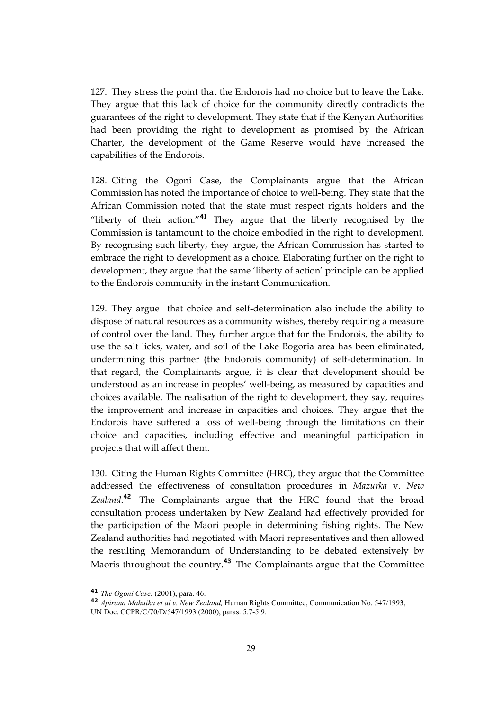127. They stress the point that the Endorois had no choice but to leave the Lake. They argue that this lack of choice for the community directly contradicts the guarantees of the right to development. They state that if the Kenyan Authorities had been providing the right to development as promised by the African Charter, the development of the Game Reserve would have increased the capabilities of the Endorois.

128. Citing the Ogoni Case, the Complainants argue that the African Commission has noted the importance of choice to well-being. They state that the African Commission noted that the state must respect rights holders and the "liberty of their action."**<sup>41</sup>** They argue that the liberty recognised by the Commission is tantamount to the choice embodied in the right to development. By recognising such liberty, they argue, the African Commission has started to embrace the right to development as a choice. Elaborating further on the right to development, they argue that the same 'liberty of action' principle can be applied to the Endorois community in the instant Communication.

129. They argue that choice and self-determination also include the ability to dispose of natural resources as a community wishes, thereby requiring a measure of control over the land. They further argue that for the Endorois, the ability to use the salt licks, water, and soil of the Lake Bogoria area has been eliminated, undermining this partner (the Endorois community) of self-determination. In that regard, the Complainants argue, it is clear that development should be understood as an increase in peoples' well-being, as measured by capacities and choices available. The realisation of the right to development, they say, requires the improvement and increase in capacities and choices. They argue that the Endorois have suffered a loss of well-being through the limitations on their choice and capacities, including effective and meaningful participation in projects that will affect them.

130. Citing the Human Rights Committee (HRC), they argue that the Committee addressed the effectiveness of consultation procedures in *Mazurka* v. *New Zealand*. **<sup>42</sup>** The Complainants argue that the HRC found that the broad consultation process undertaken by New Zealand had effectively provided for the participation of the Maori people in determining fishing rights. The New Zealand authorities had negotiated with Maori representatives and then allowed the resulting Memorandum of Understanding to be debated extensively by Maoris throughout the country.**<sup>43</sup>** The Complainants argue that the Committee

**<sup>41</sup>** *The Ogoni Case*, (2001), para. 46.

**<sup>42</sup>** *Apirana Mahuika et al v. New Zealand,* Human Rights Committee, Communication No. 547/1993,

UN Doc. CCPR/C/70/D/547/1993 (2000), paras. 5.7-5.9.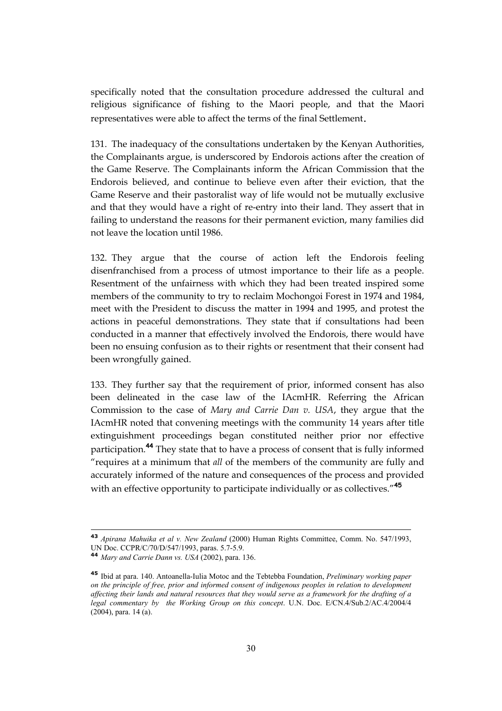specifically noted that the consultation procedure addressed the cultural and religious significance of fishing to the Maori people, and that the Maori representatives were able to affect the terms of the final Settlement**.**

131. The inadequacy of the consultations undertaken by the Kenyan Authorities, the Complainants argue, is underscored by Endorois actions after the creation of the Game Reserve. The Complainants inform the African Commission that the Endorois believed, and continue to believe even after their eviction, that the Game Reserve and their pastoralist way of life would not be mutually exclusive and that they would have a right of re-entry into their land. They assert that in failing to understand the reasons for their permanent eviction, many families did not leave the location until 1986.

132. They argue that the course of action left the Endorois feeling disenfranchised from a process of utmost importance to their life as a people. Resentment of the unfairness with which they had been treated inspired some members of the community to try to reclaim Mochongoi Forest in 1974 and 1984, meet with the President to discuss the matter in 1994 and 1995, and protest the actions in peaceful demonstrations. They state that if consultations had been conducted in a manner that effectively involved the Endorois, there would have been no ensuing confusion as to their rights or resentment that their consent had been wrongfully gained.

133. They further say that the requirement of prior, informed consent has also been delineated in the case law of the IAcmHR. Referring the African Commission to the case of *Mary and Carrie Dan v. USA*, they argue that the IAcmHR noted that convening meetings with the community 14 years after title extinguishment proceedings began constituted neither prior nor effective participation.**<sup>44</sup>** They state that to have a process of consent that is fully informed "requires at a minimum that *all* of the members of the community are fully and accurately informed of the nature and consequences of the process and provided with an effective opportunity to participate individually or as collectives."**<sup>45</sup>**

-

**<sup>43</sup>** *Apirana Mahuika et al v. New Zealand* (2000) Human Rights Committee, Comm. No. 547/1993, UN Doc. CCPR/C/70/D/547/1993, paras. 5.7-5.9.

**<sup>44</sup>** *Mary and Carrie Dann vs. USA* (2002), para. 136.

**<sup>45</sup>** Ibid at para. 140. Antoanella-Iulia Motoc and the Tebtebba Foundation, *Preliminary working paper on the principle of free, prior and informed consent of indigenous peoples in relation to development affecting their lands and natural resources that they would serve as a framework for the drafting of a legal commentary by the Working Group on this concept*. U.N. Doc. E/CN.4/Sub.2/AC.4/2004/4 (2004), para. 14 (a).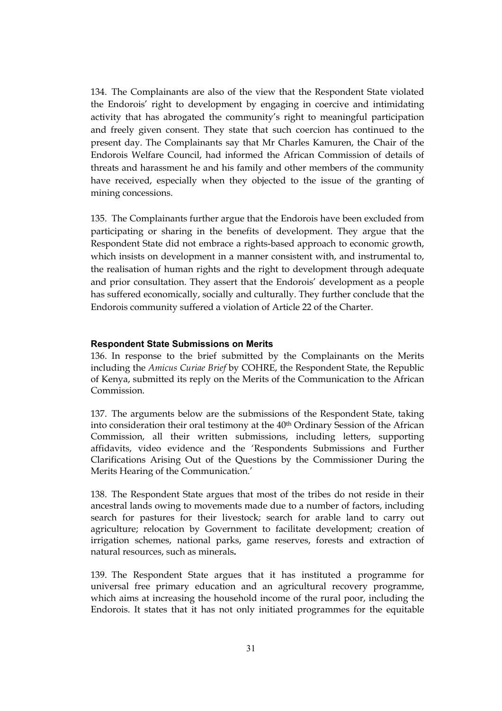134. The Complainants are also of the view that the Respondent State violated the Endorois' right to development by engaging in coercive and intimidating activity that has abrogated the community's right to meaningful participation and freely given consent. They state that such coercion has continued to the present day. The Complainants say that Mr Charles Kamuren, the Chair of the Endorois Welfare Council, had informed the African Commission of details of threats and harassment he and his family and other members of the community have received, especially when they objected to the issue of the granting of mining concessions.

135. The Complainants further argue that the Endorois have been excluded from participating or sharing in the benefits of development. They argue that the Respondent State did not embrace a rights-based approach to economic growth, which insists on development in a manner consistent with, and instrumental to, the realisation of human rights and the right to development through adequate and prior consultation. They assert that the Endorois' development as a people has suffered economically, socially and culturally. They further conclude that the Endorois community suffered a violation of Article 22 of the Charter.

#### **Respondent State Submissions on Merits**

136. In response to the brief submitted by the Complainants on the Merits including the *Amicus Curiae Brief* by COHRE, the Respondent State, the Republic of Kenya, submitted its reply on the Merits of the Communication to the African Commission.

137. The arguments below are the submissions of the Respondent State, taking into consideration their oral testimony at the 40<sup>th</sup> Ordinary Session of the African Commission, all their written submissions, including letters, supporting affidavits, video evidence and the 'Respondents Submissions and Further Clarifications Arising Out of the Questions by the Commissioner During the Merits Hearing of the Communication.'

138. The Respondent State argues that most of the tribes do not reside in their ancestral lands owing to movements made due to a number of factors, including search for pastures for their livestock; search for arable land to carry out agriculture; relocation by Government to facilitate development; creation of irrigation schemes, national parks, game reserves, forests and extraction of natural resources, such as minerals**.**

139. The Respondent State argues that it has instituted a programme for universal free primary education and an agricultural recovery programme, which aims at increasing the household income of the rural poor, including the Endorois. It states that it has not only initiated programmes for the equitable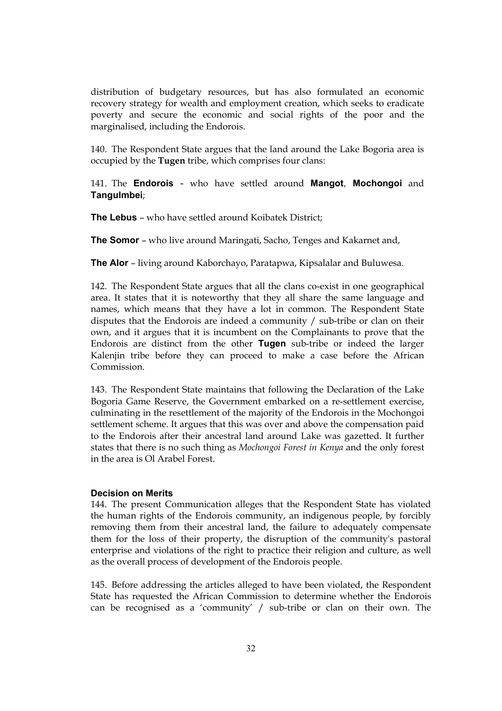distribution of budgetary resources, but has also formulated an economic recovery strategy for wealth and employment creation, which seeks to eradicate poverty and secure the economic and social rights of the poor and the marginalised, including the Endorois.

140. The Respondent State argues that the land around the Lake Bogoria area is occupied by the **Tugen** tribe, which comprises four clans:

# 141. The **Endorois** - who have settled around **Mangot**, **Mochongoi** and **Tangulmbei**;

**The Lebus** – who have settled around Koibatek District;

**The Somor** – who live around Maringati, Sacho, Tenges and Kakarnet and,

**The Alor** – living around Kaborchayo, Paratapwa, Kipsalalar and Buluwesa.

142. The Respondent State argues that all the clans co-exist in one geographical area. It states that it is noteworthy that they all share the same language and names, which means that they have a lot in common. The Respondent State disputes that the Endorois are indeed a community / sub-tribe or clan on their own, and it argues that it is incumbent on the Complainants to prove that the Endorois are distinct from the other **Tugen** sub-tribe or indeed the larger Kalenjin tribe before they can proceed to make a case before the African Commission.

143. The Respondent State maintains that following the Declaration of the Lake Bogoria Game Reserve, the Government embarked on a re-settlement exercise, culminating in the resettlement of the majority of the Endorois in the Mochongoi settlement scheme. It argues that this was over and above the compensation paid to the Endorois after their ancestral land around Lake was gazetted. It further states that there is no such thing as *Mochongoi Forest in Kenya* and the only forest in the area is Ol Arabel Forest.

#### **Decision on Merits**

144. The present Communication alleges that the Respondent State has violated the human rights of the Endorois community, an indigenous people, by forcibly removing them from their ancestral land, the failure to adequately compensate them for the loss of their property, the disruption of the community's pastoral enterprise and violations of the right to practice their religion and culture, as well as the overall process of development of the Endorois people.

145. Before addressing the articles alleged to have been violated, the Respondent State has requested the African Commission to determine whether the Endorois can be recognised as a 'community' / sub-tribe or clan on their own. The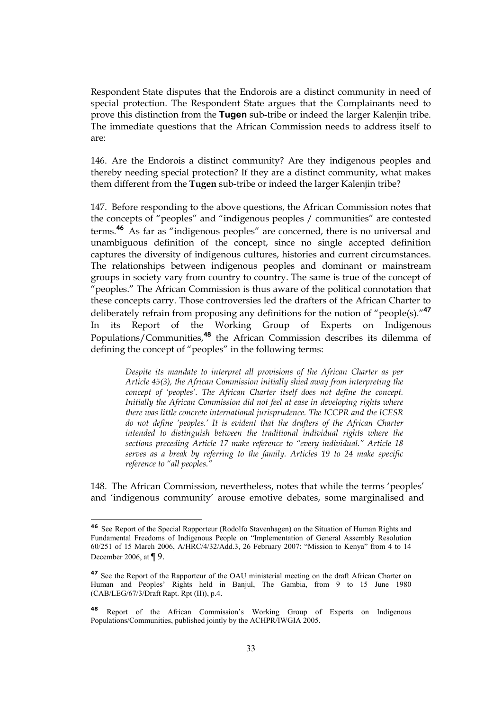Respondent State disputes that the Endorois are a distinct community in need of special protection. The Respondent State argues that the Complainants need to prove this distinction from the **Tugen** sub-tribe or indeed the larger Kalenjin tribe. The immediate questions that the African Commission needs to address itself to are:

146. Are the Endorois a distinct community? Are they indigenous peoples and thereby needing special protection? If they are a distinct community, what makes them different from the **Tugen** sub-tribe or indeed the larger Kalenjin tribe?

147. Before responding to the above questions, the African Commission notes that the concepts of "peoples" and "indigenous peoples / communities" are contested terms.**<sup>46</sup>** As far as "indigenous peoples" are concerned, there is no universal and unambiguous definition of the concept, since no single accepted definition captures the diversity of indigenous cultures, histories and current circumstances. The relationships between indigenous peoples and dominant or mainstream groups in society vary from country to country. The same is true of the concept of "peoples." The African Commission is thus aware of the political connotation that these concepts carry. Those controversies led the drafters of the African Charter to deliberately refrain from proposing any definitions for the notion of "people(s)."**<sup>47</sup>** In its Report of the Working Group of Experts on Indigenous Populations/Communities,**<sup>48</sup>** the African Commission describes its dilemma of defining the concept of "peoples" in the following terms:

> *Despite its mandate to interpret all provisions of the African Charter as per Article 45(3), the African Commission initially shied away from interpreting the concept of 'peoples'. The African Charter itself does not define the concept. Initially the African Commission did not feel at ease in developing rights where there was little concrete international jurisprudence. The ICCPR and the ICESR do not define 'peoples.' It is evident that the drafters of the African Charter intended to distinguish between the traditional individual rights where the sections preceding Article 17 make reference to "every individual." Article 18 serves as a break by referring to the family. Articles 19 to 24 make specific reference to "all peoples."*

148. The African Commission, nevertheless, notes that while the terms 'peoples' and 'indigenous community' arouse emotive debates, some marginalised and

-

**<sup>46</sup>** See Report of the Special Rapporteur (Rodolfo Stavenhagen) on the Situation of Human Rights and Fundamental Freedoms of Indigenous People on "Implementation of General Assembly Resolution 60/251 of 15 March 2006, A/HRC/4/32/Add.3, 26 February 2007: "Mission to Kenya" from 4 to 14 December 2006, at ¶ 9.

**<sup>47</sup>** See the Report of the Rapporteur of the OAU ministerial meeting on the draft African Charter on Human and Peoples' Rights held in Banjul, The Gambia, from 9 to 15 June 1980 (CAB/LEG/67/3/Draft Rapt. Rpt (II)), p.4.

**<sup>48</sup>** Report of the African Commission's Working Group of Experts on Indigenous Populations/Communities, published jointly by the ACHPR/IWGIA 2005.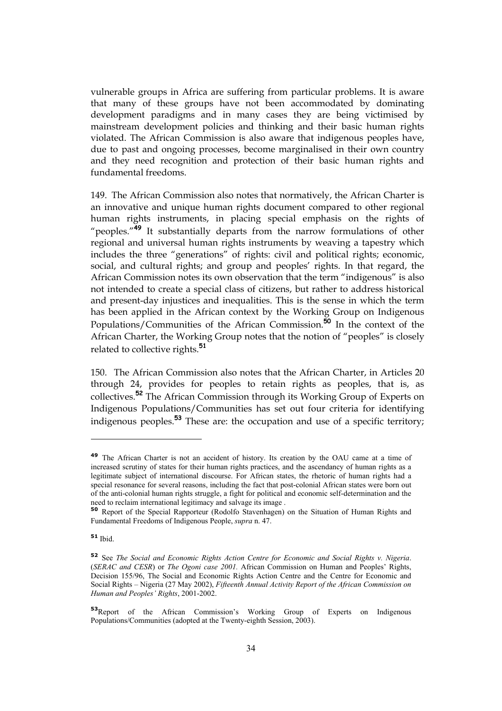vulnerable groups in Africa are suffering from particular problems. It is aware that many of these groups have not been accommodated by dominating development paradigms and in many cases they are being victimised by mainstream development policies and thinking and their basic human rights violated. The African Commission is also aware that indigenous peoples have, due to past and ongoing processes, become marginalised in their own country and they need recognition and protection of their basic human rights and fundamental freedoms.

149. The African Commission also notes that normatively, the African Charter is an innovative and unique human rights document compared to other regional human rights instruments, in placing special emphasis on the rights of "peoples."**<sup>49</sup>** It substantially departs from the narrow formulations of other regional and universal human rights instruments by weaving a tapestry which includes the three "generations" of rights: civil and political rights; economic, social, and cultural rights; and group and peoples' rights. In that regard, the African Commission notes its own observation that the term "indigenous" is also not intended to create a special class of citizens, but rather to address historical and present-day injustices and inequalities. This is the sense in which the term has been applied in the African context by the Working Group on Indigenous Populations/Communities of the African Commission.**<sup>50</sup>** In the context of the African Charter, the Working Group notes that the notion of "peoples" is closely related to collective rights.**<sup>51</sup>**

150. The African Commission also notes that the African Charter, in Articles 20 through 24, provides for peoples to retain rights as peoples, that is, as collectives.**<sup>52</sup>** The African Commission through its Working Group of Experts on Indigenous Populations/Communities has set out four criteria for identifying indigenous peoples.**<sup>53</sup>** These are: the occupation and use of a specific territory;

**<sup>49</sup>** The African Charter is not an accident of history. Its creation by the OAU came at a time of increased scrutiny of states for their human rights practices, and the ascendancy of human rights as a legitimate subject of international discourse. For African states, the rhetoric of human rights had a special resonance for several reasons, including the fact that post-colonial African states were born out of the anti-colonial human rights struggle, a fight for political and economic self-determination and the need to reclaim international legitimacy and salvage its image .

**<sup>50</sup>** Report of the Special Rapporteur (Rodolfo Stavenhagen) on the Situation of Human Rights and Fundamental Freedoms of Indigenous People, *supra* n. 47.

**<sup>51</sup>** Ibid.

**<sup>52</sup>** See *The Social and Economic Rights Action Centre for Economic and Social Rights v. Nigeria*. (*SERAC and CESR*) or *The Ogoni case 2001.* African Commission on Human and Peoples' Rights, Decision 155/96, The Social and Economic Rights Action Centre and the Centre for Economic and Social Rights – Nigeria (27 May 2002), *Fifteenth Annual Activity Report of the African Commission on Human and Peoples' Rights*, 2001-2002.

**<sup>53</sup>**Report of the African Commission's Working Group of Experts on Indigenous Populations/Communities (adopted at the Twenty-eighth Session, 2003).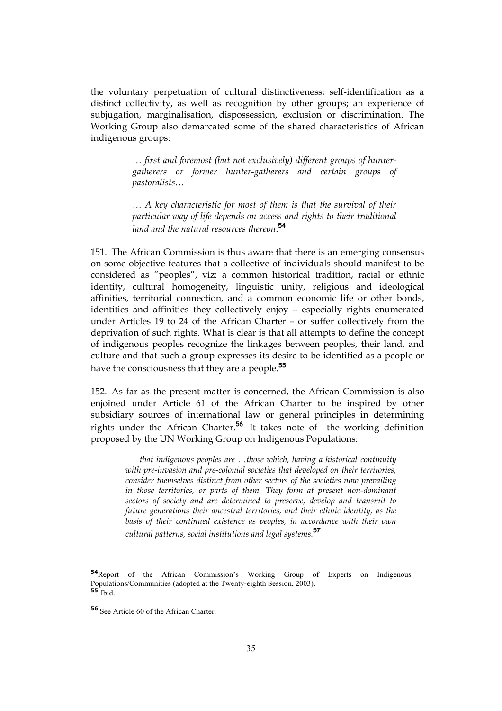the voluntary perpetuation of cultural distinctiveness; self-identification as a distinct collectivity, as well as recognition by other groups; an experience of subjugation, marginalisation, dispossession, exclusion or discrimination. The Working Group also demarcated some of the shared characteristics of African indigenous groups:

> *… first and foremost (but not exclusively) different groups of huntergatherers or former hunter-gatherers and certain groups of pastoralists…*

> *… A key characteristic for most of them is that the survival of their particular way of life depends on access and rights to their traditional land and the natural resources thereon*. **54**

151. The African Commission is thus aware that there is an emerging consensus on some objective features that a collective of individuals should manifest to be considered as "peoples", viz: a common historical tradition, racial or ethnic identity, cultural homogeneity, linguistic unity, religious and ideological affinities, territorial connection, and a common economic life or other bonds, identities and affinities they collectively enjoy – especially rights enumerated under Articles 19 to 24 of the African Charter – or suffer collectively from the deprivation of such rights. What is clear is that all attempts to define the concept of indigenous peoples recognize the linkages between peoples, their land, and culture and that such a group expresses its desire to be identified as a people or have the consciousness that they are a people.**<sup>55</sup>**

152. As far as the present matter is concerned, the African Commission is also enjoined under Article 61 of the African Charter to be inspired by other subsidiary sources of international law or general principles in determining rights under the African Charter.**<sup>56</sup>** It takes note of the working definition proposed by the UN Working Group on Indigenous Populations:

> *that indigenous peoples are …those which, having a historical continuity with pre-invasion and pre-colonial societies that developed on their territories, consider themselves distinct from other sectors of the societies now prevailing in those territories, or parts of them. They form at present non-dominant sectors of society and are determined to preserve, develop and transmit to future generations their ancestral territories, and their ethnic identity, as the basis of their continued existence as peoples, in accordance with their own cultural patterns, social institutions and legal systems.***<sup>57</sup>**

**<sup>54</sup>**Report of the African Commission's Working Group of Experts on Indigenous Populations/Communities (adopted at the Twenty-eighth Session, 2003). **<sup>55</sup>** Ibid.

**<sup>56</sup>** See Article 60 of the African Charter.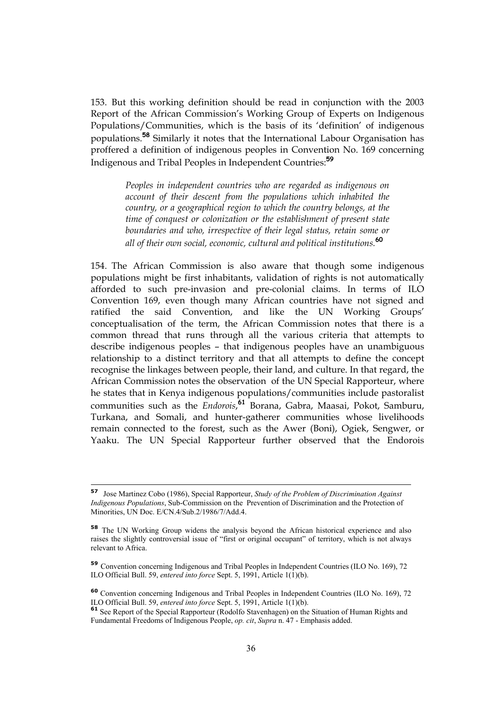153. But this working definition should be read in conjunction with the 2003 Report of the African Commission's Working Group of Experts on Indigenous Populations/Communities, which is the basis of its 'definition' of indigenous populations.**<sup>58</sup>** Similarly it notes that the International Labour Organisation has proffered a definition of indigenous peoples in Convention No. 169 concerning Indigenous and Tribal Peoples in Independent Countries:**<sup>59</sup>**

> *Peoples in independent countries who are regarded as indigenous on account of their descent from the populations which inhabited the country, or a geographical region to which the country belongs, at the time of conquest or colonization or the establishment of present state boundaries and who, irrespective of their legal status, retain some or all of their own social, economic, cultural and political institutions.***<sup>60</sup>**

154. The African Commission is also aware that though some indigenous populations might be first inhabitants, validation of rights is not automatically afforded to such pre-invasion and pre-colonial claims. In terms of ILO Convention 169, even though many African countries have not signed and ratified the said Convention, and like the UN Working Groups' conceptualisation of the term, the African Commission notes that there is a common thread that runs through all the various criteria that attempts to describe indigenous peoples – that indigenous peoples have an unambiguous relationship to a distinct territory and that all attempts to define the concept recognise the linkages between people, their land, and culture. In that regard, the African Commission notes the observation of the UN Special Rapporteur, where he states that in Kenya indigenous populations/communities include pastoralist communities such as the *Endorois*, **<sup>61</sup>** Borana, Gabra, Maasai, Pokot, Samburu, Turkana, and Somali, and hunter-gatherer communities whose livelihoods remain connected to the forest, such as the Awer (Boni), Ogiek, Sengwer, or Yaaku. The UN Special Rapporteur further observed that the Endorois

<sup>57</sup> **<sup>57</sup>** Jose Martinez Cobo (1986), Special Rapporteur, *Study of the Problem of Discrimination Against Indigenous Populations*, Sub-Commission on the Prevention of Discrimination and the Protection of Minorities, UN Doc. E/CN.4/Sub.2/1986/7/Add.4.

**<sup>58</sup>** The UN Working Group widens the analysis beyond the African historical experience and also raises the slightly controversial issue of "first or original occupant" of territory, which is not always relevant to Africa.

**<sup>59</sup>** Convention concerning Indigenous and Tribal Peoples in Independent Countries (ILO No. 169), 72 ILO Official Bull. 59, *entered into force* Sept. 5, 1991, Article 1(1)(b).

**<sup>60</sup>** Convention concerning Indigenous and Tribal Peoples in Independent Countries (ILO No. 169), 72 ILO Official Bull. 59, *entered into force* Sept. 5, 1991, Article 1(1)(b).

<sup>&</sup>lt;sup>61</sup> See Report of the Special Rapporteur (Rodolfo Stavenhagen) on the Situation of Human Rights and Fundamental Freedoms of Indigenous People, *op. cit*, *Supra* n. 47 - Emphasis added.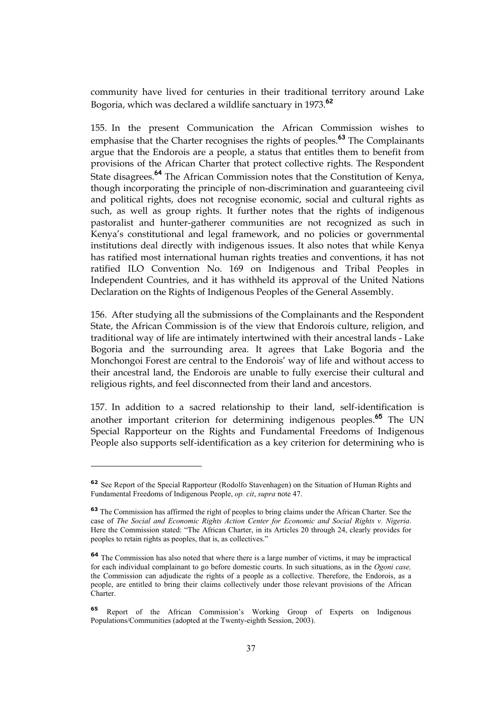community have lived for centuries in their traditional territory around Lake Bogoria, which was declared a wildlife sanctuary in 1973.**<sup>62</sup>**

155. In the present Communication the African Commission wishes to emphasise that the Charter recognises the rights of peoples.**<sup>63</sup>** The Complainants argue that the Endorois are a people, a status that entitles them to benefit from provisions of the African Charter that protect collective rights. The Respondent State disagrees.**<sup>64</sup>** The African Commission notes that the Constitution of Kenya, though incorporating the principle of non-discrimination and guaranteeing civil and political rights, does not recognise economic, social and cultural rights as such, as well as group rights. It further notes that the rights of indigenous pastoralist and hunter-gatherer communities are not recognized as such in Kenya's constitutional and legal framework, and no policies or governmental institutions deal directly with indigenous issues. It also notes that while Kenya has ratified most international human rights treaties and conventions, it has not ratified ILO Convention No. 169 on Indigenous and Tribal Peoples in Independent Countries, and it has withheld its approval of the United Nations Declaration on the Rights of Indigenous Peoples of the General Assembly.

156. After studying all the submissions of the Complainants and the Respondent State, the African Commission is of the view that Endorois culture, religion, and traditional way of life are intimately intertwined with their ancestral lands - Lake Bogoria and the surrounding area. It agrees that Lake Bogoria and the Monchongoi Forest are central to the Endorois' way of life and without access to their ancestral land, the Endorois are unable to fully exercise their cultural and religious rights, and feel disconnected from their land and ancestors.

157. In addition to a sacred relationship to their land, self-identification is another important criterion for determining indigenous peoples.**<sup>65</sup>** The UN Special Rapporteur on the Rights and Fundamental Freedoms of Indigenous People also supports self-identification as a key criterion for determining who is

**<sup>62</sup>** See Report of the Special Rapporteur (Rodolfo Stavenhagen) on the Situation of Human Rights and Fundamental Freedoms of Indigenous People, *op. cit*, *supra* note 47.

**<sup>63</sup>** The Commission has affirmed the right of peoples to bring claims under the African Charter. See the case of *The Social and Economic Rights Action Center for Economic and Social Rights v. Nigeria*. Here the Commission stated: "The African Charter, in its Articles 20 through 24, clearly provides for peoples to retain rights as peoples, that is, as collectives."

**<sup>64</sup>** The Commission has also noted that where there is a large number of victims, it may be impractical for each individual complainant to go before domestic courts. In such situations, as in the *Ogoni case,* the Commission can adjudicate the rights of a people as a collective. Therefore, the Endorois, as a people, are entitled to bring their claims collectively under those relevant provisions of the African Charter.

**<sup>65</sup>** Report of the African Commission's Working Group of Experts on Indigenous Populations/Communities (adopted at the Twenty-eighth Session, 2003).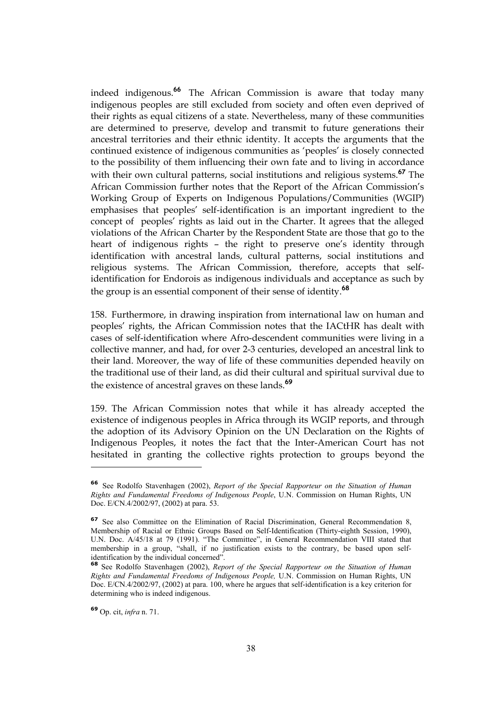indeed indigenous.**<sup>66</sup>** The African Commission is aware that today many indigenous peoples are still excluded from society and often even deprived of their rights as equal citizens of a state. Nevertheless, many of these communities are determined to preserve, develop and transmit to future generations their ancestral territories and their ethnic identity. It accepts the arguments that the continued existence of indigenous communities as 'peoples' is closely connected to the possibility of them influencing their own fate and to living in accordance with their own cultural patterns, social institutions and religious systems.**<sup>67</sup>** The African Commission further notes that the Report of the African Commission's Working Group of Experts on Indigenous Populations/Communities (WGIP) emphasises that peoples' self-identification is an important ingredient to the concept of peoples' rights as laid out in the Charter. It agrees that the alleged violations of the African Charter by the Respondent State are those that go to the heart of indigenous rights – the right to preserve one's identity through identification with ancestral lands, cultural patterns, social institutions and religious systems. The African Commission, therefore, accepts that selfidentification for Endorois as indigenous individuals and acceptance as such by the group is an essential component of their sense of identity.**<sup>68</sup>**

158. Furthermore, in drawing inspiration from international law on human and peoples' rights, the African Commission notes that the IACtHR has dealt with cases of self-identification where Afro-descendent communities were living in a collective manner, and had, for over 2-3 centuries, developed an ancestral link to their land. Moreover, the way of life of these communities depended heavily on the traditional use of their land, as did their cultural and spiritual survival due to the existence of ancestral graves on these lands.**<sup>69</sup>**

159. The African Commission notes that while it has already accepted the existence of indigenous peoples in Africa through its WGIP reports, and through the adoption of its Advisory Opinion on the UN Declaration on the Rights of Indigenous Peoples, it notes the fact that the Inter-American Court has not hesitated in granting the collective rights protection to groups beyond the

-

**<sup>66</sup>** See Rodolfo Stavenhagen (2002), *Report of the Special Rapporteur on the Situation of Human Rights and Fundamental Freedoms of Indigenous People*, U.N. Commission on Human Rights, UN Doc. E/CN.4/2002/97, (2002) at para. 53.

**<sup>67</sup>** See also Committee on the Elimination of Racial Discrimination, General Recommendation 8, Membership of Racial or Ethnic Groups Based on Self-Identification (Thirty-eighth Session, 1990), U.N. Doc. A/45/18 at 79 (1991). "The Committee", in General Recommendation VIII stated that membership in a group, "shall, if no justification exists to the contrary, be based upon selfidentification by the individual concerned".

**<sup>68</sup>** See Rodolfo Stavenhagen (2002), *Report of the Special Rapporteur on the Situation of Human Rights and Fundamental Freedoms of Indigenous People,* U.N. Commission on Human Rights, UN Doc. E/CN.4/2002/97, (2002) at para. 100, where he argues that self-identification is a key criterion for determining who is indeed indigenous.

**<sup>69</sup>** Op. cit, *infra* n. 71.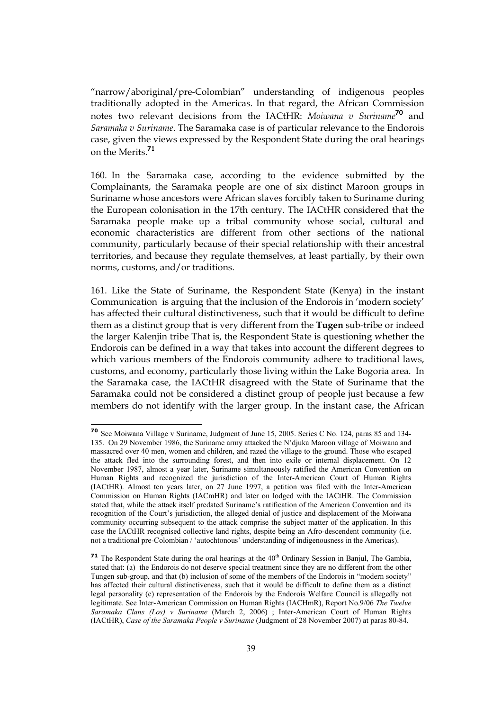"narrow/aboriginal/pre-Colombian" understanding of indigenous peoples traditionally adopted in the Americas. In that regard, the African Commission notes two relevant decisions from the IACtHR: *Moiwana v Suriname***<sup>70</sup>** and *Saramaka v Suriname*. The Saramaka case is of particular relevance to the Endorois case, given the views expressed by the Respondent State during the oral hearings on the Merits.**71** 

160. In the Saramaka case, according to the evidence submitted by the Complainants, the Saramaka people are one of six distinct Maroon groups in Suriname whose ancestors were African slaves forcibly taken to Suriname during the European colonisation in the 17th century. The IACtHR considered that the Saramaka people make up a tribal community whose social, cultural and economic characteristics are different from other sections of the national community, particularly because of their special relationship with their ancestral territories, and because they regulate themselves, at least partially, by their own norms, customs, and/or traditions.

161. Like the State of Suriname, the Respondent State (Kenya) in the instant Communication is arguing that the inclusion of the Endorois in 'modern society' has affected their cultural distinctiveness, such that it would be difficult to define them as a distinct group that is very different from the **Tugen** sub-tribe or indeed the larger Kalenjin tribe That is, the Respondent State is questioning whether the Endorois can be defined in a way that takes into account the different degrees to which various members of the Endorois community adhere to traditional laws, customs, and economy, particularly those living within the Lake Bogoria area. In the Saramaka case, the IACtHR disagreed with the State of Suriname that the Saramaka could not be considered a distinct group of people just because a few members do not identify with the larger group. In the instant case, the African

**<sup>70</sup>** See Moiwana Village v Suriname, Judgment of June 15, 2005. Series C No. 124, paras 85 and 134- 135. On 29 November 1986, the Suriname army attacked the N'djuka Maroon village of Moiwana and massacred over 40 men, women and children, and razed the village to the ground. Those who escaped the attack fled into the surrounding forest, and then into exile or internal displacement. On 12 November 1987, almost a year later, Suriname simultaneously ratified the American Convention on Human Rights and recognized the jurisdiction of the Inter-American Court of Human Rights (IACtHR). Almost ten years later, on 27 June 1997, a petition was filed with the Inter-American Commission on Human Rights (IACmHR) and later on lodged with the IACtHR. The Commission stated that, while the attack itself predated Suriname's ratification of the American Convention and its recognition of the Court's jurisdiction, the alleged denial of justice and displacement of the Moiwana community occurring subsequent to the attack comprise the subject matter of the application. In this case the IACtHR recognised collective land rights, despite being an Afro-descendent community (i.e. not a traditional pre-Colombian / 'autochtonous' understanding of indigenousness in the Americas).

**<sup>71</sup>** The Respondent State during the oral hearings at the 40<sup>th</sup> Ordinary Session in Banjul, The Gambia, stated that: (a) the Endorois do not deserve special treatment since they are no different from the other Tungen sub-group, and that (b) inclusion of some of the members of the Endorois in "modern society" has affected their cultural distinctiveness, such that it would be difficult to define them as a distinct legal personality (c) representation of the Endorois by the Endorois Welfare Council is allegedly not legitimate. See Inter-American Commission on Human Rights (IACHmR), Report No.9/06 *The Twelve Saramaka Clans (Los) v Suriname* (March 2, 2006) ; Inter-American Court of Human Rights (IACtHR), *Case of the Saramaka People v Suriname* (Judgment of 28 November 2007) at paras 80-84.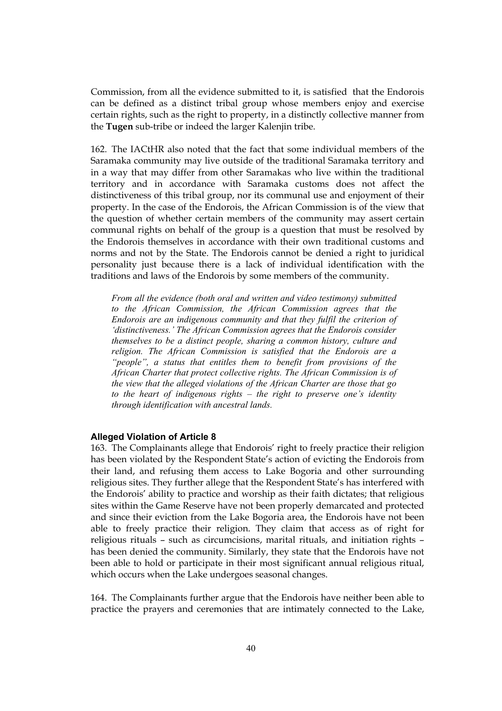Commission, from all the evidence submitted to it, is satisfied that the Endorois can be defined as a distinct tribal group whose members enjoy and exercise certain rights, such as the right to property, in a distinctly collective manner from the **Tugen** sub-tribe or indeed the larger Kalenjin tribe.

162. The IACtHR also noted that the fact that some individual members of the Saramaka community may live outside of the traditional Saramaka territory and in a way that may differ from other Saramakas who live within the traditional territory and in accordance with Saramaka customs does not affect the distinctiveness of this tribal group, nor its communal use and enjoyment of their property. In the case of the Endorois, the African Commission is of the view that the question of whether certain members of the community may assert certain communal rights on behalf of the group is a question that must be resolved by the Endorois themselves in accordance with their own traditional customs and norms and not by the State. The Endorois cannot be denied a right to juridical personality just because there is a lack of individual identification with the traditions and laws of the Endorois by some members of the community.

*From all the evidence (both oral and written and video testimony) submitted to the African Commission, the African Commission agrees that the Endorois are an indigenous community and that they fulfil the criterion of 'distinctiveness.' The African Commission agrees that the Endorois consider themselves to be a distinct people, sharing a common history, culture and religion. The African Commission is satisfied that the Endorois are a "people", a status that entitles them to benefit from provisions of the African Charter that protect collective rights. The African Commission is of the view that the alleged violations of the African Charter are those that go to the heart of indigenous rights – the right to preserve one's identity through identification with ancestral lands.*

#### **Alleged Violation of Article 8**

163. The Complainants allege that Endorois' right to freely practice their religion has been violated by the Respondent State's action of evicting the Endorois from their land, and refusing them access to Lake Bogoria and other surrounding religious sites. They further allege that the Respondent State's has interfered with the Endorois' ability to practice and worship as their faith dictates; that religious sites within the Game Reserve have not been properly demarcated and protected and since their eviction from the Lake Bogoria area, the Endorois have not been able to freely practice their religion. They claim that access as of right for religious rituals – such as circumcisions, marital rituals, and initiation rights – has been denied the community. Similarly, they state that the Endorois have not been able to hold or participate in their most significant annual religious ritual, which occurs when the Lake undergoes seasonal changes.

164. The Complainants further argue that the Endorois have neither been able to practice the prayers and ceremonies that are intimately connected to the Lake,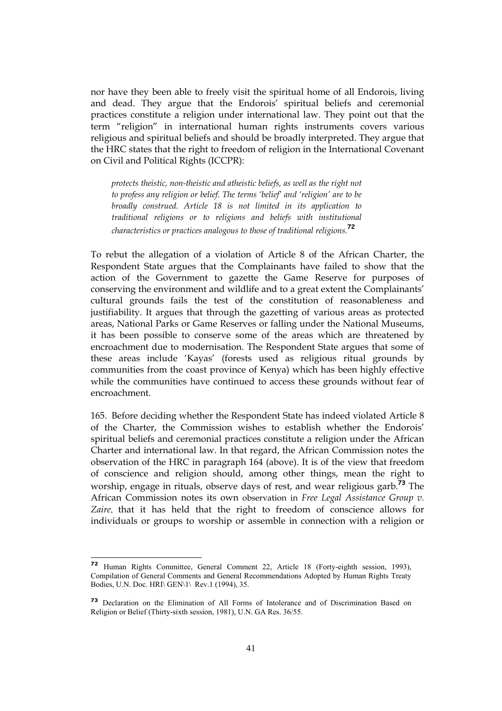nor have they been able to freely visit the spiritual home of all Endorois, living and dead. They argue that the Endorois' spiritual beliefs and ceremonial practices constitute a religion under international law. They point out that the term "religion" in international human rights instruments covers various religious and spiritual beliefs and should be broadly interpreted. They argue that the HRC states that the right to freedom of religion in the International Covenant on Civil and Political Rights (ICCPR):

*protects theistic, non-theistic and atheistic beliefs, as well as the right not to profess any religion or belief. The terms 'belief' and 'religion' are to be broadly construed. Article 18 is not limited in its application to traditional religions or to religions and beliefs with institutional characteristics or practices analogous to those of traditional religions.* **72**

To rebut the allegation of a violation of Article 8 of the African Charter, the Respondent State argues that the Complainants have failed to show that the action of the Government to gazette the Game Reserve for purposes of conserving the environment and wildlife and to a great extent the Complainants' cultural grounds fails the test of the constitution of reasonableness and justifiability. It argues that through the gazetting of various areas as protected areas, National Parks or Game Reserves or falling under the National Museums, it has been possible to conserve some of the areas which are threatened by encroachment due to modernisation. The Respondent State argues that some of these areas include 'Kayas' (forests used as religious ritual grounds by communities from the coast province of Kenya) which has been highly effective while the communities have continued to access these grounds without fear of encroachment.

165. Before deciding whether the Respondent State has indeed violated Article 8 of the Charter, the Commission wishes to establish whether the Endorois' spiritual beliefs and ceremonial practices constitute a religion under the African Charter and international law. In that regard, the African Commission notes the observation of the HRC in paragraph 164 (above). It is of the view that freedom of conscience and religion should, among other things, mean the right to worship, engage in rituals, observe days of rest, and wear religious garb.**<sup>73</sup>** The African Commission notes its own observation in *Free Legal Assistance Group v. Zaire*, that it has held that the right to freedom of conscience allows for individuals or groups to worship or assemble in connection with a religion or

**<sup>72</sup>** Human Rights Committee, General Comment 22, Article 18 (Forty-eighth session, 1993), Compilation of General Comments and General Recommendations Adopted by Human Rights Treaty Bodies, U.N. Doc. HRI\ GEN\1\ Rev.1 (1994), 35.

**<sup>73</sup>** Declaration on the Elimination of All Forms of Intolerance and of Discrimination Based on Religion or Belief (Thirty-sixth session, 1981), U.N. GA Res. 36/55.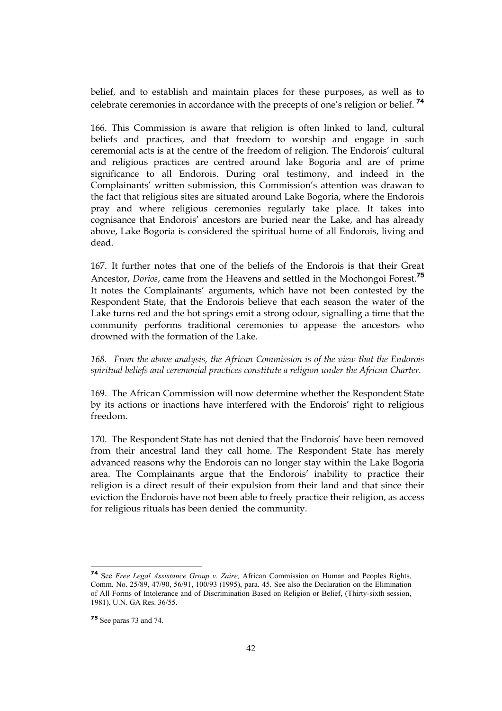belief, and to establish and maintain places for these purposes, as well as to celebrate ceremonies in accordance with the precepts of one's religion or belief. **<sup>74</sup>**

166. This Commission is aware that religion is often linked to land, cultural beliefs and practices, and that freedom to worship and engage in such ceremonial acts is at the centre of the freedom of religion. The Endorois' cultural and religious practices are centred around lake Bogoria and are of prime significance to all Endorois. During oral testimony, and indeed in the Complainants' written submission, this Commission's attention was drawan to the fact that religious sites are situated around Lake Bogoria, where the Endorois pray and where religious ceremonies regularly take place. It takes into cognisance that Endorois' ancestors are buried near the Lake, and has already above, Lake Bogoria is considered the spiritual home of all Endorois, living and dead.

167. It further notes that one of the beliefs of the Endorois is that their Great Ancestor, *Dorios*, came from the Heavens and settled in the Mochongoi Forest.**<sup>75</sup>** It notes the Complainants' arguments, which have not been contested by the Respondent State, that the Endorois believe that each season the water of the Lake turns red and the hot springs emit a strong odour, signalling a time that the community performs traditional ceremonies to appease the ancestors who drowned with the formation of the Lake.

*168. From the above analysis, the African Commission is of the view that the Endorois spiritual beliefs and ceremonial practices constitute a religion under the African Charter.* 

169. The African Commission will now determine whether the Respondent State by its actions or inactions have interfered with the Endorois' right to religious freedom.

170. The Respondent State has not denied that the Endorois' have been removed from their ancestral land they call home. The Respondent State has merely advanced reasons why the Endorois can no longer stay within the Lake Bogoria area. The Complainants argue that the Endorois' inability to practice their religion is a direct result of their expulsion from their land and that since their eviction the Endorois have not been able to freely practice their religion, as access for religious rituals has been denied the community.

**<sup>74</sup>** See *Free Legal Assistance Group v. Zaire,* African Commission on Human and Peoples Rights, Comm. No. 25/89, 47/90, 56/91, 100/93 (1995), para. 45. See also the Declaration on the Elimination of All Forms of Intolerance and of Discrimination Based on Religion or Belief, (Thirty-sixth session, 1981), U.N. GA Res. 36/55.

**<sup>75</sup>** See paras 73 and 74.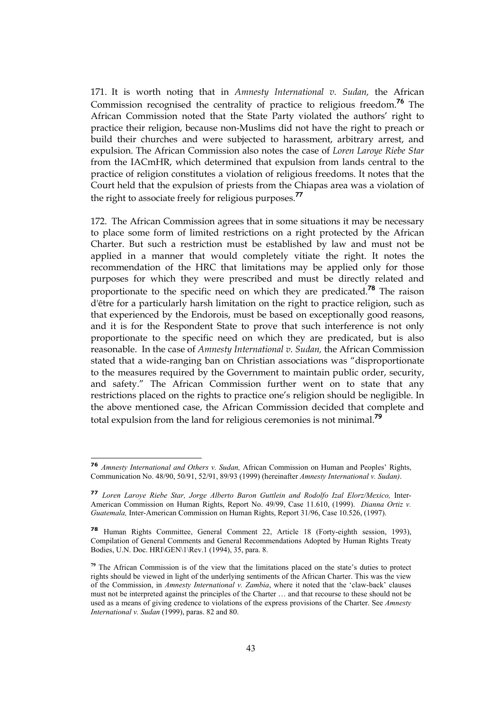171. It is worth noting that in *Amnesty International v. Sudan,* the African Commission recognised the centrality of practice to religious freedom.**<sup>76</sup>** The African Commission noted that the State Party violated the authors' right to practice their religion, because non-Muslims did not have the right to preach or build their churches and were subjected to harassment, arbitrary arrest, and expulsion. The African Commission also notes the case of *Loren Laroye Riebe Star* from the IACmHR, which determined that expulsion from lands central to the practice of religion constitutes a violation of religious freedoms. It notes that the Court held that the expulsion of priests from the Chiapas area was a violation of the right to associate freely for religious purposes.**<sup>77</sup>**

172. The African Commission agrees that in some situations it may be necessary to place some form of limited restrictions on a right protected by the African Charter. But such a restriction must be established by law and must not be applied in a manner that would completely vitiate the right. It notes the recommendation of the HRC that limitations may be applied only for those purposes for which they were prescribed and must be directly related and proportionate to the specific need on which they are predicated.**<sup>78</sup>** The raison d'être for a particularly harsh limitation on the right to practice religion, such as that experienced by the Endorois, must be based on exceptionally good reasons, and it is for the Respondent State to prove that such interference is not only proportionate to the specific need on which they are predicated, but is also reasonable. In the case of *Amnesty International v. Sudan,* the African Commission stated that a wide-ranging ban on Christian associations was "disproportionate to the measures required by the Government to maintain public order, security, and safety." The African Commission further went on to state that any restrictions placed on the rights to practice one's religion should be negligible. In the above mentioned case, the African Commission decided that complete and total expulsion from the land for religious ceremonies is not minimal.**<sup>79</sup>**

-

**<sup>76</sup>** *Amnesty International and Others v. Sudan,* African Commission on Human and Peoples' Rights, Communication No. 48/90, 50/91, 52/91, 89/93 (1999) (hereinafter *Amnesty International v. Sudan)*.

**<sup>77</sup>** *Loren Laroye Riebe Star, Jorge Alberto Baron Guttlein and Rodolfo Izal Elorz/Mexico,* Inter-American Commission on Human Rights, Report No. 49/99, Case 11.610, (1999). *Dianna Ortiz v. Guatemala,* Inter-American Commission on Human Rights, Report 31/96, Case 10.526, (1997).

**<sup>78</sup>** Human Rights Committee, General Comment 22, Article 18 (Forty-eighth session, 1993), Compilation of General Comments and General Recommendations Adopted by Human Rights Treaty Bodies, U.N. Doc. HRI\GEN\1\Rev.1 (1994), 35, para. 8.

**<sup>79</sup>** The African Commission is of the view that the limitations placed on the state's duties to protect rights should be viewed in light of the underlying sentiments of the African Charter. This was the view of the Commission, in *Amnesty International v. Zambia*, where it noted that the 'claw-back' clauses must not be interpreted against the principles of the Charter … and that recourse to these should not be used as a means of giving credence to violations of the express provisions of the Charter. See *Amnesty International v. Sudan* (1999), paras. 82 and 80.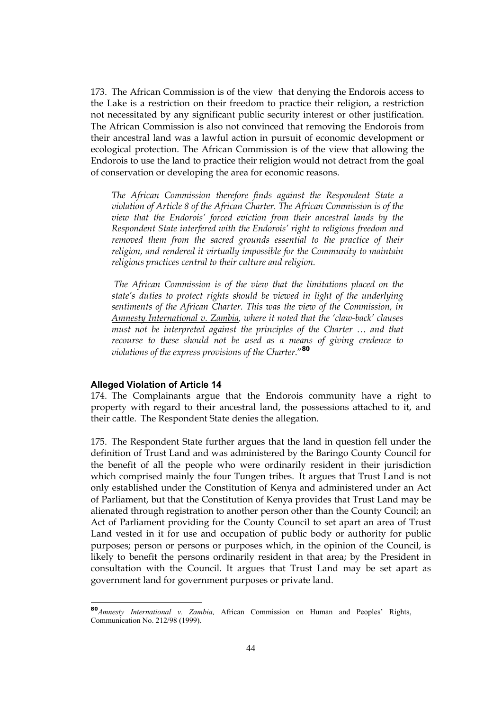173. The African Commission is of the view that denying the Endorois access to the Lake is a restriction on their freedom to practice their religion, a restriction not necessitated by any significant public security interest or other justification. The African Commission is also not convinced that removing the Endorois from their ancestral land was a lawful action in pursuit of economic development or ecological protection. The African Commission is of the view that allowing the Endorois to use the land to practice their religion would not detract from the goal of conservation or developing the area for economic reasons.

*The African Commission therefore finds against the Respondent State a violation of Article 8 of the African Charter. The African Commission is of the view that the Endorois' forced eviction from their ancestral lands by the Respondent State interfered with the Endorois' right to religious freedom and removed them from the sacred grounds essential to the practice of their religion, and rendered it virtually impossible for the Community to maintain religious practices central to their culture and religion.* 

 *The African Commission is of the view that the limitations placed on the state's duties to protect rights should be viewed in light of the underlying sentiments of the African Charter. This was the view of the Commission, in Amnesty International v. Zambia, where it noted that the 'claw-back' clauses must not be interpreted against the principles of the Charter … and that recourse to these should not be used as a means of giving credence to violations of the express provisions of the Charter*."**<sup>80</sup>**

#### **Alleged Violation of Article 14**

1

174. The Complainants argue that the Endorois community have a right to property with regard to their ancestral land, the possessions attached to it, and their cattle. The Respondent State denies the allegation.

175. The Respondent State further argues that the land in question fell under the definition of Trust Land and was administered by the Baringo County Council for the benefit of all the people who were ordinarily resident in their jurisdiction which comprised mainly the four Tungen tribes. It argues that Trust Land is not only established under the Constitution of Kenya and administered under an Act of Parliament, but that the Constitution of Kenya provides that Trust Land may be alienated through registration to another person other than the County Council; an Act of Parliament providing for the County Council to set apart an area of Trust Land vested in it for use and occupation of public body or authority for public purposes; person or persons or purposes which, in the opinion of the Council, is likely to benefit the persons ordinarily resident in that area; by the President in consultation with the Council. It argues that Trust Land may be set apart as government land for government purposes or private land.

**<sup>80</sup>***Amnesty International v. Zambia,* African Commission on Human and Peoples' Rights, Communication No. 212/98 (1999).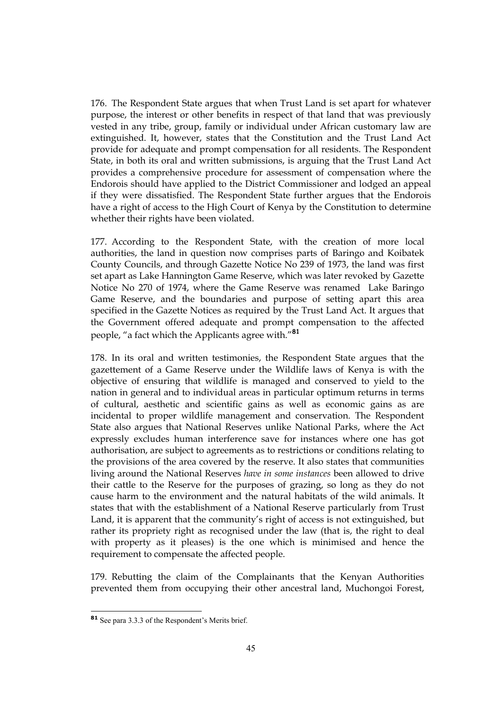176. The Respondent State argues that when Trust Land is set apart for whatever purpose, the interest or other benefits in respect of that land that was previously vested in any tribe, group, family or individual under African customary law are extinguished. It, however, states that the Constitution and the Trust Land Act provide for adequate and prompt compensation for all residents. The Respondent State, in both its oral and written submissions, is arguing that the Trust Land Act provides a comprehensive procedure for assessment of compensation where the Endorois should have applied to the District Commissioner and lodged an appeal if they were dissatisfied. The Respondent State further argues that the Endorois have a right of access to the High Court of Kenya by the Constitution to determine whether their rights have been violated.

177. According to the Respondent State, with the creation of more local authorities, the land in question now comprises parts of Baringo and Koibatek County Councils, and through Gazette Notice No 239 of 1973, the land was first set apart as Lake Hannington Game Reserve, which was later revoked by Gazette Notice No 270 of 1974, where the Game Reserve was renamed Lake Baringo Game Reserve, and the boundaries and purpose of setting apart this area specified in the Gazette Notices as required by the Trust Land Act. It argues that the Government offered adequate and prompt compensation to the affected people, "a fact which the Applicants agree with."**<sup>81</sup>**

178. In its oral and written testimonies, the Respondent State argues that the gazettement of a Game Reserve under the Wildlife laws of Kenya is with the objective of ensuring that wildlife is managed and conserved to yield to the nation in general and to individual areas in particular optimum returns in terms of cultural, aesthetic and scientific gains as well as economic gains as are incidental to proper wildlife management and conservation. The Respondent State also argues that National Reserves unlike National Parks, where the Act expressly excludes human interference save for instances where one has got authorisation, are subject to agreements as to restrictions or conditions relating to the provisions of the area covered by the reserve. It also states that communities living around the National Reserves *have in some instances* been allowed to drive their cattle to the Reserve for the purposes of grazing, so long as they do not cause harm to the environment and the natural habitats of the wild animals. It states that with the establishment of a National Reserve particularly from Trust Land, it is apparent that the community's right of access is not extinguished, but rather its propriety right as recognised under the law (that is, the right to deal with property as it pleases) is the one which is minimised and hence the requirement to compensate the affected people.

179. Rebutting the claim of the Complainants that the Kenyan Authorities prevented them from occupying their other ancestral land, Muchongoi Forest,

**<sup>81</sup>** See para 3.3.3 of the Respondent's Merits brief.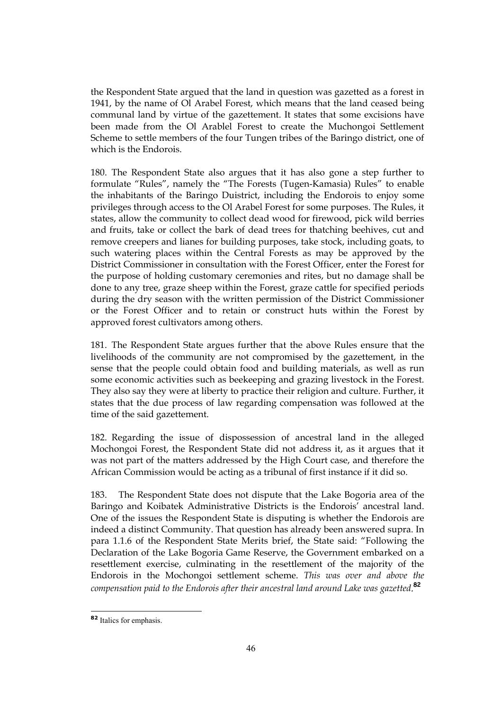the Respondent State argued that the land in question was gazetted as a forest in 1941, by the name of Ol Arabel Forest, which means that the land ceased being communal land by virtue of the gazettement. It states that some excisions have been made from the Ol Arablel Forest to create the Muchongoi Settlement Scheme to settle members of the four Tungen tribes of the Baringo district, one of which is the Endorois.

180. The Respondent State also argues that it has also gone a step further to formulate "Rules", namely the "The Forests (Tugen-Kamasia) Rules" to enable the inhabitants of the Baringo Duistrict, including the Endorois to enjoy some privileges through access to the Ol Arabel Forest for some purposes. The Rules, it states, allow the community to collect dead wood for firewood, pick wild berries and fruits, take or collect the bark of dead trees for thatching beehives, cut and remove creepers and lianes for building purposes, take stock, including goats, to such watering places within the Central Forests as may be approved by the District Commissioner in consultation with the Forest Officer, enter the Forest for the purpose of holding customary ceremonies and rites, but no damage shall be done to any tree, graze sheep within the Forest, graze cattle for specified periods during the dry season with the written permission of the District Commissioner or the Forest Officer and to retain or construct huts within the Forest by approved forest cultivators among others.

181. The Respondent State argues further that the above Rules ensure that the livelihoods of the community are not compromised by the gazettement, in the sense that the people could obtain food and building materials, as well as run some economic activities such as beekeeping and grazing livestock in the Forest. They also say they were at liberty to practice their religion and culture. Further, it states that the due process of law regarding compensation was followed at the time of the said gazettement.

182. Regarding the issue of dispossession of ancestral land in the alleged Mochongoi Forest, the Respondent State did not address it, as it argues that it was not part of the matters addressed by the High Court case, and therefore the African Commission would be acting as a tribunal of first instance if it did so.

183. The Respondent State does not dispute that the Lake Bogoria area of the Baringo and Koibatek Administrative Districts is the Endorois' ancestral land. One of the issues the Respondent State is disputing is whether the Endorois are indeed a distinct Community. That question has already been answered supra. In para 1.1.6 of the Respondent State Merits brief, the State said: "Following the Declaration of the Lake Bogoria Game Reserve, the Government embarked on a resettlement exercise, culminating in the resettlement of the majority of the Endorois in the Mochongoi settlement scheme. *This was over and above the compensation paid to the Endorois after their ancestral land around Lake was gazetted*. **82**

**<sup>82</sup>** Italics for emphasis.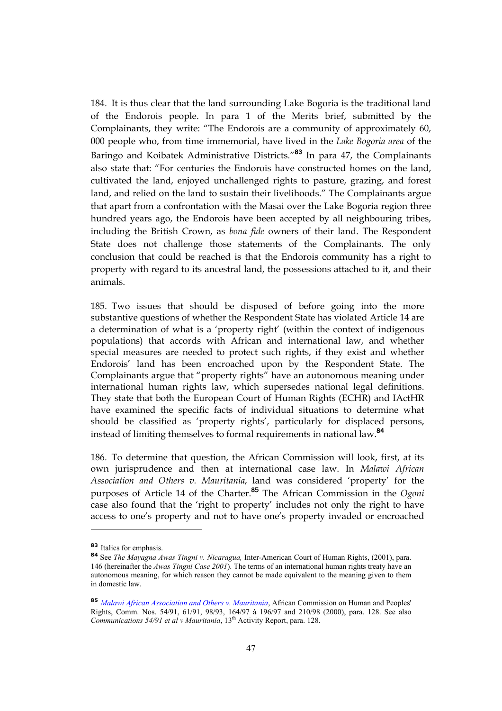184. It is thus clear that the land surrounding Lake Bogoria is the traditional land of the Endorois people. In para 1 of the Merits brief, submitted by the Complainants, they write: "The Endorois are a community of approximately 60, 000 people who, from time immemorial, have lived in the *Lake Bogoria area* of the Baringo and Koibatek Administrative Districts."**<sup>83</sup>** In para 47, the Complainants also state that: "For centuries the Endorois have constructed homes on the land, cultivated the land, enjoyed unchallenged rights to pasture, grazing, and forest land, and relied on the land to sustain their livelihoods." The Complainants argue that apart from a confrontation with the Masai over the Lake Bogoria region three hundred years ago, the Endorois have been accepted by all neighbouring tribes, including the British Crown, as *bona fide* owners of their land. The Respondent State does not challenge those statements of the Complainants. The only conclusion that could be reached is that the Endorois community has a right to property with regard to its ancestral land, the possessions attached to it, and their animals.

185. Two issues that should be disposed of before going into the more substantive questions of whether the Respondent State has violated Article 14 are a determination of what is a 'property right' (within the context of indigenous populations) that accords with African and international law, and whether special measures are needed to protect such rights, if they exist and whether Endorois' land has been encroached upon by the Respondent State. The Complainants argue that "property rights" have an autonomous meaning under international human rights law, which supersedes national legal definitions. They state that both the European Court of Human Rights (ECHR) and IActHR have examined the specific facts of individual situations to determine what should be classified as 'property rights', particularly for displaced persons, instead of limiting themselves to formal requirements in national law.**<sup>84</sup>**

186. To determine that question, the African Commission will look, first, at its own jurisprudence and then at international case law. In *Malawi African Association and Others v. Mauritania*, land was considered 'property' for the purposes of Article 14 of the Charter.**<sup>85</sup>** The African Commission in the *Ogoni* case also found that the 'right to property' includes not only the right to have access to one's property and not to have one's property invaded or encroached

**<sup>83</sup>** Italics for emphasis.

**<sup>84</sup>** See *The Mayagna Awas Tingni v. Nicaragua,* Inter-American Court of Human Rights, (2001), para. 146 (hereinafter the *Awas Tingni Case 2001*). The terms of an international human rights treaty have an autonomous meaning, for which reason they cannot be made equivalent to the meaning given to them in domestic law.

**<sup>85</sup>** *Malawi African Association and Others v. Mauritania*, African Commission on Human and Peoples' Rights, Comm. Nos. 54/91, 61/91, 98/93, 164/97 à 196/97 and 210/98 (2000), para. 128. See also *Communications 54/91 et al v Mauritania*, 13<sup>th</sup> Activity Report, para. 128.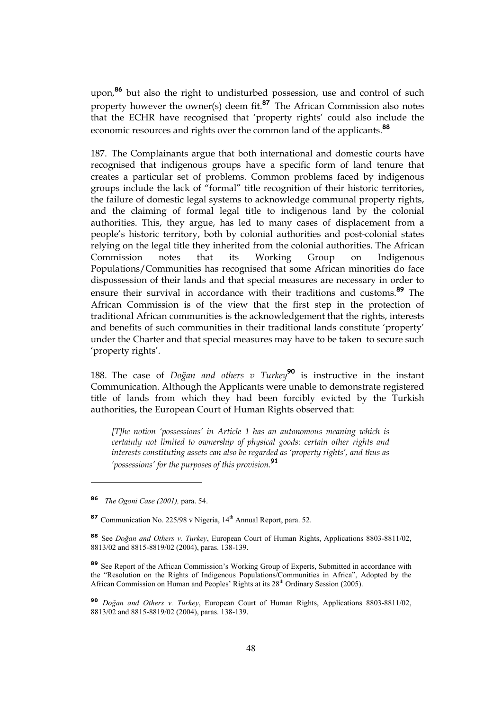upon,**<sup>86</sup>** but also the right to undisturbed possession, use and control of such property however the owner(s) deem fit.**<sup>87</sup>** The African Commission also notes that the ECHR have recognised that 'property rights' could also include the economic resources and rights over the common land of the applicants.**<sup>88</sup>**

187. The Complainants argue that both international and domestic courts have recognised that indigenous groups have a specific form of land tenure that creates a particular set of problems. Common problems faced by indigenous groups include the lack of "formal" title recognition of their historic territories, the failure of domestic legal systems to acknowledge communal property rights, and the claiming of formal legal title to indigenous land by the colonial authorities. This, they argue, has led to many cases of displacement from a people's historic territory, both by colonial authorities and post-colonial states relying on the legal title they inherited from the colonial authorities. The African Commission notes that its Working Group on Indigenous Populations/Communities has recognised that some African minorities do face dispossession of their lands and that special measures are necessary in order to ensure their survival in accordance with their traditions and customs.**<sup>89</sup>** The African Commission is of the view that the first step in the protection of traditional African communities is the acknowledgement that the rights, interests and benefits of such communities in their traditional lands constitute 'property' under the Charter and that special measures may have to be taken to secure such 'property rights'.

188. The case of *Doğan and others v Turkey***<sup>90</sup>** is instructive in the instant Communication. Although the Applicants were unable to demonstrate registered title of lands from which they had been forcibly evicted by the Turkish authorities, the European Court of Human Rights observed that:

*[T]he notion 'possessions' in Article 1 has an autonomous meaning which is certainly not limited to ownership of physical goods: certain other rights and interests constituting assets can also be regarded as 'property rights', and thus as 'possessions' for the purposes of this provision.***<sup>91</sup>**

-

**<sup>86</sup>** *The Ogoni Case (2001),* para. 54.

<sup>87</sup> Communication No. 225/98 v Nigeria, 14<sup>th</sup> Annual Report, para. 52.

**<sup>88</sup>** See *Doğan and Others v. Turkey*, European Court of Human Rights, Applications 8803-8811/02, 8813/02 and 8815-8819/02 (2004), paras. 138-139.

**<sup>89</sup>** See Report of the African Commission's Working Group of Experts, Submitted in accordance with the "Resolution on the Rights of Indigenous Populations/Communities in Africa", Adopted by the African Commission on Human and Peoples' Rights at its 28<sup>th</sup> Ordinary Session (2005).

**<sup>90</sup>** *Doğan and Others v. Turkey*, European Court of Human Rights, Applications 8803-8811/02, 8813/02 and 8815-8819/02 (2004), paras. 138-139.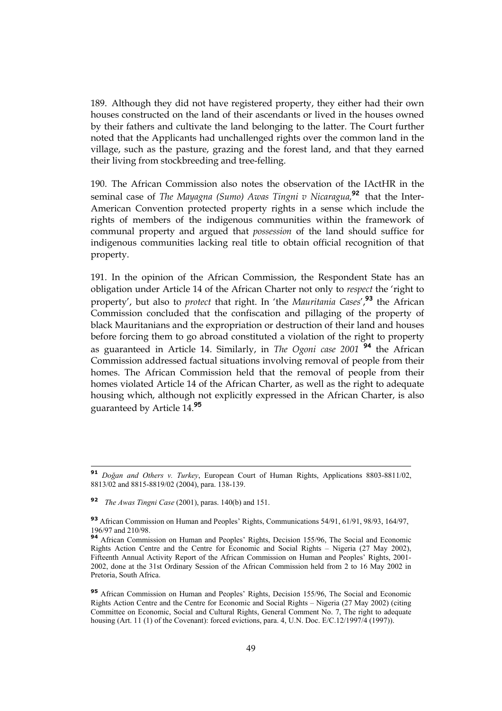189. Although they did not have registered property, they either had their own houses constructed on the land of their ascendants or lived in the houses owned by their fathers and cultivate the land belonging to the latter. The Court further noted that the Applicants had unchallenged rights over the common land in the village, such as the pasture, grazing and the forest land, and that they earned their living from stockbreeding and tree-felling.

190. The African Commission also notes the observation of the IActHR in the seminal case of *The Mayagna (Sumo) Awas Tingni v Nicaragua,***<sup>92</sup>** that the Inter-American Convention protected property rights in a sense which include the rights of members of the indigenous communities within the framework of communal property and argued that *possession* of the land should suffice for indigenous communities lacking real title to obtain official recognition of that property.

191. In the opinion of the African Commission, the Respondent State has an obligation under Article 14 of the African Charter not only to *respect* the 'right to property', but also to *protect* that right. In 'the *Mauritania Cases*',**<sup>93</sup>** the African Commission concluded that the confiscation and pillaging of the property of black Mauritanians and the expropriation or destruction of their land and houses before forcing them to go abroad constituted a violation of the right to property as guaranteed in Article 14. Similarly, in *The Ogoni case 2001* **<sup>94</sup>** the African Commission addressed factual situations involving removal of people from their homes. The African Commission held that the removal of people from their homes violated Article 14 of the African Charter, as well as the right to adequate housing which, although not explicitly expressed in the African Charter, is also guaranteed by Article 14.**<sup>95</sup>**

**<sup>91</sup>** *Doğan and Others v. Turkey*, European Court of Human Rights, Applications 8803-8811/02, 8813/02 and 8815-8819/02 (2004), para. 138-139.

**<sup>92</sup>** *The Awas Tingni Case* (2001), paras. 140(b) and 151.

**<sup>93</sup>**African Commission on Human and Peoples' Rights, Communications 54/91, 61/91, 98/93, 164/97, 196/97 and 210/98.

**<sup>94</sup>**African Commission on Human and Peoples' Rights, Decision 155/96, The Social and Economic Rights Action Centre and the Centre for Economic and Social Rights – Nigeria (27 May 2002), Fifteenth Annual Activity Report of the African Commission on Human and Peoples' Rights, 2001- 2002, done at the 31st Ordinary Session of the African Commission held from 2 to 16 May 2002 in Pretoria, South Africa.

**<sup>95</sup>**African Commission on Human and Peoples' Rights, Decision 155/96, The Social and Economic Rights Action Centre and the Centre for Economic and Social Rights – Nigeria (27 May 2002) (citing Committee on Economic, Social and Cultural Rights, General Comment No. 7, The right to adequate housing (Art. 11 (1) of the Covenant): forced evictions, para. 4, U.N. Doc. E/C.12/1997/4 (1997)).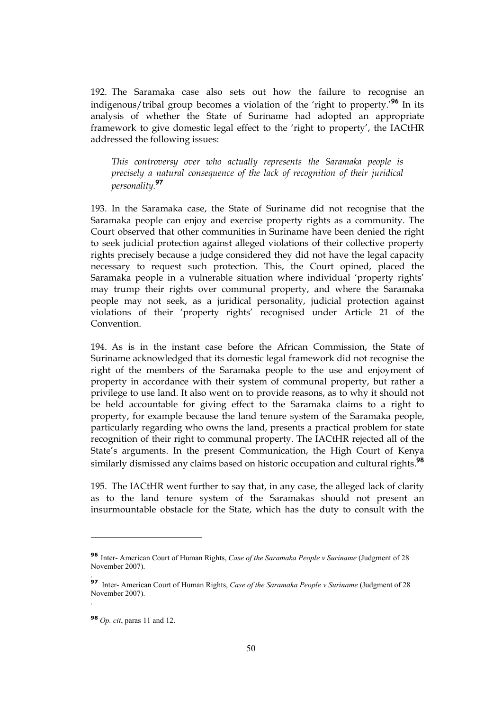192. The Saramaka case also sets out how the failure to recognise an indigenous/tribal group becomes a violation of the 'right to property.'**<sup>96</sup>** In its analysis of whether the State of Suriname had adopted an appropriate framework to give domestic legal effect to the 'right to property', the IACtHR addressed the following issues:

*This controversy over who actually represents the Saramaka people is precisely a natural consequence of the lack of recognition of their juridical personality.***<sup>97</sup>**

193. In the Saramaka case, the State of Suriname did not recognise that the Saramaka people can enjoy and exercise property rights as a community. The Court observed that other communities in Suriname have been denied the right to seek judicial protection against alleged violations of their collective property rights precisely because a judge considered they did not have the legal capacity necessary to request such protection. This, the Court opined, placed the Saramaka people in a vulnerable situation where individual 'property rights' may trump their rights over communal property, and where the Saramaka people may not seek, as a juridical personality, judicial protection against violations of their 'property rights' recognised under Article 21 of the Convention.

194. As is in the instant case before the African Commission, the State of Suriname acknowledged that its domestic legal framework did not recognise the right of the members of the Saramaka people to the use and enjoyment of property in accordance with their system of communal property, but rather a privilege to use land. It also went on to provide reasons, as to why it should not be held accountable for giving effect to the Saramaka claims to a right to property, for example because the land tenure system of the Saramaka people, particularly regarding who owns the land, presents a practical problem for state recognition of their right to communal property. The IACtHR rejected all of the State's arguments. In the present Communication, the High Court of Kenya similarly dismissed any claims based on historic occupation and cultural rights.**<sup>98</sup>**

195. The IACtHR went further to say that, in any case, the alleged lack of clarity as to the land tenure system of the Saramakas should not present an insurmountable obstacle for the State, which has the duty to consult with the

**<sup>96</sup>** Inter- American Court of Human Rights, *Case of the Saramaka People v Suriname* (Judgment of 28 November 2007). .

**<sup>97</sup>** Inter- American Court of Human Rights, *Case of the Saramaka People v Suriname* (Judgment of 28 November 2007). .

**<sup>98</sup>** *Op. cit*, paras 11 and 12.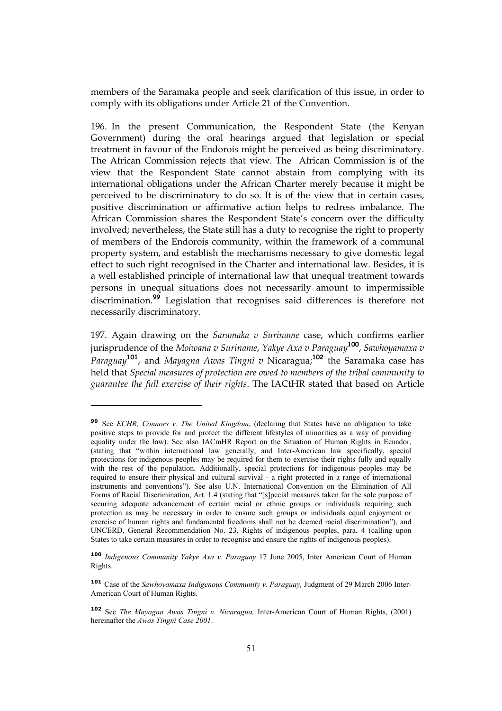members of the Saramaka people and seek clarification of this issue, in order to comply with its obligations under Article 21 of the Convention.

196. In the present Communication, the Respondent State (the Kenyan Government) during the oral hearings argued that legislation or special treatment in favour of the Endorois might be perceived as being discriminatory. The African Commission rejects that view. The African Commission is of the view that the Respondent State cannot abstain from complying with its international obligations under the African Charter merely because it might be perceived to be discriminatory to do so. It is of the view that in certain cases, positive discrimination or affirmative action helps to redress imbalance. The African Commission shares the Respondent State's concern over the difficulty involved; nevertheless, the State still has a duty to recognise the right to property of members of the Endorois community, within the framework of a communal property system, and establish the mechanisms necessary to give domestic legal effect to such right recognised in the Charter and international law. Besides, it is a well established principle of international law that unequal treatment towards persons in unequal situations does not necessarily amount to impermissible discrimination.**<sup>99</sup>** Legislation that recognises said differences is therefore not necessarily discriminatory.

197. Again drawing on the *Saramaka v Suriname* case, which confirms earlier jurisprudence of the *Moiwana v Suriname*, *Yakye Axa v Paraguay***<sup>100</sup>**, *Sawhoyamaxa v Paraguay***<sup>101</sup>**, and *Mayagna Awas Tingni v* Nicaragua;**<sup>102</sup>** the Saramaka case has held that *Special measures of protection are owed to members of the tribal community to guarantee the full exercise of their rights*. The IACtHR stated that based on Article

-

**<sup>99</sup>** See *ECHR, Connors v. The United Kingdom*, (declaring that States have an obligation to take positive steps to provide for and protect the different lifestyles of minorities as a way of providing equality under the law). See also IACmHR Report on the Situation of Human Rights in Ecuador, (stating that "within international law generally, and Inter-American law specifically, special protections for indigenous peoples may be required for them to exercise their rights fully and equally with the rest of the population. Additionally, special protections for indigenous peoples may be required to ensure their physical and cultural survival - a right protected in a range of international instruments and conventions"). See also U.N. International Convention on the Elimination of All Forms of Racial Discrimination, Art. 1.4 (stating that "[s]pecial measures taken for the sole purpose of securing adequate advancement of certain racial or ethnic groups or individuals requiring such protection as may be necessary in order to ensure such groups or individuals equal enjoyment or exercise of human rights and fundamental freedoms shall not be deemed racial discrimination"), and UNCERD, General Recommendation No. 23, Rights of indigenous peoples, para. 4 (calling upon States to take certain measures in order to recognise and ensure the rights of indigenous peoples).

**<sup>100</sup>** *Indigenous Community Yakye Axa v. Paraguay* 17 June 2005, Inter American Court of Human Rights.

**<sup>101</sup>** Case of the *Sawhoyamaxa Indigenous Community v. Paraguay,* Judgment of 29 March 2006 Inter-American Court of Human Rights.

**<sup>102</sup>** See *The Mayagna Awas Tingni v. Nicaragua,* Inter-American Court of Human Rights, (2001) hereinafter the *Awas Tingni Case 2001*.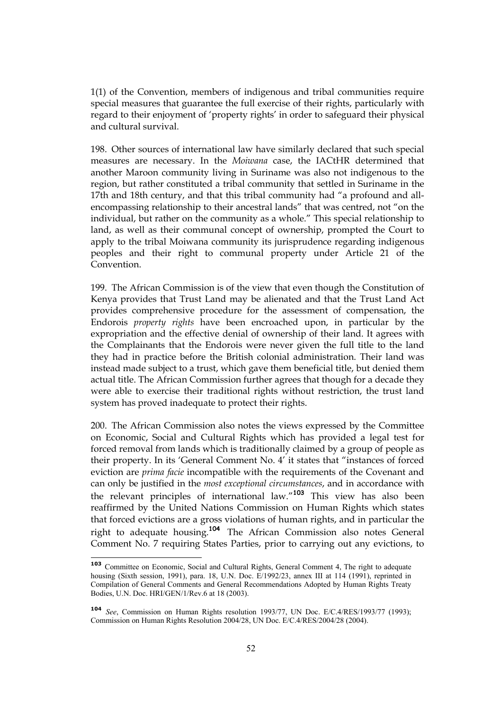1(1) of the Convention, members of indigenous and tribal communities require special measures that guarantee the full exercise of their rights, particularly with regard to their enjoyment of 'property rights' in order to safeguard their physical and cultural survival.

198. Other sources of international law have similarly declared that such special measures are necessary. In the *Moiwana* case, the IACtHR determined that another Maroon community living in Suriname was also not indigenous to the region, but rather constituted a tribal community that settled in Suriname in the 17th and 18th century, and that this tribal community had "a profound and allencompassing relationship to their ancestral lands" that was centred, not "on the individual, but rather on the community as a whole." This special relationship to land, as well as their communal concept of ownership, prompted the Court to apply to the tribal Moiwana community its jurisprudence regarding indigenous peoples and their right to communal property under Article 21 of the Convention.

199. The African Commission is of the view that even though the Constitution of Kenya provides that Trust Land may be alienated and that the Trust Land Act provides comprehensive procedure for the assessment of compensation, the Endorois *property rights* have been encroached upon, in particular by the expropriation and the effective denial of ownership of their land. It agrees with the Complainants that the Endorois were never given the full title to the land they had in practice before the British colonial administration. Their land was instead made subject to a trust, which gave them beneficial title, but denied them actual title. The African Commission further agrees that though for a decade they were able to exercise their traditional rights without restriction, the trust land system has proved inadequate to protect their rights.

200. The African Commission also notes the views expressed by the Committee on Economic, Social and Cultural Rights which has provided a legal test for forced removal from lands which is traditionally claimed by a group of people as their property. In its 'General Comment No. 4' it states that "instances of forced eviction are *prima facie* incompatible with the requirements of the Covenant and can only be justified in the *most exceptional circumstances*, and in accordance with the relevant principles of international law."**<sup>103</sup>** This view has also been reaffirmed by the United Nations Commission on Human Rights which states that forced evictions are a gross violations of human rights, and in particular the right to adequate housing.**<sup>104</sup>** The African Commission also notes General Comment No. 7 requiring States Parties, prior to carrying out any evictions, to

**<sup>103</sup>** Committee on Economic, Social and Cultural Rights, General Comment 4, The right to adequate housing (Sixth session, 1991), para. 18, U.N. Doc. E/1992/23, annex III at 114 (1991), reprinted in Compilation of General Comments and General Recommendations Adopted by Human Rights Treaty Bodies, U.N. Doc. HRI/GEN/1/Rev.6 at 18 (2003).

**<sup>104</sup>** *See*, Commission on Human Rights resolution 1993/77, UN Doc. E/C.4/RES/1993/77 (1993); Commission on Human Rights Resolution 2004/28, UN Doc. E/C.4/RES/2004/28 (2004).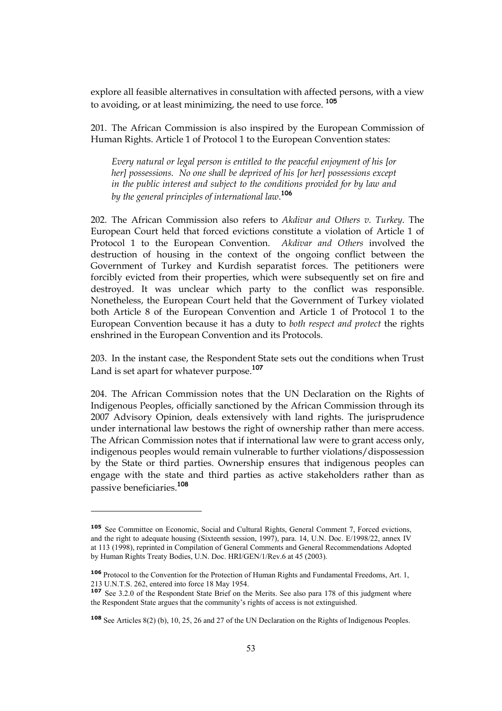explore all feasible alternatives in consultation with affected persons, with a view to avoiding, or at least minimizing, the need to use force. **<sup>105</sup>**

201. The African Commission is also inspired by the European Commission of Human Rights. Article 1 of Protocol 1 to the European Convention states:

*Every natural or legal person is entitled to the peaceful enjoyment of his [or her] possessions. No one shall be deprived of his [or her] possessions except in the public interest and subject to the conditions provided for by law and by the general principles of international law*. **106**

202. The African Commission also refers to *Akdivar and Others v. Turkey*. The European Court held that forced evictions constitute a violation of Article 1 of Protocol 1 to the European Convention. *Akdivar and Others* involved the destruction of housing in the context of the ongoing conflict between the Government of Turkey and Kurdish separatist forces. The petitioners were forcibly evicted from their properties, which were subsequently set on fire and destroyed. It was unclear which party to the conflict was responsible. Nonetheless, the European Court held that the Government of Turkey violated both Article 8 of the European Convention and Article 1 of Protocol 1 to the European Convention because it has a duty to *both respect and protect* the rights enshrined in the European Convention and its Protocols.

203. In the instant case, the Respondent State sets out the conditions when Trust Land is set apart for whatever purpose.**<sup>107</sup>**

204. The African Commission notes that the UN Declaration on the Rights of Indigenous Peoples, officially sanctioned by the African Commission through its 2007 Advisory Opinion, deals extensively with land rights. The jurisprudence under international law bestows the right of ownership rather than mere access. The African Commission notes that if international law were to grant access only, indigenous peoples would remain vulnerable to further violations/dispossession by the State or third parties. Ownership ensures that indigenous peoples can engage with the state and third parties as active stakeholders rather than as passive beneficiaries.**<sup>108</sup>**

**<sup>105</sup>** See Committee on Economic, Social and Cultural Rights, General Comment 7, Forced evictions, and the right to adequate housing (Sixteenth session, 1997), para. 14, U.N. Doc. E/1998/22, annex IV at 113 (1998), reprinted in Compilation of General Comments and General Recommendations Adopted by Human Rights Treaty Bodies, U.N. Doc. HRI/GEN/1/Rev.6 at 45 (2003).

<sup>106</sup> Protocol to the Convention for the Protection of Human Rights and Fundamental Freedoms, Art. 1, 213 U.N.T.S. 262, entered into force 18 May 1954.

**<sup>107</sup>** See 3.2.0 of the Respondent State Brief on the Merits. See also para 178 of this judgment where the Respondent State argues that the community's rights of access is not extinguished.

**<sup>108</sup>** See Articles 8(2) (b), 10, 25, 26 and 27 of the UN Declaration on the Rights of Indigenous Peoples.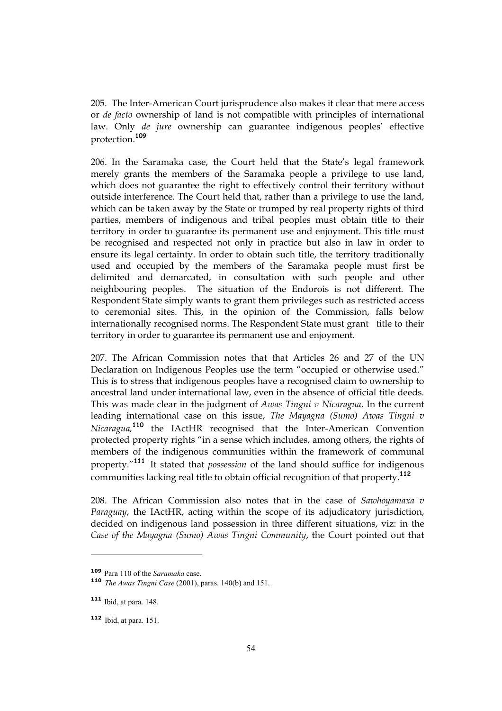205. The Inter-American Court jurisprudence also makes it clear that mere access or *de facto* ownership of land is not compatible with principles of international law. Only *de jure* ownership can guarantee indigenous peoples' effective protection.**<sup>109</sup>**

206. In the Saramaka case, the Court held that the State's legal framework merely grants the members of the Saramaka people a privilege to use land, which does not guarantee the right to effectively control their territory without outside interference. The Court held that, rather than a privilege to use the land, which can be taken away by the State or trumped by real property rights of third parties, members of indigenous and tribal peoples must obtain title to their territory in order to guarantee its permanent use and enjoyment. This title must be recognised and respected not only in practice but also in law in order to ensure its legal certainty. In order to obtain such title, the territory traditionally used and occupied by the members of the Saramaka people must first be delimited and demarcated, in consultation with such people and other neighbouring peoples. The situation of the Endorois is not different. The Respondent State simply wants to grant them privileges such as restricted access to ceremonial sites. This, in the opinion of the Commission, falls below internationally recognised norms. The Respondent State must grant title to their territory in order to guarantee its permanent use and enjoyment.

207. The African Commission notes that that Articles 26 and 27 of the UN Declaration on Indigenous Peoples use the term "occupied or otherwise used." This is to stress that indigenous peoples have a recognised claim to ownership to ancestral land under international law, even in the absence of official title deeds. This was made clear in the judgment of *Awas Tingni v Nicaragua*. In the current leading international case on this issue, *The Mayagna (Sumo) Awas Tingni v Nicaragua,***<sup>110</sup>** the IActHR recognised that the Inter-American Convention protected property rights "in a sense which includes, among others, the rights of members of the indigenous communities within the framework of communal property."**<sup>111</sup>** It stated that *possession* of the land should suffice for indigenous communities lacking real title to obtain official recognition of that property.**<sup>112</sup>**

208. The African Commission also notes that in the case of *Sawhoyamaxa v Paraguay*, the IActHR, acting within the scope of its adjudicatory jurisdiction, decided on indigenous land possession in three different situations, viz: in the *Case of the Mayagna (Sumo) Awas Tingni Community*, the Court pointed out that

**<sup>109</sup>** Para 110 of the *Saramaka* case.

**<sup>110</sup>** *The Awas Tingni Case* (2001), paras. 140(b) and 151.

**<sup>111</sup>** Ibid, at para. 148.

**<sup>112</sup>** Ibid, at para. 151.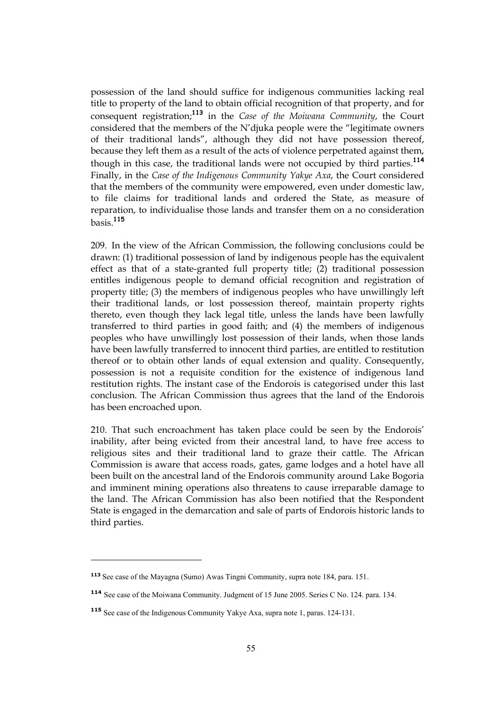possession of the land should suffice for indigenous communities lacking real title to property of the land to obtain official recognition of that property, and for consequent registration;**<sup>113</sup>** in the *Case of the Moiwana Community*, the Court considered that the members of the N'djuka people were the "legitimate owners of their traditional lands", although they did not have possession thereof, because they left them as a result of the acts of violence perpetrated against them, though in this case, the traditional lands were not occupied by third parties.**<sup>114</sup>** Finally, in the *Case of the Indigenous Community Yakye Axa*, the Court considered that the members of the community were empowered, even under domestic law, to file claims for traditional lands and ordered the State, as measure of reparation, to individualise those lands and transfer them on a no consideration basis.**<sup>115</sup>**

209. In the view of the African Commission, the following conclusions could be drawn: (1) traditional possession of land by indigenous people has the equivalent effect as that of a state-granted full property title; (2) traditional possession entitles indigenous people to demand official recognition and registration of property title; (3) the members of indigenous peoples who have unwillingly left their traditional lands, or lost possession thereof, maintain property rights thereto, even though they lack legal title, unless the lands have been lawfully transferred to third parties in good faith; and (4) the members of indigenous peoples who have unwillingly lost possession of their lands, when those lands have been lawfully transferred to innocent third parties, are entitled to restitution thereof or to obtain other lands of equal extension and quality. Consequently, possession is not a requisite condition for the existence of indigenous land restitution rights. The instant case of the Endorois is categorised under this last conclusion. The African Commission thus agrees that the land of the Endorois has been encroached upon.

210. That such encroachment has taken place could be seen by the Endorois' inability, after being evicted from their ancestral land, to have free access to religious sites and their traditional land to graze their cattle. The African Commission is aware that access roads, gates, game lodges and a hotel have all been built on the ancestral land of the Endorois community around Lake Bogoria and imminent mining operations also threatens to cause irreparable damage to the land. The African Commission has also been notified that the Respondent State is engaged in the demarcation and sale of parts of Endorois historic lands to third parties.

-

**<sup>113</sup>** See case of the Mayagna (Sumo) Awas Tingni Community, supra note 184, para. 151.

**<sup>114</sup>** See case of the Moiwana Community. Judgment of 15 June 2005. Series C No. 124. para. 134.

**<sup>115</sup>** See case of the Indigenous Community Yakye Axa, supra note 1, paras. 124-131.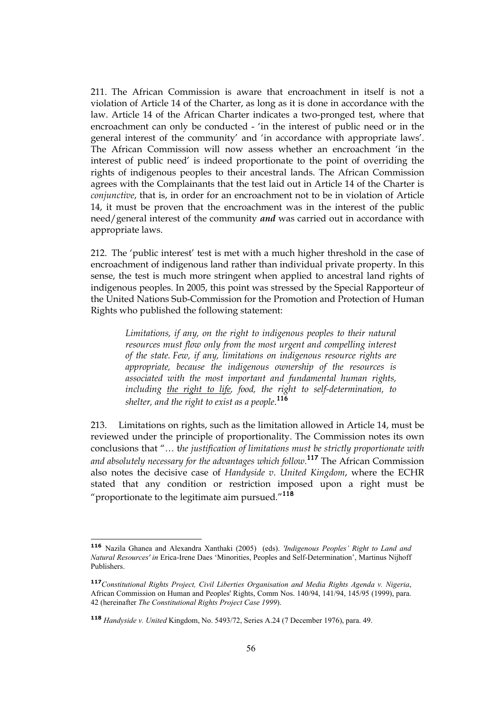211. The African Commission is aware that encroachment in itself is not a violation of Article 14 of the Charter, as long as it is done in accordance with the law. Article 14 of the African Charter indicates a two-pronged test, where that encroachment can only be conducted - 'in the interest of public need or in the general interest of the community' and 'in accordance with appropriate laws'. The African Commission will now assess whether an encroachment 'in the interest of public need' is indeed proportionate to the point of overriding the rights of indigenous peoples to their ancestral lands. The African Commission agrees with the Complainants that the test laid out in Article 14 of the Charter is *conjunctive*, that is, in order for an encroachment not to be in violation of Article 14, it must be proven that the encroachment was in the interest of the public need/general interest of the community *and* was carried out in accordance with appropriate laws.

212. The 'public interest' test is met with a much higher threshold in the case of encroachment of indigenous land rather than individual private property. In this sense, the test is much more stringent when applied to ancestral land rights of indigenous peoples. In 2005, this point was stressed by the Special Rapporteur of the United Nations Sub-Commission for the Promotion and Protection of Human Rights who published the following statement:

> *Limitations, if any, on the right to indigenous peoples to their natural resources must flow only from the most urgent and compelling interest of the state. Few, if any, limitations on indigenous resource rights are appropriate, because the indigenous ownership of the resources is associated with the most important and fundamental human rights,*  including the right to life, food, the right to self-determination, to *shelter, and the right to exist as a people*. **116**

213. Limitations on rights, such as the limitation allowed in Article 14, must be reviewed under the principle of proportionality. The Commission notes its own conclusions that "… t*he justification of limitations must be strictly proportionate with and absolutely necessary for the advantages which follow.***<sup>117</sup>** The African Commission also notes the decisive case of *Handyside v. United Kingdom*, where the ECHR stated that any condition or restriction imposed upon a right must be "proportionate to the legitimate aim pursued."**<sup>118</sup>**

**<sup>116</sup>** Nazila Ghanea and Alexandra Xanthaki (2005) (eds). *'Indigenous Peoples' Right to Land and Natural Resources' in* Erica-Irene Daes 'Minorities, Peoples and Self-Determination', Martinus Nijhoff Publishers.

**<sup>117</sup>***Constitutional Rights Project, Civil Liberties Organisation and Media Rights Agenda v. Nigeria*, African Commission on Human and Peoples' Rights, Comm Nos. 140/94, 141/94, 145/95 (1999), para. 42 (hereinafter *The Constitutional Rights Project Case 1999*).

**<sup>118</sup>** *Handyside v. United* Kingdom, No. 5493/72, Series A.24 (7 December 1976), para. 49.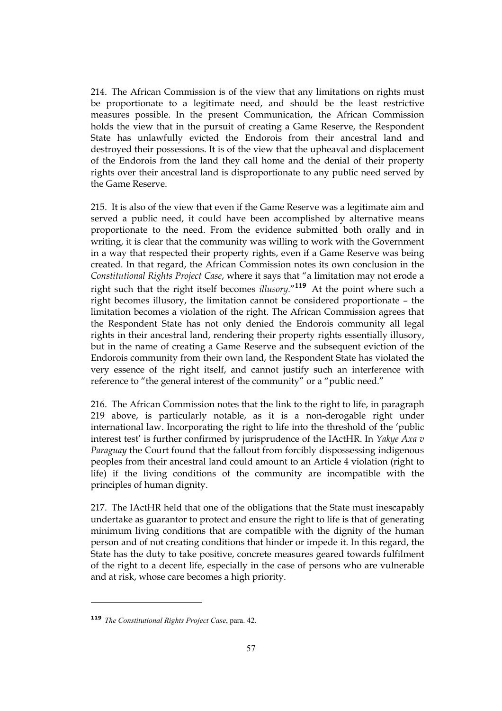214. The African Commission is of the view that any limitations on rights must be proportionate to a legitimate need, and should be the least restrictive measures possible. In the present Communication, the African Commission holds the view that in the pursuit of creating a Game Reserve, the Respondent State has unlawfully evicted the Endorois from their ancestral land and destroyed their possessions. It is of the view that the upheaval and displacement of the Endorois from the land they call home and the denial of their property rights over their ancestral land is disproportionate to any public need served by the Game Reserve.

215. It is also of the view that even if the Game Reserve was a legitimate aim and served a public need, it could have been accomplished by alternative means proportionate to the need. From the evidence submitted both orally and in writing, it is clear that the community was willing to work with the Government in a way that respected their property rights, even if a Game Reserve was being created. In that regard, the African Commission notes its own conclusion in the *Constitutional Rights Project Case*, where it says that "a limitation may not erode a right such that the right itself becomes *illusory.*"**<sup>119</sup>** At the point where such a right becomes illusory, the limitation cannot be considered proportionate – the limitation becomes a violation of the right. The African Commission agrees that the Respondent State has not only denied the Endorois community all legal rights in their ancestral land, rendering their property rights essentially illusory, but in the name of creating a Game Reserve and the subsequent eviction of the Endorois community from their own land, the Respondent State has violated the very essence of the right itself, and cannot justify such an interference with reference to "the general interest of the community" or a "public need."

216. The African Commission notes that the link to the right to life, in paragraph 219 above, is particularly notable, as it is a non-derogable right under international law. Incorporating the right to life into the threshold of the 'public interest test' is further confirmed by jurisprudence of the IActHR. In *Yakye Axa v Paraguay* the Court found that the fallout from forcibly dispossessing indigenous peoples from their ancestral land could amount to an Article 4 violation (right to life) if the living conditions of the community are incompatible with the principles of human dignity.

217. The IActHR held that one of the obligations that the State must inescapably undertake as guarantor to protect and ensure the right to life is that of generating minimum living conditions that are compatible with the dignity of the human person and of not creating conditions that hinder or impede it. In this regard, the State has the duty to take positive, concrete measures geared towards fulfilment of the right to a decent life, especially in the case of persons who are vulnerable and at risk, whose care becomes a high priority.

**<sup>119</sup>** *The Constitutional Rights Project Case*, para. 42.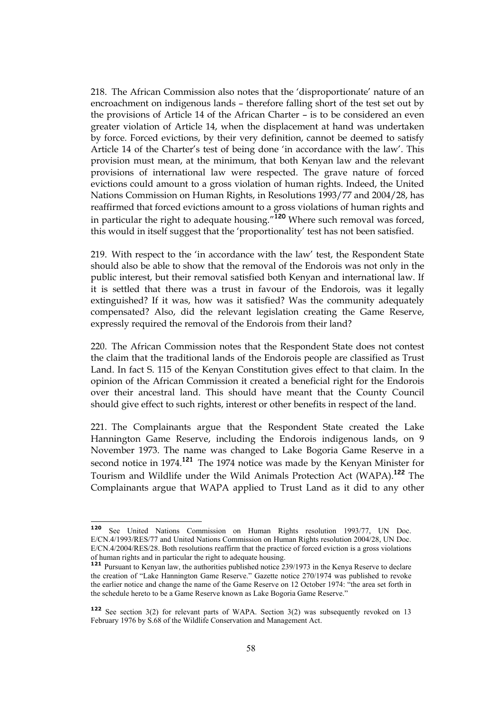218. The African Commission also notes that the 'disproportionate' nature of an encroachment on indigenous lands – therefore falling short of the test set out by the provisions of Article 14 of the African Charter – is to be considered an even greater violation of Article 14, when the displacement at hand was undertaken by force. Forced evictions, by their very definition, cannot be deemed to satisfy Article 14 of the Charter's test of being done 'in accordance with the law'. This provision must mean, at the minimum, that both Kenyan law and the relevant provisions of international law were respected. The grave nature of forced evictions could amount to a gross violation of human rights. Indeed, the United Nations Commission on Human Rights, in Resolutions 1993/77 and 2004/28, has reaffirmed that forced evictions amount to a gross violations of human rights and in particular the right to adequate housing."**<sup>120</sup>** Where such removal was forced, this would in itself suggest that the 'proportionality' test has not been satisfied.

219. With respect to the 'in accordance with the law' test, the Respondent State should also be able to show that the removal of the Endorois was not only in the public interest, but their removal satisfied both Kenyan and international law. If it is settled that there was a trust in favour of the Endorois, was it legally extinguished? If it was, how was it satisfied? Was the community adequately compensated? Also, did the relevant legislation creating the Game Reserve, expressly required the removal of the Endorois from their land?

220. The African Commission notes that the Respondent State does not contest the claim that the traditional lands of the Endorois people are classified as Trust Land. In fact S. 115 of the Kenyan Constitution gives effect to that claim. In the opinion of the African Commission it created a beneficial right for the Endorois over their ancestral land. This should have meant that the County Council should give effect to such rights, interest or other benefits in respect of the land.

221. The Complainants argue that the Respondent State created the Lake Hannington Game Reserve, including the Endorois indigenous lands, on 9 November 1973. The name was changed to Lake Bogoria Game Reserve in a second notice in 1974.**<sup>121</sup>** The 1974 notice was made by the Kenyan Minister for Tourism and Wildlife under the Wild Animals Protection Act (WAPA).**<sup>122</sup>** The Complainants argue that WAPA applied to Trust Land as it did to any other

**<sup>120</sup>** See United Nations Commission on Human Rights resolution 1993/77, UN Doc. E/CN.4/1993/RES/77 and United Nations Commission on Human Rights resolution 2004/28, UN Doc. E/CN.4/2004/RES/28. Both resolutions reaffirm that the practice of forced eviction is a gross violations of human rights and in particular the right to adequate housing.

**<sup>121</sup>** Pursuant to Kenyan law, the authorities published notice 239/1973 in the Kenya Reserve to declare the creation of "Lake Hannington Game Reserve." Gazette notice 270/1974 was published to revoke the earlier notice and change the name of the Game Reserve on 12 October 1974: "the area set forth in the schedule hereto to be a Game Reserve known as Lake Bogoria Game Reserve."

**<sup>122</sup>** See section 3(2) for relevant parts of WAPA. Section 3(2) was subsequently revoked on 13 February 1976 by S.68 of the Wildlife Conservation and Management Act.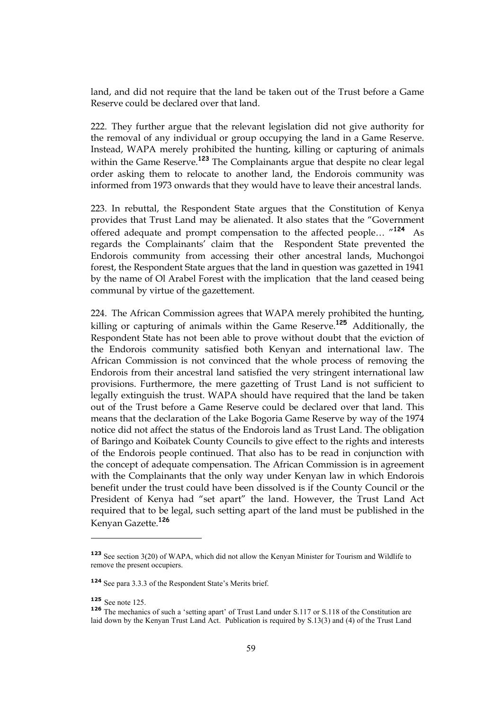land, and did not require that the land be taken out of the Trust before a Game Reserve could be declared over that land.

222. They further argue that the relevant legislation did not give authority for the removal of any individual or group occupying the land in a Game Reserve. Instead, WAPA merely prohibited the hunting, killing or capturing of animals within the Game Reserve.<sup>123</sup> The Complainants argue that despite no clear legal order asking them to relocate to another land, the Endorois community was informed from 1973 onwards that they would have to leave their ancestral lands.

223. In rebuttal, the Respondent State argues that the Constitution of Kenya provides that Trust Land may be alienated. It also states that the "Government offered adequate and prompt compensation to the affected people… "**<sup>124</sup>** As regards the Complainants' claim that the Respondent State prevented the Endorois community from accessing their other ancestral lands, Muchongoi forest, the Respondent State argues that the land in question was gazetted in 1941 by the name of Ol Arabel Forest with the implication that the land ceased being communal by virtue of the gazettement.

224. The African Commission agrees that WAPA merely prohibited the hunting, killing or capturing of animals within the Game Reserve.**<sup>125</sup>** Additionally, the Respondent State has not been able to prove without doubt that the eviction of the Endorois community satisfied both Kenyan and international law. The African Commission is not convinced that the whole process of removing the Endorois from their ancestral land satisfied the very stringent international law provisions. Furthermore, the mere gazetting of Trust Land is not sufficient to legally extinguish the trust. WAPA should have required that the land be taken out of the Trust before a Game Reserve could be declared over that land. This means that the declaration of the Lake Bogoria Game Reserve by way of the 1974 notice did not affect the status of the Endorois land as Trust Land. The obligation of Baringo and Koibatek County Councils to give effect to the rights and interests of the Endorois people continued. That also has to be read in conjunction with the concept of adequate compensation. The African Commission is in agreement with the Complainants that the only way under Kenyan law in which Endorois benefit under the trust could have been dissolved is if the County Council or the President of Kenya had "set apart" the land. However, the Trust Land Act required that to be legal, such setting apart of the land must be published in the Kenyan Gazette.**<sup>126</sup>**

**<sup>123</sup>** See section 3(20) of WAPA, which did not allow the Kenyan Minister for Tourism and Wildlife to remove the present occupiers.

**<sup>124</sup>** See para 3.3.3 of the Respondent State's Merits brief.

**<sup>125</sup>** See note 125.

**<sup>126</sup>** The mechanics of such a 'setting apart' of Trust Land under S.117 or S.118 of the Constitution are laid down by the Kenyan Trust Land Act. Publication is required by S.13(3) and (4) of the Trust Land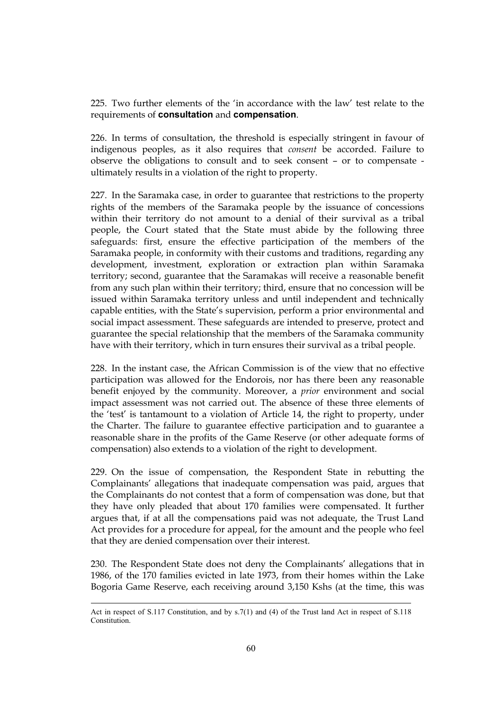225. Two further elements of the 'in accordance with the law' test relate to the requirements of **consultation** and **compensation**.

226. In terms of consultation, the threshold is especially stringent in favour of indigenous peoples, as it also requires that *consent* be accorded. Failure to observe the obligations to consult and to seek consent – or to compensate ultimately results in a violation of the right to property.

227. In the Saramaka case, in order to guarantee that restrictions to the property rights of the members of the Saramaka people by the issuance of concessions within their territory do not amount to a denial of their survival as a tribal people, the Court stated that the State must abide by the following three safeguards: first, ensure the effective participation of the members of the Saramaka people, in conformity with their customs and traditions, regarding any development, investment, exploration or extraction plan within Saramaka territory; second, guarantee that the Saramakas will receive a reasonable benefit from any such plan within their territory; third, ensure that no concession will be issued within Saramaka territory unless and until independent and technically capable entities, with the State's supervision, perform a prior environmental and social impact assessment. These safeguards are intended to preserve, protect and guarantee the special relationship that the members of the Saramaka community have with their territory, which in turn ensures their survival as a tribal people.

228. In the instant case, the African Commission is of the view that no effective participation was allowed for the Endorois, nor has there been any reasonable benefit enjoyed by the community. Moreover, a *prior* environment and social impact assessment was not carried out. The absence of these three elements of the 'test' is tantamount to a violation of Article 14, the right to property, under the Charter. The failure to guarantee effective participation and to guarantee a reasonable share in the profits of the Game Reserve (or other adequate forms of compensation) also extends to a violation of the right to development.

229. On the issue of compensation, the Respondent State in rebutting the Complainants' allegations that inadequate compensation was paid, argues that the Complainants do not contest that a form of compensation was done, but that they have only pleaded that about 170 families were compensated. It further argues that, if at all the compensations paid was not adequate, the Trust Land Act provides for a procedure for appeal, for the amount and the people who feel that they are denied compensation over their interest.

230. The Respondent State does not deny the Complainants' allegations that in 1986, of the 170 families evicted in late 1973, from their homes within the Lake Bogoria Game Reserve, each receiving around 3,150 Kshs (at the time, this was

Act in respect of S.117 Constitution, and by s.7(1) and (4) of the Trust land Act in respect of S.118 **Constitution**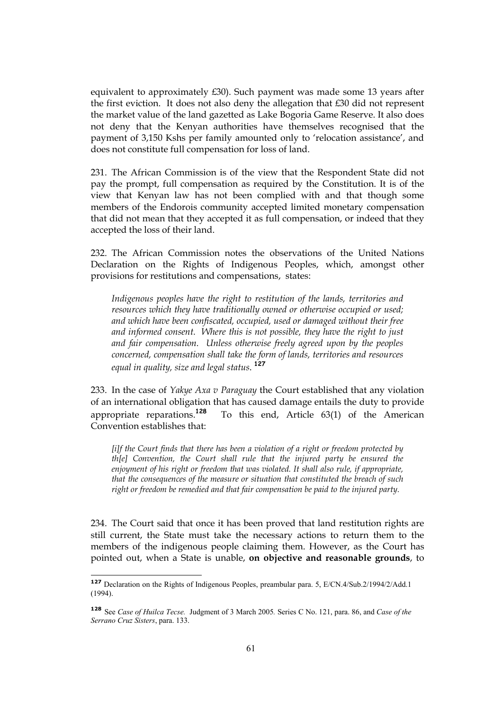equivalent to approximately £30). Such payment was made some 13 years after the first eviction. It does not also deny the allegation that £30 did not represent the market value of the land gazetted as Lake Bogoria Game Reserve. It also does not deny that the Kenyan authorities have themselves recognised that the payment of 3,150 Kshs per family amounted only to 'relocation assistance', and does not constitute full compensation for loss of land.

231. The African Commission is of the view that the Respondent State did not pay the prompt, full compensation as required by the Constitution. It is of the view that Kenyan law has not been complied with and that though some members of the Endorois community accepted limited monetary compensation that did not mean that they accepted it as full compensation, or indeed that they accepted the loss of their land.

232. The African Commission notes the observations of the United Nations Declaration on the Rights of Indigenous Peoples, which, amongst other provisions for restitutions and compensations, states:

*Indigenous peoples have the right to restitution of the lands, territories and resources which they have traditionally owned or otherwise occupied or used; and which have been confiscated, occupied, used or damaged without their free and informed consent. Where this is not possible, they have the right to just and fair compensation. Unless otherwise freely agreed upon by the peoples concerned, compensation shall take the form of lands, territories and resources equal in quality, size and legal status*. **<sup>127</sup>**

233. In the case of *Yakye Axa v Paraguay* the Court established that any violation of an international obligation that has caused damage entails the duty to provide appropriate reparations.**<sup>128</sup>** To this end, Article 63(1) of the American Convention establishes that:

*[i]f the Court finds that there has been a violation of a right or freedom protected by th[e] Convention, the Court shall rule that the injured party be ensured the enjoyment of his right or freedom that was violated. It shall also rule, if appropriate, that the consequences of the measure or situation that constituted the breach of such right or freedom be remedied and that fair compensation be paid to the injured party.*

234. The Court said that once it has been proved that land restitution rights are still current, the State must take the necessary actions to return them to the members of the indigenous people claiming them. However, as the Court has pointed out, when a State is unable, **on objective and reasonable grounds**, to

-

**<sup>127</sup>** Declaration on the Rights of Indigenous Peoples, preambular para. 5, E/CN.4/Sub.2/1994/2/Add.1 (1994).

**<sup>128</sup>** See *Case of Huilca Tecse.* Judgment of 3 March 2005*.* Series C No. 121, para. 86, and *Case of the Serrano Cruz Sisters*, para. 133.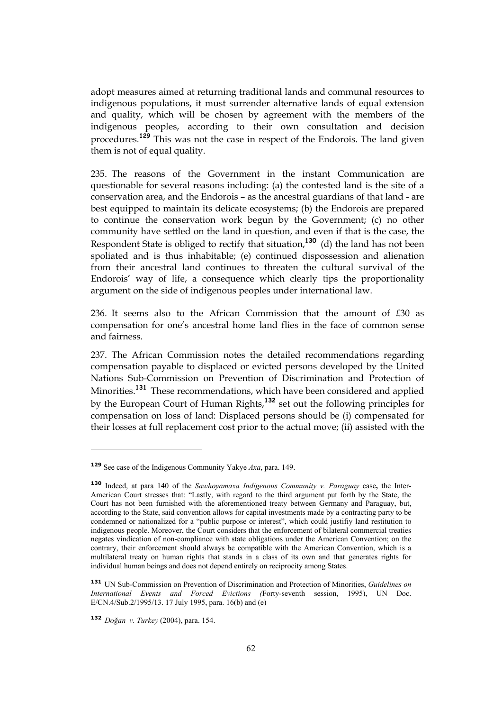adopt measures aimed at returning traditional lands and communal resources to indigenous populations, it must surrender alternative lands of equal extension and quality, which will be chosen by agreement with the members of the indigenous peoples, according to their own consultation and decision procedures.**<sup>129</sup>** This was not the case in respect of the Endorois. The land given them is not of equal quality.

235. The reasons of the Government in the instant Communication are questionable for several reasons including: (a) the contested land is the site of a conservation area, and the Endorois – as the ancestral guardians of that land - are best equipped to maintain its delicate ecosystems; (b) the Endorois are prepared to continue the conservation work begun by the Government; (c) no other community have settled on the land in question, and even if that is the case, the Respondent State is obliged to rectify that situation,**<sup>130</sup>** (d) the land has not been spoliated and is thus inhabitable; (e) continued dispossession and alienation from their ancestral land continues to threaten the cultural survival of the Endorois' way of life, a consequence which clearly tips the proportionality argument on the side of indigenous peoples under international law.

236. It seems also to the African Commission that the amount of £30 as compensation for one's ancestral home land flies in the face of common sense and fairness.

237. The African Commission notes the detailed recommendations regarding compensation payable to displaced or evicted persons developed by the United Nations Sub-Commission on Prevention of Discrimination and Protection of Minorities.**<sup>131</sup>** These recommendations, which have been considered and applied by the European Court of Human Rights,**<sup>132</sup>** set out the following principles for compensation on loss of land: Displaced persons should be (i) compensated for their losses at full replacement cost prior to the actual move; (ii) assisted with the

**<sup>129</sup>** See case of the Indigenous Community Yakye *Axa*, para. 149.

**<sup>130</sup>** Indeed, at para 140 of the *Sawhoyamaxa Indigenous Community v. Paraguay* case**,** the Inter-American Court stresses that: "Lastly, with regard to the third argument put forth by the State, the Court has not been furnished with the aforementioned treaty between Germany and Paraguay, but, according to the State, said convention allows for capital investments made by a contracting party to be condemned or nationalized for a "public purpose or interest", which could justifiy land restitution to indigenous people. Moreover, the Court considers that the enforcement of bilateral commercial treaties negates vindication of non-compliance with state obligations under the American Convention; on the contrary, their enforcement should always be compatible with the American Convention, which is a multilateral treaty on human rights that stands in a class of its own and that generates rights for individual human beings and does not depend entirely on reciprocity among States.

**<sup>131</sup>** UN Sub-Commission on Prevention of Discrimination and Protection of Minorities, *Guidelines on International Events and Forced Evictions (*Forty-seventh session, 1995), UN Doc. E/CN.4/Sub.2/1995/13. 17 July 1995, para. 16(b) and (e)

**<sup>132</sup>** *Doğan v. Turkey* (2004), para. 154.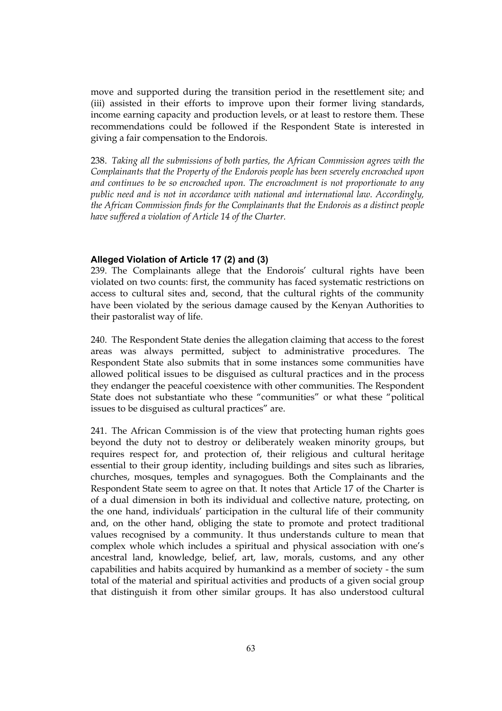move and supported during the transition period in the resettlement site; and (iii) assisted in their efforts to improve upon their former living standards, income earning capacity and production levels, or at least to restore them. These recommendations could be followed if the Respondent State is interested in giving a fair compensation to the Endorois.

238. *Taking all the submissions of both parties, the African Commission agrees with the Complainants that the Property of the Endorois people has been severely encroached upon and continues to be so encroached upon. The encroachment is not proportionate to any public need and is not in accordance with national and international law. Accordingly, the African Commission finds for the Complainants that the Endorois as a distinct people have suffered a violation of Article 14 of the Charter.* 

## **Alleged Violation of Article 17 (2) and (3)**

239. The Complainants allege that the Endorois' cultural rights have been violated on two counts: first, the community has faced systematic restrictions on access to cultural sites and, second, that the cultural rights of the community have been violated by the serious damage caused by the Kenyan Authorities to their pastoralist way of life.

240. The Respondent State denies the allegation claiming that access to the forest areas was always permitted, subject to administrative procedures. The Respondent State also submits that in some instances some communities have allowed political issues to be disguised as cultural practices and in the process they endanger the peaceful coexistence with other communities. The Respondent State does not substantiate who these "communities" or what these "political issues to be disguised as cultural practices" are.

241. The African Commission is of the view that protecting human rights goes beyond the duty not to destroy or deliberately weaken minority groups, but requires respect for, and protection of, their religious and cultural heritage essential to their group identity, including buildings and sites such as libraries, churches, mosques, temples and synagogues. Both the Complainants and the Respondent State seem to agree on that. It notes that Article 17 of the Charter is of a dual dimension in both its individual and collective nature, protecting, on the one hand, individuals' participation in the cultural life of their community and, on the other hand, obliging the state to promote and protect traditional values recognised by a community. It thus understands culture to mean that complex whole which includes a spiritual and physical association with one's ancestral land, knowledge, belief, art, law, morals, customs, and any other capabilities and habits acquired by humankind as a member of society - the sum total of the material and spiritual activities and products of a given social group that distinguish it from other similar groups. It has also understood cultural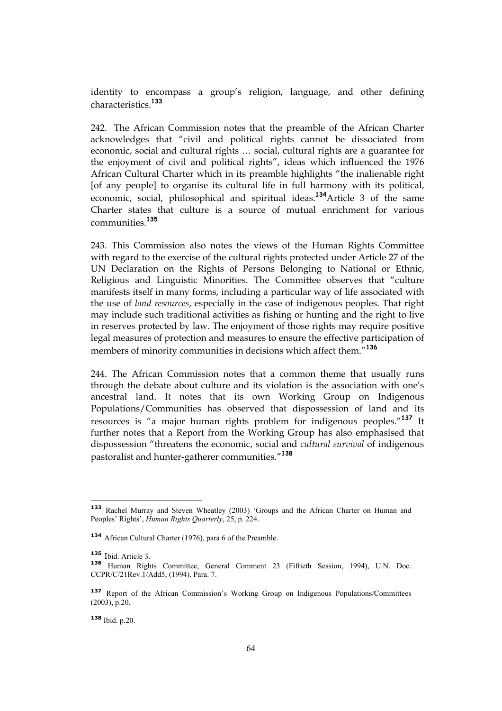identity to encompass a group's religion, language, and other defining characteristics.**<sup>133</sup>**

242. The African Commission notes that the preamble of the African Charter acknowledges that "civil and political rights cannot be dissociated from economic, social and cultural rights … social, cultural rights are a guarantee for the enjoyment of civil and political rights", ideas which influenced the 1976 African Cultural Charter which in its preamble highlights "the inalienable right [of any people] to organise its cultural life in full harmony with its political, economic, social, philosophical and spiritual ideas.**<sup>134</sup>**Article 3 of the same Charter states that culture is a source of mutual enrichment for various communities.**<sup>135</sup>**

243. This Commission also notes the views of the Human Rights Committee with regard to the exercise of the cultural rights protected under Article 27 of the UN Declaration on the Rights of Persons Belonging to National or Ethnic, Religious and Linguistic Minorities. The Committee observes that "culture manifests itself in many forms, including a particular way of life associated with the use of *land resources*, especially in the case of indigenous peoples. That right may include such traditional activities as fishing or hunting and the right to live in reserves protected by law. The enjoyment of those rights may require positive legal measures of protection and measures to ensure the effective participation of members of minority communities in decisions which affect them."**<sup>136</sup>**

244. The African Commission notes that a common theme that usually runs through the debate about culture and its violation is the association with one's ancestral land. It notes that its own Working Group on Indigenous Populations/Communities has observed that dispossession of land and its resources is "a major human rights problem for indigenous peoples."**<sup>137</sup>** It further notes that a Report from the Working Group has also emphasised that dispossession "threatens the economic, social and *cultural survival* of indigenous pastoralist and hunter-gatherer communities."**<sup>138</sup>**

-

**<sup>138</sup>** Ibid. p.20.

**<sup>133</sup>** Rachel Murray and Steven Wheatley (2003) 'Groups and the African Charter on Human and Peoples' Rights', *Human Rights Quarterly*, 25, p. 224.

**<sup>134</sup>** African Cultural Charter (1976), para 6 of the Preamble.

**<sup>135</sup>** Ibid. Article 3.

**<sup>136</sup>** Human Rights Committee, General Comment 23 (Fiftieth Session, 1994), U.N. Doc. CCPR/C/21Rev.1/Add5, (1994). Para. 7.

**<sup>137</sup>** Report of the African Commission's Working Group on Indigenous Populations/Committees  $(2003)$ , p. 20.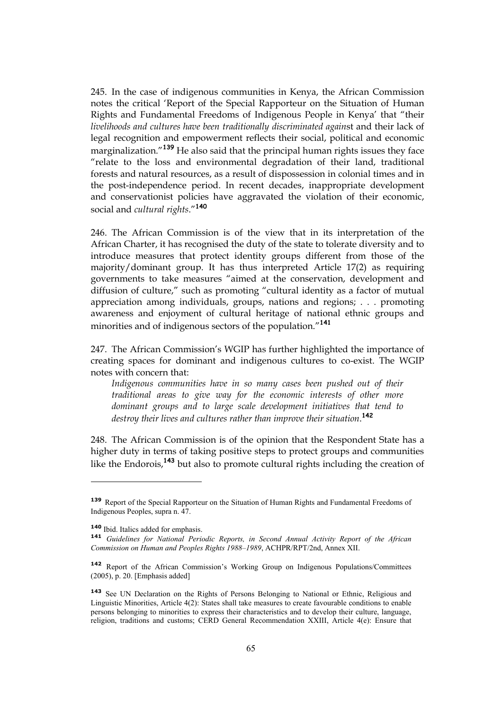245. In the case of indigenous communities in Kenya, the African Commission notes the critical 'Report of the Special Rapporteur on the Situation of Human Rights and Fundamental Freedoms of Indigenous People in Kenya' that "their *livelihoods and cultures have been traditionally discriminated again*st and their lack of legal recognition and empowerment reflects their social, political and economic marginalization."**<sup>139</sup>** He also said that the principal human rights issues they face "relate to the loss and environmental degradation of their land, traditional forests and natural resources, as a result of dispossession in colonial times and in the post-independence period. In recent decades, inappropriate development and conservationist policies have aggravated the violation of their economic, social and *cultural rights*."**<sup>140</sup>**

246. The African Commission is of the view that in its interpretation of the African Charter, it has recognised the duty of the state to tolerate diversity and to introduce measures that protect identity groups different from those of the majority/dominant group. It has thus interpreted Article 17(2) as requiring governments to take measures "aimed at the conservation, development and diffusion of culture," such as promoting "cultural identity as a factor of mutual appreciation among individuals, groups, nations and regions; . . . promoting awareness and enjoyment of cultural heritage of national ethnic groups and minorities and of indigenous sectors of the population."**<sup>141</sup>**

247. The African Commission's WGIP has further highlighted the importance of creating spaces for dominant and indigenous cultures to co-exist. The WGIP notes with concern that:

*Indigenous communities have in so many cases been pushed out of their traditional areas to give way for the economic interests of other more dominant groups and to large scale development initiatives that tend to destroy their lives and cultures rather than improve their situation*. **142** 

248. The African Commission is of the opinion that the Respondent State has a higher duty in terms of taking positive steps to protect groups and communities like the Endorois,**<sup>143</sup>** but also to promote cultural rights including the creation of

**<sup>139</sup>** Report of the Special Rapporteur on the Situation of Human Rights and Fundamental Freedoms of Indigenous Peoples, supra n. 47.

**<sup>140</sup>** Ibid. Italics added for emphasis.

**<sup>141</sup>** *Guidelines for National Periodic Reports, in Second Annual Activity Report of the African Commission on Human and Peoples Rights 1988–1989*, ACHPR/RPT/2nd, Annex XII.

**<sup>142</sup>** Report of the African Commission's Working Group on Indigenous Populations/Committees (2005), p. 20. [Emphasis added]

**<sup>143</sup>** See UN Declaration on the Rights of Persons Belonging to National or Ethnic, Religious and Linguistic Minorities, Article 4(2): States shall take measures to create favourable conditions to enable persons belonging to minorities to express their characteristics and to develop their culture, language, religion, traditions and customs; CERD General Recommendation XXIII, Article 4(e): Ensure that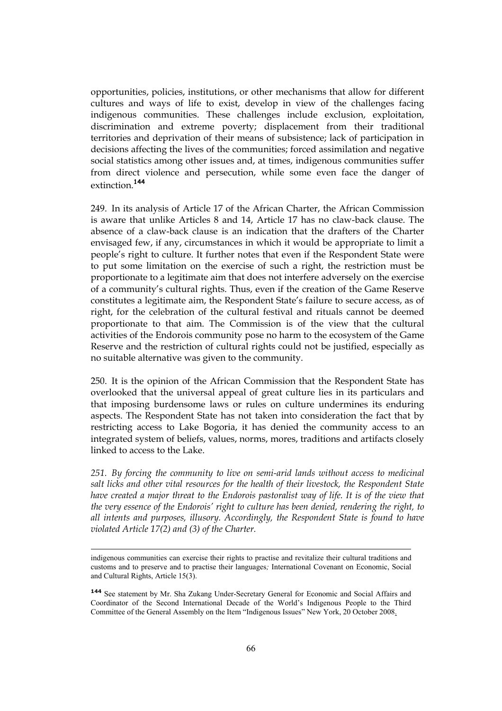opportunities, policies, institutions, or other mechanisms that allow for different cultures and ways of life to exist, develop in view of the challenges facing indigenous communities. These challenges include exclusion, exploitation, discrimination and extreme poverty; displacement from their traditional territories and deprivation of their means of subsistence; lack of participation in decisions affecting the lives of the communities; forced assimilation and negative social statistics among other issues and, at times, indigenous communities suffer from direct violence and persecution, while some even face the danger of extinction.**<sup>144</sup>**

249. In its analysis of Article 17 of the African Charter, the African Commission is aware that unlike Articles 8 and 14, Article 17 has no claw-back clause. The absence of a claw-back clause is an indication that the drafters of the Charter envisaged few, if any, circumstances in which it would be appropriate to limit a people's right to culture. It further notes that even if the Respondent State were to put some limitation on the exercise of such a right, the restriction must be proportionate to a legitimate aim that does not interfere adversely on the exercise of a community's cultural rights. Thus, even if the creation of the Game Reserve constitutes a legitimate aim, the Respondent State's failure to secure access, as of right, for the celebration of the cultural festival and rituals cannot be deemed proportionate to that aim. The Commission is of the view that the cultural activities of the Endorois community pose no harm to the ecosystem of the Game Reserve and the restriction of cultural rights could not be justified, especially as no suitable alternative was given to the community.

250. It is the opinion of the African Commission that the Respondent State has overlooked that the universal appeal of great culture lies in its particulars and that imposing burdensome laws or rules on culture undermines its enduring aspects. The Respondent State has not taken into consideration the fact that by restricting access to Lake Bogoria, it has denied the community access to an integrated system of beliefs, values, norms, mores, traditions and artifacts closely linked to access to the Lake.

*251. By forcing the community to live on semi-arid lands without access to medicinal salt licks and other vital resources for the health of their livestock, the Respondent State have created a major threat to the Endorois pastoralist way of life. It is of the view that the very essence of the Endorois' right to culture has been denied, rendering the right, to all intents and purposes, illusory. Accordingly, the Respondent State is found to have violated Article 17(2) and (3) of the Charter.* 

indigenous communities can exercise their rights to practise and revitalize their cultural traditions and customs and to preserve and to practise their languages*;* International Covenant on Economic, Social and Cultural Rights, Article 15(3).

**<sup>144</sup>** See statement by Mr. Sha Zukang Under-Secretary General for Economic and Social Affairs and Coordinator of the Second International Decade of the World's Indigenous People to the Third Committee of the General Assembly on the Item "Indigenous Issues" New York, 20 October 2008.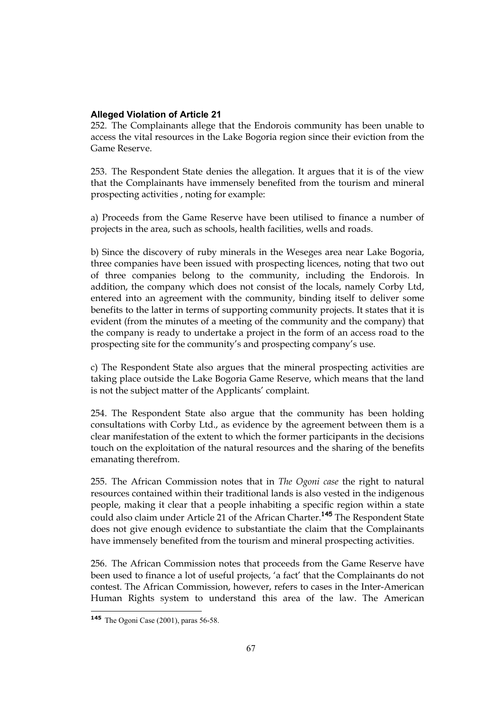# **Alleged Violation of Article 21**

252. The Complainants allege that the Endorois community has been unable to access the vital resources in the Lake Bogoria region since their eviction from the Game Reserve.

253. The Respondent State denies the allegation. It argues that it is of the view that the Complainants have immensely benefited from the tourism and mineral prospecting activities , noting for example:

a) Proceeds from the Game Reserve have been utilised to finance a number of projects in the area, such as schools, health facilities, wells and roads.

b) Since the discovery of ruby minerals in the Weseges area near Lake Bogoria, three companies have been issued with prospecting licences, noting that two out of three companies belong to the community, including the Endorois. In addition, the company which does not consist of the locals, namely Corby Ltd, entered into an agreement with the community, binding itself to deliver some benefits to the latter in terms of supporting community projects. It states that it is evident (from the minutes of a meeting of the community and the company) that the company is ready to undertake a project in the form of an access road to the prospecting site for the community's and prospecting company's use.

c) The Respondent State also argues that the mineral prospecting activities are taking place outside the Lake Bogoria Game Reserve, which means that the land is not the subject matter of the Applicants' complaint.

254. The Respondent State also argue that the community has been holding consultations with Corby Ltd., as evidence by the agreement between them is a clear manifestation of the extent to which the former participants in the decisions touch on the exploitation of the natural resources and the sharing of the benefits emanating therefrom.

255. The African Commission notes that in *The Ogoni case* the right to natural resources contained within their traditional lands is also vested in the indigenous people, making it clear that a people inhabiting a specific region within a state could also claim under Article 21 of the African Charter.**<sup>145</sup>** The Respondent State does not give enough evidence to substantiate the claim that the Complainants have immensely benefited from the tourism and mineral prospecting activities.

256. The African Commission notes that proceeds from the Game Reserve have been used to finance a lot of useful projects, 'a fact' that the Complainants do not contest. The African Commission, however, refers to cases in the Inter-American Human Rights system to understand this area of the law. The American

**<sup>145</sup>** The Ogoni Case (2001), paras 56-58.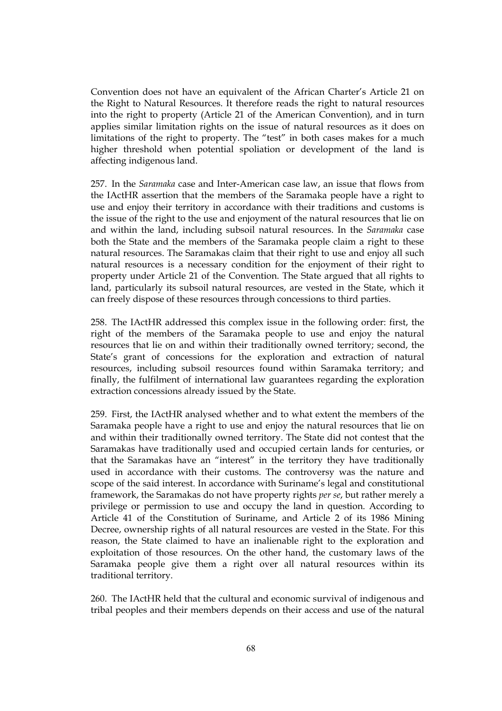Convention does not have an equivalent of the African Charter's Article 21 on the Right to Natural Resources. It therefore reads the right to natural resources into the right to property (Article 21 of the American Convention), and in turn applies similar limitation rights on the issue of natural resources as it does on limitations of the right to property. The "test" in both cases makes for a much higher threshold when potential spoliation or development of the land is affecting indigenous land.

257. In the *Saramaka* case and Inter-American case law, an issue that flows from the IActHR assertion that the members of the Saramaka people have a right to use and enjoy their territory in accordance with their traditions and customs is the issue of the right to the use and enjoyment of the natural resources that lie on and within the land, including subsoil natural resources. In the *Saramaka* case both the State and the members of the Saramaka people claim a right to these natural resources. The Saramakas claim that their right to use and enjoy all such natural resources is a necessary condition for the enjoyment of their right to property under Article 21 of the Convention. The State argued that all rights to land, particularly its subsoil natural resources, are vested in the State, which it can freely dispose of these resources through concessions to third parties.

258. The IActHR addressed this complex issue in the following order: first, the right of the members of the Saramaka people to use and enjoy the natural resources that lie on and within their traditionally owned territory; second, the State's grant of concessions for the exploration and extraction of natural resources, including subsoil resources found within Saramaka territory; and finally, the fulfilment of international law guarantees regarding the exploration extraction concessions already issued by the State.

259. First, the IActHR analysed whether and to what extent the members of the Saramaka people have a right to use and enjoy the natural resources that lie on and within their traditionally owned territory. The State did not contest that the Saramakas have traditionally used and occupied certain lands for centuries, or that the Saramakas have an "interest" in the territory they have traditionally used in accordance with their customs. The controversy was the nature and scope of the said interest. In accordance with Suriname's legal and constitutional framework, the Saramakas do not have property rights *per se*, but rather merely a privilege or permission to use and occupy the land in question. According to Article 41 of the Constitution of Suriname, and Article 2 of its 1986 Mining Decree, ownership rights of all natural resources are vested in the State. For this reason, the State claimed to have an inalienable right to the exploration and exploitation of those resources. On the other hand, the customary laws of the Saramaka people give them a right over all natural resources within its traditional territory.

260. The IActHR held that the cultural and economic survival of indigenous and tribal peoples and their members depends on their access and use of the natural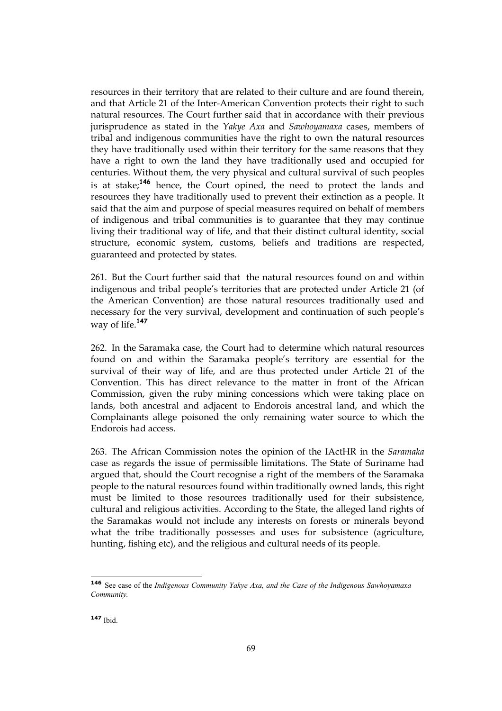resources in their territory that are related to their culture and are found therein, and that Article 21 of the Inter-American Convention protects their right to such natural resources. The Court further said that in accordance with their previous jurisprudence as stated in the *Yakye Axa* and *Sawhoyamaxa* cases, members of tribal and indigenous communities have the right to own the natural resources they have traditionally used within their territory for the same reasons that they have a right to own the land they have traditionally used and occupied for centuries. Without them, the very physical and cultural survival of such peoples is at stake;**<sup>146</sup>** hence, the Court opined, the need to protect the lands and resources they have traditionally used to prevent their extinction as a people. It said that the aim and purpose of special measures required on behalf of members of indigenous and tribal communities is to guarantee that they may continue living their traditional way of life, and that their distinct cultural identity, social structure, economic system, customs, beliefs and traditions are respected, guaranteed and protected by states.

261. But the Court further said that the natural resources found on and within indigenous and tribal people's territories that are protected under Article 21 (of the American Convention) are those natural resources traditionally used and necessary for the very survival, development and continuation of such people's way of life.**<sup>147</sup>**

262. In the Saramaka case, the Court had to determine which natural resources found on and within the Saramaka people's territory are essential for the survival of their way of life, and are thus protected under Article 21 of the Convention. This has direct relevance to the matter in front of the African Commission, given the ruby mining concessions which were taking place on lands, both ancestral and adjacent to Endorois ancestral land, and which the Complainants allege poisoned the only remaining water source to which the Endorois had access.

263. The African Commission notes the opinion of the IActHR in the *Saramaka* case as regards the issue of permissible limitations. The State of Suriname had argued that, should the Court recognise a right of the members of the Saramaka people to the natural resources found within traditionally owned lands, this right must be limited to those resources traditionally used for their subsistence, cultural and religious activities. According to the State, the alleged land rights of the Saramakas would not include any interests on forests or minerals beyond what the tribe traditionally possesses and uses for subsistence (agriculture, hunting, fishing etc), and the religious and cultural needs of its people.

**<sup>146</sup>** See case of the *Indigenous Community Yakye Axa, and the Case of the Indigenous Sawhoyamaxa Community.*

**<sup>147</sup>** Ibid.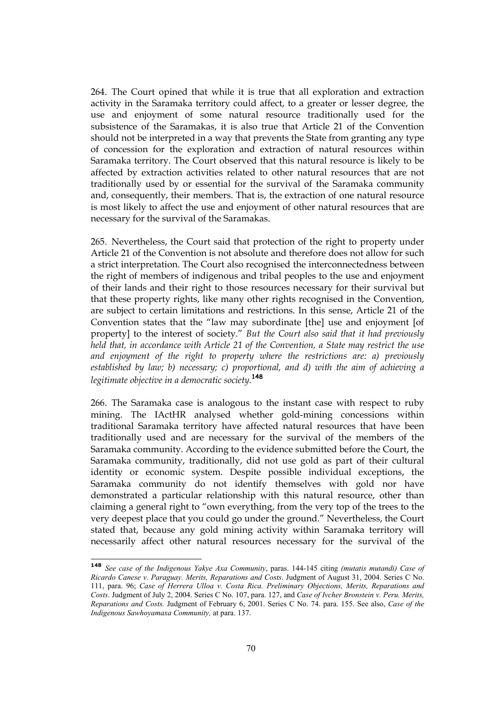264. The Court opined that while it is true that all exploration and extraction activity in the Saramaka territory could affect, to a greater or lesser degree, the use and enjoyment of some natural resource traditionally used for the subsistence of the Saramakas, it is also true that Article 21 of the Convention should not be interpreted in a way that prevents the State from granting any type of concession for the exploration and extraction of natural resources within Saramaka territory. The Court observed that this natural resource is likely to be affected by extraction activities related to other natural resources that are not traditionally used by or essential for the survival of the Saramaka community and, consequently, their members. That is, the extraction of one natural resource is most likely to affect the use and enjoyment of other natural resources that are necessary for the survival of the Saramakas.

265. Nevertheless, the Court said that protection of the right to property under Article 21 of the Convention is not absolute and therefore does not allow for such a strict interpretation. The Court also recognised the interconnectedness between the right of members of indigenous and tribal peoples to the use and enjoyment of their lands and their right to those resources necessary for their survival but that these property rights, like many other rights recognised in the Convention, are subject to certain limitations and restrictions. In this sense, Article 21 of the Convention states that the "law may subordinate [the] use and enjoyment [of property] to the interest of society." *But the Court also said that it had previously held that, in accordance with Article 21 of the Convention, a State may restrict the use and enjoyment of the right to property where the restrictions are: a) previously established by law; b) necessary; c) proportional, and d) with the aim of achieving a legitimate objective in a democratic society.***<sup>148</sup>**

266. The Saramaka case is analogous to the instant case with respect to ruby mining. The IActHR analysed whether gold-mining concessions within traditional Saramaka territory have affected natural resources that have been traditionally used and are necessary for the survival of the members of the Saramaka community. According to the evidence submitted before the Court, the Saramaka community, traditionally, did not use gold as part of their cultural identity or economic system. Despite possible individual exceptions, the Saramaka community do not identify themselves with gold nor have demonstrated a particular relationship with this natural resource, other than claiming a general right to "own everything, from the very top of the trees to the very deepest place that you could go under the ground." Nevertheless, the Court stated that, because any gold mining activity within Saramaka territory will necessarily affect other natural resources necessary for the survival of the

-

**<sup>148</sup>** *See case of the Indigenous Yakye Axa Community*, paras. 144-145 citing *(mutatis mutandi) Case of Ricardo Canese v. Paraguay. Merits, Reparations and Costs*. Judgment of August 31, 2004. Series C No. 111, para. 96; *Case of Herrera Ulloa v. Costa Rica. Preliminary Objections, Merits, Reparations and Costs*. Judgment of July 2, 2004. Series C No. 107, para. 127, and *Case of Ivcher Bronstein v. Peru. Merits, Reparations and Costs.* Judgment of February 6, 2001. Series C No. 74. para. 155. See also, *Case of the Indigenous Sawhoyamaxa Community,* at para. 137.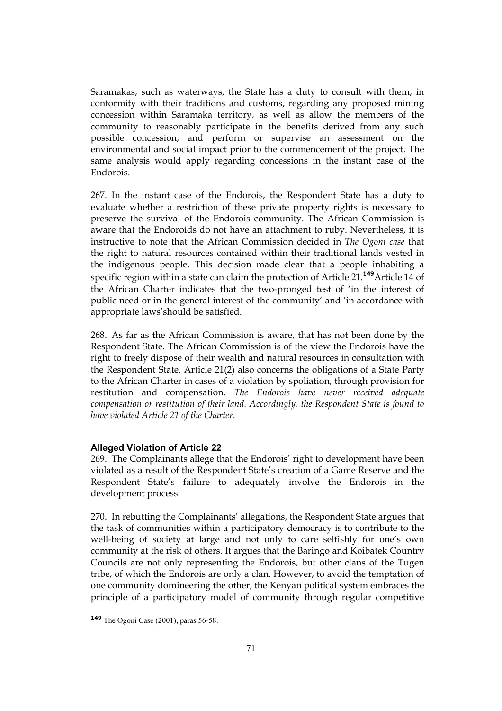Saramakas, such as waterways, the State has a duty to consult with them, in conformity with their traditions and customs, regarding any proposed mining concession within Saramaka territory, as well as allow the members of the community to reasonably participate in the benefits derived from any such possible concession, and perform or supervise an assessment on the environmental and social impact prior to the commencement of the project. The same analysis would apply regarding concessions in the instant case of the Endorois.

267. In the instant case of the Endorois, the Respondent State has a duty to evaluate whether a restriction of these private property rights is necessary to preserve the survival of the Endorois community. The African Commission is aware that the Endoroids do not have an attachment to ruby. Nevertheless, it is instructive to note that the African Commission decided in *The Ogoni case* that the right to natural resources contained within their traditional lands vested in the indigenous people. This decision made clear that a people inhabiting a specific region within a state can claim the protection of Article 21.**<sup>149</sup>**Article 14 of the African Charter indicates that the two-pronged test of 'in the interest of public need or in the general interest of the community' and 'in accordance with appropriate laws'should be satisfied.

268. As far as the African Commission is aware, that has not been done by the Respondent State. The African Commission is of the view the Endorois have the right to freely dispose of their wealth and natural resources in consultation with the Respondent State. Article 21(2) also concerns the obligations of a State Party to the African Charter in cases of a violation by spoliation, through provision for restitution and compensation. *The Endorois have never received adequate compensation or restitution of their land. Accordingly, the Respondent State is found to have violated Article 21 of the Charter*.

## **Alleged Violation of Article 22**

269. The Complainants allege that the Endorois' right to development have been violated as a result of the Respondent State's creation of a Game Reserve and the Respondent State's failure to adequately involve the Endorois in the development process.

270. In rebutting the Complainants' allegations, the Respondent State argues that the task of communities within a participatory democracy is to contribute to the well-being of society at large and not only to care selfishly for one's own community at the risk of others. It argues that the Baringo and Koibatek Country Councils are not only representing the Endorois, but other clans of the Tugen tribe, of which the Endorois are only a clan. However, to avoid the temptation of one community domineering the other, the Kenyan political system embraces the principle of a participatory model of community through regular competitive

**<sup>149</sup>** The Ogoni Case (2001), paras 56-58.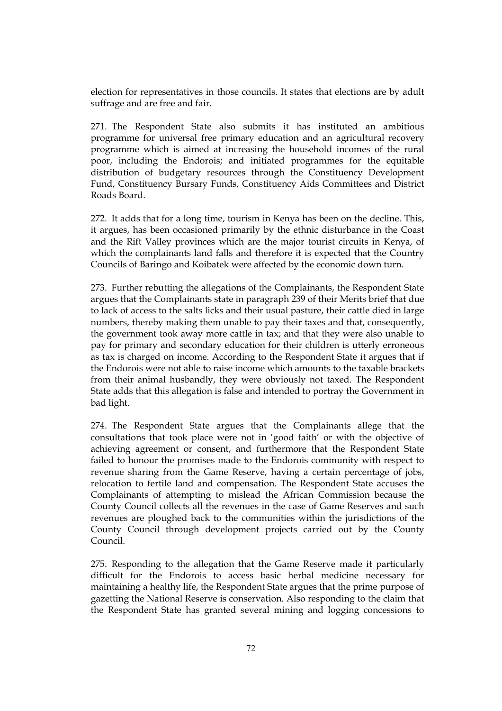election for representatives in those councils. It states that elections are by adult suffrage and are free and fair.

271. The Respondent State also submits it has instituted an ambitious programme for universal free primary education and an agricultural recovery programme which is aimed at increasing the household incomes of the rural poor, including the Endorois; and initiated programmes for the equitable distribution of budgetary resources through the Constituency Development Fund, Constituency Bursary Funds, Constituency Aids Committees and District Roads Board.

272. It adds that for a long time, tourism in Kenya has been on the decline. This, it argues, has been occasioned primarily by the ethnic disturbance in the Coast and the Rift Valley provinces which are the major tourist circuits in Kenya, of which the complainants land falls and therefore it is expected that the Country Councils of Baringo and Koibatek were affected by the economic down turn.

273. Further rebutting the allegations of the Complainants, the Respondent State argues that the Complainants state in paragraph 239 of their Merits brief that due to lack of access to the salts licks and their usual pasture, their cattle died in large numbers, thereby making them unable to pay their taxes and that, consequently, the government took away more cattle in tax; and that they were also unable to pay for primary and secondary education for their children is utterly erroneous as tax is charged on income. According to the Respondent State it argues that if the Endorois were not able to raise income which amounts to the taxable brackets from their animal husbandly, they were obviously not taxed. The Respondent State adds that this allegation is false and intended to portray the Government in bad light.

274. The Respondent State argues that the Complainants allege that the consultations that took place were not in 'good faith' or with the objective of achieving agreement or consent, and furthermore that the Respondent State failed to honour the promises made to the Endorois community with respect to revenue sharing from the Game Reserve, having a certain percentage of jobs, relocation to fertile land and compensation. The Respondent State accuses the Complainants of attempting to mislead the African Commission because the County Council collects all the revenues in the case of Game Reserves and such revenues are ploughed back to the communities within the jurisdictions of the County Council through development projects carried out by the County Council.

275. Responding to the allegation that the Game Reserve made it particularly difficult for the Endorois to access basic herbal medicine necessary for maintaining a healthy life, the Respondent State argues that the prime purpose of gazetting the National Reserve is conservation. Also responding to the claim that the Respondent State has granted several mining and logging concessions to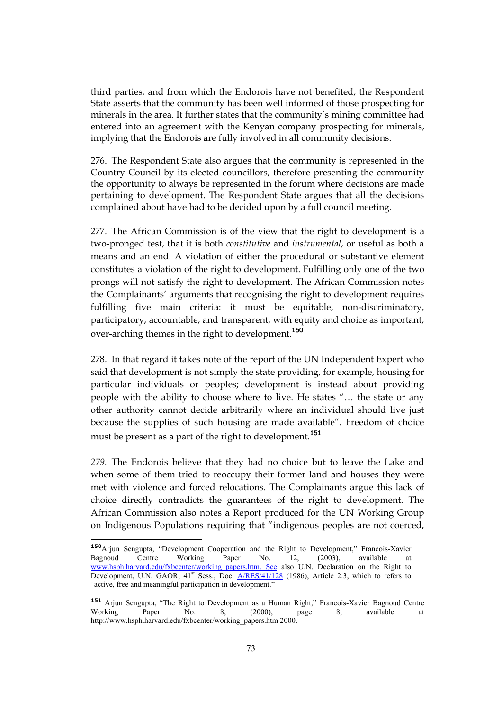third parties, and from which the Endorois have not benefited, the Respondent State asserts that the community has been well informed of those prospecting for minerals in the area. It further states that the community's mining committee had entered into an agreement with the Kenyan company prospecting for minerals, implying that the Endorois are fully involved in all community decisions.

276. The Respondent State also argues that the community is represented in the Country Council by its elected councillors, therefore presenting the community the opportunity to always be represented in the forum where decisions are made pertaining to development. The Respondent State argues that all the decisions complained about have had to be decided upon by a full council meeting.

277. The African Commission is of the view that the right to development is a two-pronged test, that it is both *constitutive* and *instrumental*, or useful as both a means and an end. A violation of either the procedural or substantive element constitutes a violation of the right to development. Fulfilling only one of the two prongs will not satisfy the right to development. The African Commission notes the Complainants' arguments that recognising the right to development requires fulfilling five main criteria: it must be equitable, non-discriminatory, participatory, accountable, and transparent, with equity and choice as important, over-arching themes in the right to development.**<sup>150</sup>**

278. In that regard it takes note of the report of the UN Independent Expert who said that development is not simply the state providing, for example, housing for particular individuals or peoples; development is instead about providing people with the ability to choose where to live. He states "… the state or any other authority cannot decide arbitrarily where an individual should live just because the supplies of such housing are made available". Freedom of choice must be present as a part of the right to development.**<sup>151</sup>**

*279.* The Endorois believe that they had no choice but to leave the Lake and when some of them tried to reoccupy their former land and houses they were met with violence and forced relocations. The Complainants argue this lack of choice directly contradicts the guarantees of the right to development. The African Commission also notes a Report produced for the UN Working Group on Indigenous Populations requiring that "indigenous peoples are not coerced,

**<sup>150</sup>**Arjun Sengupta, "Development Cooperation and the Right to Development," Francois-Xavier Bagnoud Centre Working Paper No. 12, (2003), available at www.hsph.harvard.edu/fxbcenter/working\_papers.htm. See also U.N. Declaration on the Right to Development, U.N. GAOR, 41<sup>st</sup> Sess., Doc. **A/RES/41/128** (1986), Article 2.3, which to refers to "active, free and meaningful participation in development."

**<sup>151</sup>** Arjun Sengupta, "The Right to Development as a Human Right," Francois-Xavier Bagnoud Centre Working Paper No. 8, (2000), page 8, available at http://www.hsph.harvard.edu/fxbcenter/working\_papers.htm 2000.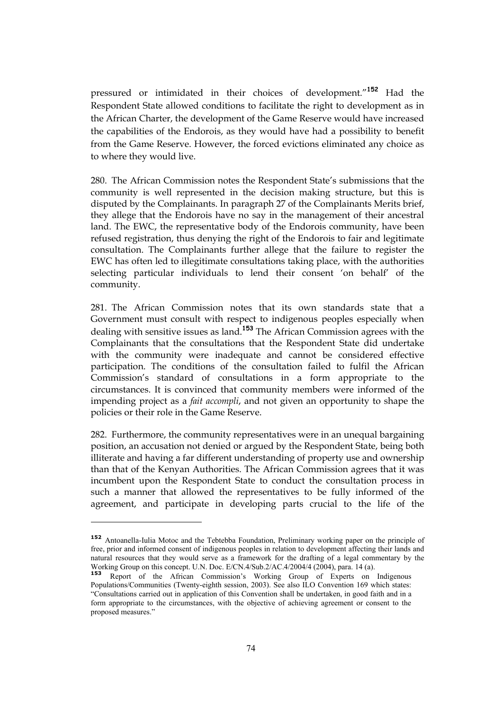pressured or intimidated in their choices of development."**<sup>152</sup>** Had the Respondent State allowed conditions to facilitate the right to development as in the African Charter, the development of the Game Reserve would have increased the capabilities of the Endorois, as they would have had a possibility to benefit from the Game Reserve. However, the forced evictions eliminated any choice as to where they would live.

280. The African Commission notes the Respondent State's submissions that the community is well represented in the decision making structure, but this is disputed by the Complainants. In paragraph 27 of the Complainants Merits brief, they allege that the Endorois have no say in the management of their ancestral land. The EWC, the representative body of the Endorois community, have been refused registration, thus denying the right of the Endorois to fair and legitimate consultation. The Complainants further allege that the failure to register the EWC has often led to illegitimate consultations taking place, with the authorities selecting particular individuals to lend their consent 'on behalf' of the community.

281. The African Commission notes that its own standards state that a Government must consult with respect to indigenous peoples especially when dealing with sensitive issues as land.**<sup>153</sup>** The African Commission agrees with the Complainants that the consultations that the Respondent State did undertake with the community were inadequate and cannot be considered effective participation. The conditions of the consultation failed to fulfil the African Commission's standard of consultations in a form appropriate to the circumstances. It is convinced that community members were informed of the impending project as a *fait accompli*, and not given an opportunity to shape the policies or their role in the Game Reserve.

282. Furthermore, the community representatives were in an unequal bargaining position, an accusation not denied or argued by the Respondent State, being both illiterate and having a far different understanding of property use and ownership than that of the Kenyan Authorities. The African Commission agrees that it was incumbent upon the Respondent State to conduct the consultation process in such a manner that allowed the representatives to be fully informed of the agreement, and participate in developing parts crucial to the life of the

**<sup>152</sup>** Antoanella-Iulia Motoc and the Tebtebba Foundation, Preliminary working paper on the principle of free, prior and informed consent of indigenous peoples in relation to development affecting their lands and natural resources that they would serve as a framework for the drafting of a legal commentary by the Working Group on this concept. U.N. Doc. E/CN.4/Sub.2/AC.4/2004/4 (2004), para. 14 (a).

**<sup>153</sup>** Report of the African Commission's Working Group of Experts on Indigenous Populations/Communities (Twenty-eighth session, 2003). See also ILO Convention 169 which states: "Consultations carried out in application of this Convention shall be undertaken, in good faith and in a form appropriate to the circumstances, with the objective of achieving agreement or consent to the proposed measures."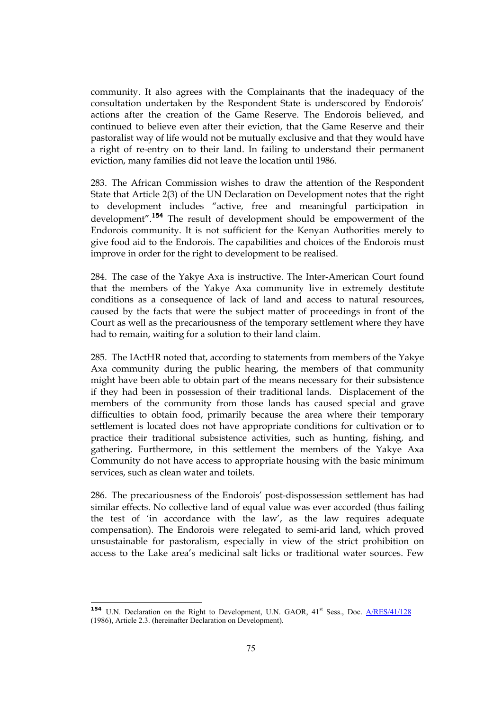community. It also agrees with the Complainants that the inadequacy of the consultation undertaken by the Respondent State is underscored by Endorois' actions after the creation of the Game Reserve. The Endorois believed, and continued to believe even after their eviction, that the Game Reserve and their pastoralist way of life would not be mutually exclusive and that they would have a right of re-entry on to their land. In failing to understand their permanent eviction, many families did not leave the location until 1986.

283. The African Commission wishes to draw the attention of the Respondent State that Article 2(3) of the UN Declaration on Development notes that the right to development includes "active, free and meaningful participation in development".**<sup>154</sup>** The result of development should be empowerment of the Endorois community. It is not sufficient for the Kenyan Authorities merely to give food aid to the Endorois. The capabilities and choices of the Endorois must improve in order for the right to development to be realised.

284. The case of the Yakye Axa is instructive. The Inter-American Court found that the members of the Yakye Axa community live in extremely destitute conditions as a consequence of lack of land and access to natural resources, caused by the facts that were the subject matter of proceedings in front of the Court as well as the precariousness of the temporary settlement where they have had to remain, waiting for a solution to their land claim.

285. The IActHR noted that, according to statements from members of the Yakye Axa community during the public hearing, the members of that community might have been able to obtain part of the means necessary for their subsistence if they had been in possession of their traditional lands. Displacement of the members of the community from those lands has caused special and grave difficulties to obtain food, primarily because the area where their temporary settlement is located does not have appropriate conditions for cultivation or to practice their traditional subsistence activities, such as hunting, fishing, and gathering. Furthermore, in this settlement the members of the Yakye Axa Community do not have access to appropriate housing with the basic minimum services, such as clean water and toilets.

286. The precariousness of the Endorois' post-dispossession settlement has had similar effects. No collective land of equal value was ever accorded (thus failing the test of 'in accordance with the law', as the law requires adequate compensation). The Endorois were relegated to semi-arid land, which proved unsustainable for pastoralism, especially in view of the strict prohibition on access to the Lake area's medicinal salt licks or traditional water sources. Few

<sup>154</sup> U.N. Declaration on the Right to Development, U.N. GAOR, 41<sup>st</sup> Sess., Doc. **A/RES/41/128** (1986), Article 2.3. (hereinafter Declaration on Development).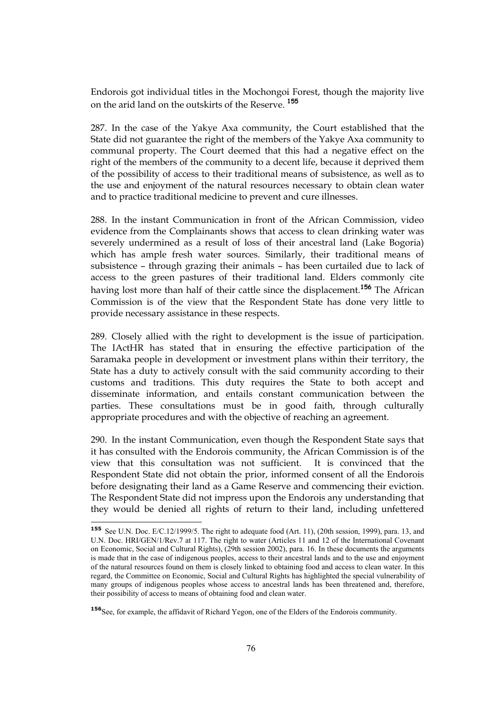Endorois got individual titles in the Mochongoi Forest, though the majority live on the arid land on the outskirts of the Reserve. **<sup>155</sup>**

287. In the case of the Yakye Axa community, the Court established that the State did not guarantee the right of the members of the Yakye Axa community to communal property. The Court deemed that this had a negative effect on the right of the members of the community to a decent life, because it deprived them of the possibility of access to their traditional means of subsistence, as well as to the use and enjoyment of the natural resources necessary to obtain clean water and to practice traditional medicine to prevent and cure illnesses.

288. In the instant Communication in front of the African Commission, video evidence from the Complainants shows that access to clean drinking water was severely undermined as a result of loss of their ancestral land (Lake Bogoria) which has ample fresh water sources. Similarly, their traditional means of subsistence – through grazing their animals – has been curtailed due to lack of access to the green pastures of their traditional land. Elders commonly cite having lost more than half of their cattle since the displacement.**<sup>156</sup>** The African Commission is of the view that the Respondent State has done very little to provide necessary assistance in these respects.

289. Closely allied with the right to development is the issue of participation. The IActHR has stated that in ensuring the effective participation of the Saramaka people in development or investment plans within their territory, the State has a duty to actively consult with the said community according to their customs and traditions. This duty requires the State to both accept and disseminate information, and entails constant communication between the parties. These consultations must be in good faith, through culturally appropriate procedures and with the objective of reaching an agreement.

290. In the instant Communication, even though the Respondent State says that it has consulted with the Endorois community, the African Commission is of the view that this consultation was not sufficient. It is convinced that the Respondent State did not obtain the prior, informed consent of all the Endorois before designating their land as a Game Reserve and commencing their eviction. The Respondent State did not impress upon the Endorois any understanding that they would be denied all rights of return to their land, including unfettered

**<sup>156</sup>**See, for example, the affidavit of Richard Yegon, one of the Elders of the Endorois community.

**<sup>155</sup>** See U.N. Doc. E/C.12/1999/5. The right to adequate food (Art. 11), (20th session, 1999), para. 13, and U.N. Doc. HRI/GEN/1/Rev.7 at 117. The right to water (Articles 11 and 12 of the International Covenant on Economic, Social and Cultural Rights), (29th session 2002), para. 16. In these documents the arguments is made that in the case of indigenous peoples, access to their ancestral lands and to the use and enjoyment of the natural resources found on them is closely linked to obtaining food and access to clean water. In this regard, the Committee on Economic, Social and Cultural Rights has highlighted the special vulnerability of many groups of indigenous peoples whose access to ancestral lands has been threatened and, therefore, their possibility of access to means of obtaining food and clean water.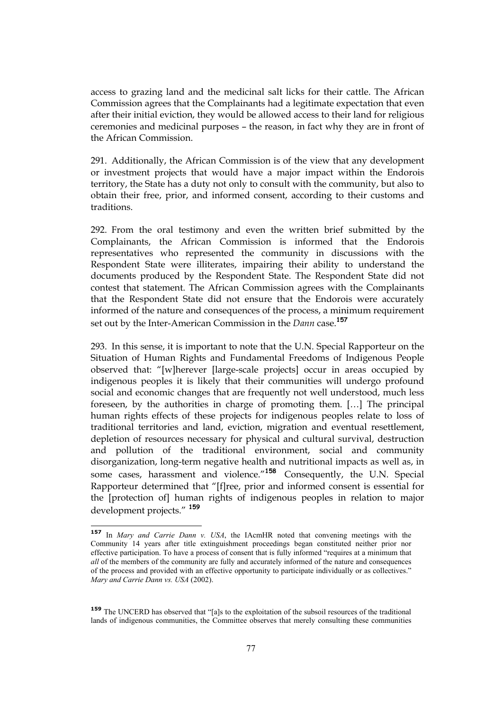access to grazing land and the medicinal salt licks for their cattle. The African Commission agrees that the Complainants had a legitimate expectation that even after their initial eviction, they would be allowed access to their land for religious ceremonies and medicinal purposes – the reason, in fact why they are in front of the African Commission.

291. Additionally, the African Commission is of the view that any development or investment projects that would have a major impact within the Endorois territory, the State has a duty not only to consult with the community, but also to obtain their free, prior, and informed consent, according to their customs and traditions.

292. From the oral testimony and even the written brief submitted by the Complainants, the African Commission is informed that the Endorois representatives who represented the community in discussions with the Respondent State were illiterates, impairing their ability to understand the documents produced by the Respondent State. The Respondent State did not contest that statement. The African Commission agrees with the Complainants that the Respondent State did not ensure that the Endorois were accurately informed of the nature and consequences of the process, a minimum requirement set out by the Inter-American Commission in the *Dann* case.**<sup>157</sup>**

293. In this sense, it is important to note that the U.N. Special Rapporteur on the Situation of Human Rights and Fundamental Freedoms of Indigenous People observed that: "[w]herever [large-scale projects] occur in areas occupied by indigenous peoples it is likely that their communities will undergo profound social and economic changes that are frequently not well understood, much less foreseen, by the authorities in charge of promoting them. […] The principal human rights effects of these projects for indigenous peoples relate to loss of traditional territories and land, eviction, migration and eventual resettlement, depletion of resources necessary for physical and cultural survival, destruction and pollution of the traditional environment, social and community disorganization, long-term negative health and nutritional impacts as well as, in some cases, harassment and violence."**<sup>158</sup>** Consequently, the U.N. Special Rapporteur determined that "[f]ree, prior and informed consent is essential for the [protection of] human rights of indigenous peoples in relation to major development projects."**<sup>159</sup>**

**<sup>157</sup>** In *Mary and Carrie Dann v. USA*, the IAcmHR noted that convening meetings with the Community 14 years after title extinguishment proceedings began constituted neither prior nor effective participation. To have a process of consent that is fully informed "requires at a minimum that *all* of the members of the community are fully and accurately informed of the nature and consequences of the process and provided with an effective opportunity to participate individually or as collectives." *Mary and Carrie Dann vs. USA* (2002).

**<sup>159</sup>** The UNCERD has observed that "[a]s to the exploitation of the subsoil resources of the traditional lands of indigenous communities, the Committee observes that merely consulting these communities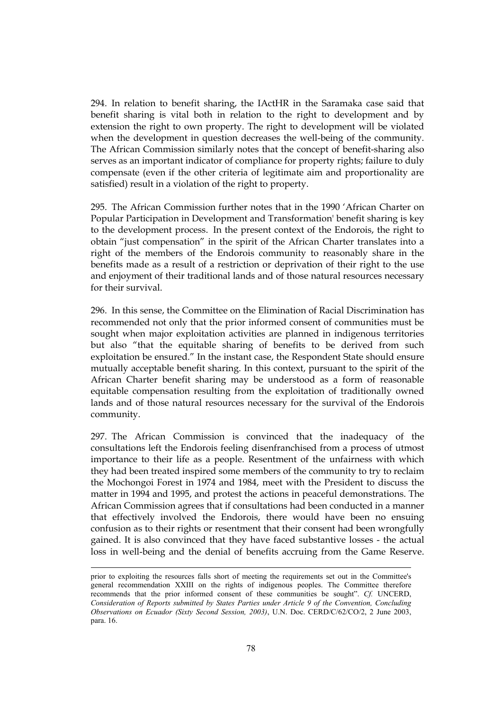294. In relation to benefit sharing, the IActHR in the Saramaka case said that benefit sharing is vital both in relation to the right to development and by extension the right to own property. The right to development will be violated when the development in question decreases the well-being of the community. The African Commission similarly notes that the concept of benefit-sharing also serves as an important indicator of compliance for property rights; failure to duly compensate (even if the other criteria of legitimate aim and proportionality are satisfied) result in a violation of the right to property.

295. The African Commission further notes that in the 1990 'African Charter on Popular Participation in Development and Transformation' benefit sharing is key to the development process. In the present context of the Endorois, the right to obtain "just compensation" in the spirit of the African Charter translates into a right of the members of the Endorois community to reasonably share in the benefits made as a result of a restriction or deprivation of their right to the use and enjoyment of their traditional lands and of those natural resources necessary for their survival.

296. In this sense, the Committee on the Elimination of Racial Discrimination has recommended not only that the prior informed consent of communities must be sought when major exploitation activities are planned in indigenous territories but also "that the equitable sharing of benefits to be derived from such exploitation be ensured." In the instant case, the Respondent State should ensure mutually acceptable benefit sharing. In this context, pursuant to the spirit of the African Charter benefit sharing may be understood as a form of reasonable equitable compensation resulting from the exploitation of traditionally owned lands and of those natural resources necessary for the survival of the Endorois community.

297. The African Commission is convinced that the inadequacy of the consultations left the Endorois feeling disenfranchised from a process of utmost importance to their life as a people. Resentment of the unfairness with which they had been treated inspired some members of the community to try to reclaim the Mochongoi Forest in 1974 and 1984, meet with the President to discuss the matter in 1994 and 1995, and protest the actions in peaceful demonstrations. The African Commission agrees that if consultations had been conducted in a manner that effectively involved the Endorois, there would have been no ensuing confusion as to their rights or resentment that their consent had been wrongfully gained. It is also convinced that they have faced substantive losses - the actual loss in well-being and the denial of benefits accruing from the Game Reserve.

prior to exploiting the resources falls short of meeting the requirements set out in the Committee's general recommendation XXIII on the rights of indigenous peoples. The Committee therefore recommends that the prior informed consent of these communities be sought". *Cf.* UNCERD, *Consideration of Reports submitted by States Parties under Article 9 of the Convention, Concluding Observations on Ecuador (Sixty Second Session, 2003)*, U.N. Doc. CERD/C/62/CO/2, 2 June 2003, para. 16.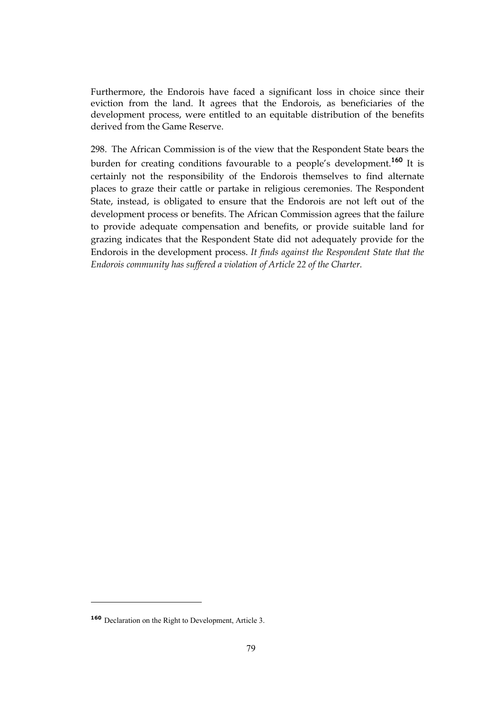Furthermore, the Endorois have faced a significant loss in choice since their eviction from the land. It agrees that the Endorois, as beneficiaries of the development process, were entitled to an equitable distribution of the benefits derived from the Game Reserve.

298. The African Commission is of the view that the Respondent State bears the burden for creating conditions favourable to a people's development.**<sup>160</sup>** It is certainly not the responsibility of the Endorois themselves to find alternate places to graze their cattle or partake in religious ceremonies. The Respondent State, instead, is obligated to ensure that the Endorois are not left out of the development process or benefits. The African Commission agrees that the failure to provide adequate compensation and benefits, or provide suitable land for grazing indicates that the Respondent State did not adequately provide for the Endorois in the development process. *It finds against the Respondent State that the Endorois community has suffered a violation of Article 22 of the Charter.*

-

**<sup>160</sup>** Declaration on the Right to Development, Article 3.